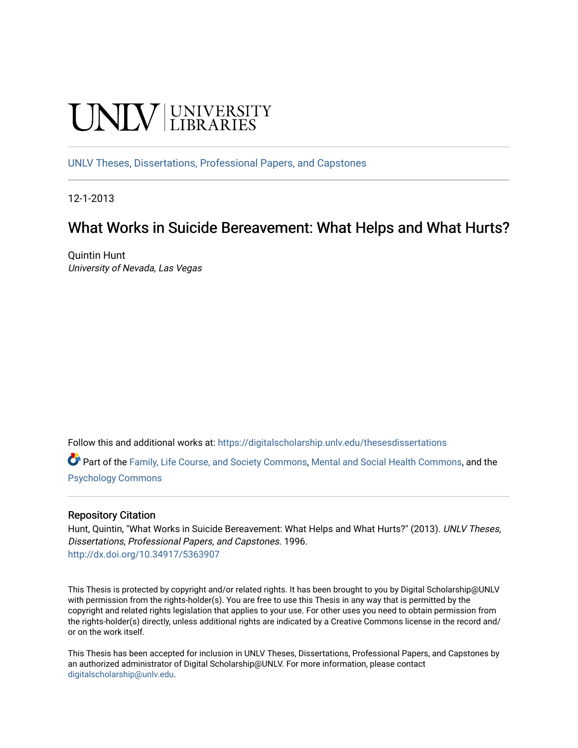# **CINITY** UNIVERSITY

[UNLV Theses, Dissertations, Professional Papers, and Capstones](https://digitalscholarship.unlv.edu/thesesdissertations)

12-1-2013

# What Works in Suicide Bereavement: What Helps and What Hurts?

Quintin Hunt University of Nevada, Las Vegas

Follow this and additional works at: [https://digitalscholarship.unlv.edu/thesesdissertations](https://digitalscholarship.unlv.edu/thesesdissertations?utm_source=digitalscholarship.unlv.edu%2Fthesesdissertations%2F1996&utm_medium=PDF&utm_campaign=PDFCoverPages)

Part of the [Family, Life Course, and Society Commons,](http://network.bepress.com/hgg/discipline/419?utm_source=digitalscholarship.unlv.edu%2Fthesesdissertations%2F1996&utm_medium=PDF&utm_campaign=PDFCoverPages) [Mental and Social Health Commons](http://network.bepress.com/hgg/discipline/709?utm_source=digitalscholarship.unlv.edu%2Fthesesdissertations%2F1996&utm_medium=PDF&utm_campaign=PDFCoverPages), and the [Psychology Commons](http://network.bepress.com/hgg/discipline/404?utm_source=digitalscholarship.unlv.edu%2Fthesesdissertations%2F1996&utm_medium=PDF&utm_campaign=PDFCoverPages) 

#### Repository Citation

Hunt, Quintin, "What Works in Suicide Bereavement: What Helps and What Hurts?" (2013). UNLV Theses, Dissertations, Professional Papers, and Capstones. 1996. <http://dx.doi.org/10.34917/5363907>

This Thesis is protected by copyright and/or related rights. It has been brought to you by Digital Scholarship@UNLV with permission from the rights-holder(s). You are free to use this Thesis in any way that is permitted by the copyright and related rights legislation that applies to your use. For other uses you need to obtain permission from the rights-holder(s) directly, unless additional rights are indicated by a Creative Commons license in the record and/ or on the work itself.

This Thesis has been accepted for inclusion in UNLV Theses, Dissertations, Professional Papers, and Capstones by an authorized administrator of Digital Scholarship@UNLV. For more information, please contact [digitalscholarship@unlv.edu](mailto:digitalscholarship@unlv.edu).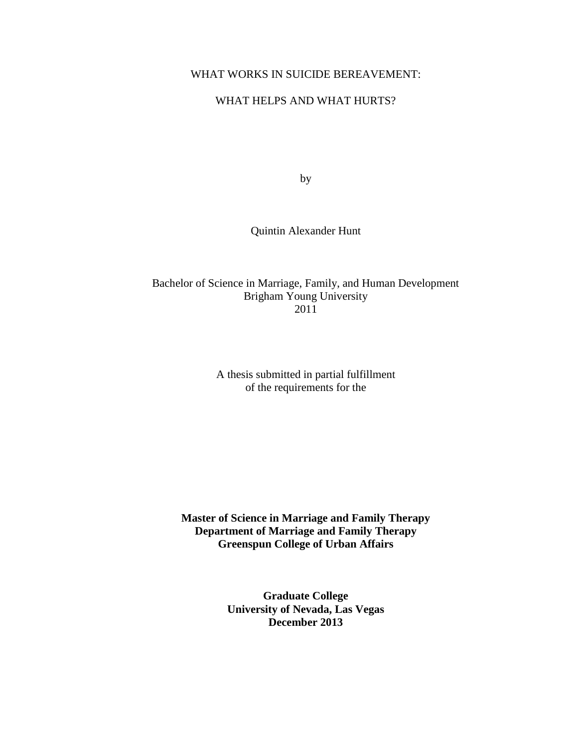## WHAT WORKS IN SUICIDE BEREAVEMENT:

## WHAT HELPS AND WHAT HURTS?

by

Quintin Alexander Hunt

Bachelor of Science in Marriage, Family, and Human Development Brigham Young University 2011

> A thesis submitted in partial fulfillment of the requirements for the

**Master of Science in Marriage and Family Therapy Department of Marriage and Family Therapy Greenspun College of Urban Affairs**

> **Graduate College University of Nevada, Las Vegas December 2013**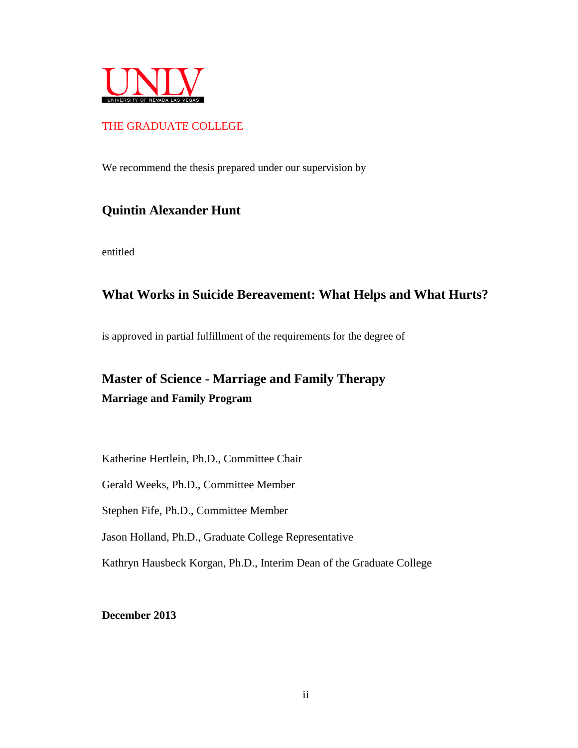

## THE GRADUATE COLLEGE

We recommend the thesis prepared under our supervision by

# **Quintin Alexander Hunt**

entitled

# **What Works in Suicide Bereavement: What Helps and What Hurts?**

is approved in partial fulfillment of the requirements for the degree of

# **Master of Science - Marriage and Family Therapy Marriage and Family Program**

Katherine Hertlein, Ph.D., Committee Chair

Gerald Weeks, Ph.D., Committee Member

Stephen Fife, Ph.D., Committee Member

Jason Holland, Ph.D., Graduate College Representative

Kathryn Hausbeck Korgan, Ph.D., Interim Dean of the Graduate College

**December 2013**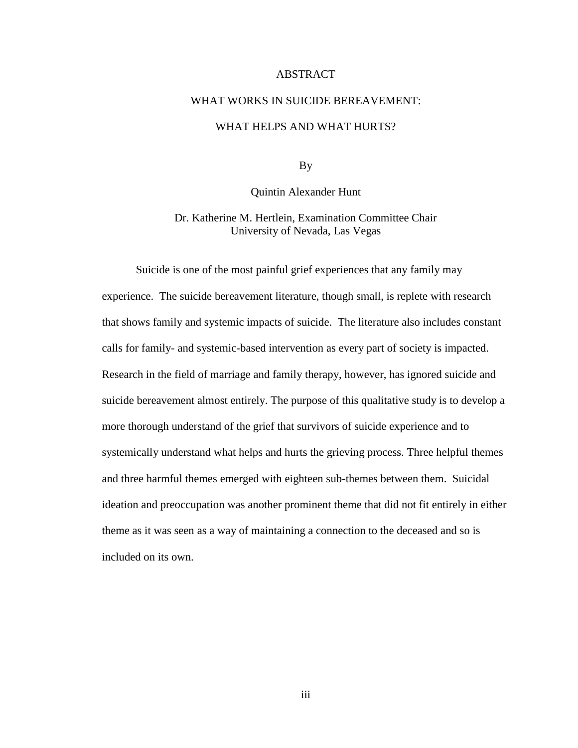#### ABSTRACT

# <span id="page-3-0"></span>WHAT WORKS IN SUICIDE BEREAVEMENT: WHAT HELPS AND WHAT HURTS?

By

Quintin Alexander Hunt

Dr. Katherine M. Hertlein, Examination Committee Chair University of Nevada, Las Vegas

Suicide is one of the most painful grief experiences that any family may experience. The suicide bereavement literature, though small, is replete with research that shows family and systemic impacts of suicide. The literature also includes constant calls for family- and systemic-based intervention as every part of society is impacted. Research in the field of marriage and family therapy, however, has ignored suicide and suicide bereavement almost entirely. The purpose of this qualitative study is to develop a more thorough understand of the grief that survivors of suicide experience and to systemically understand what helps and hurts the grieving process. Three helpful themes and three harmful themes emerged with eighteen sub-themes between them. Suicidal ideation and preoccupation was another prominent theme that did not fit entirely in either theme as it was seen as a way of maintaining a connection to the deceased and so is included on its own.

iii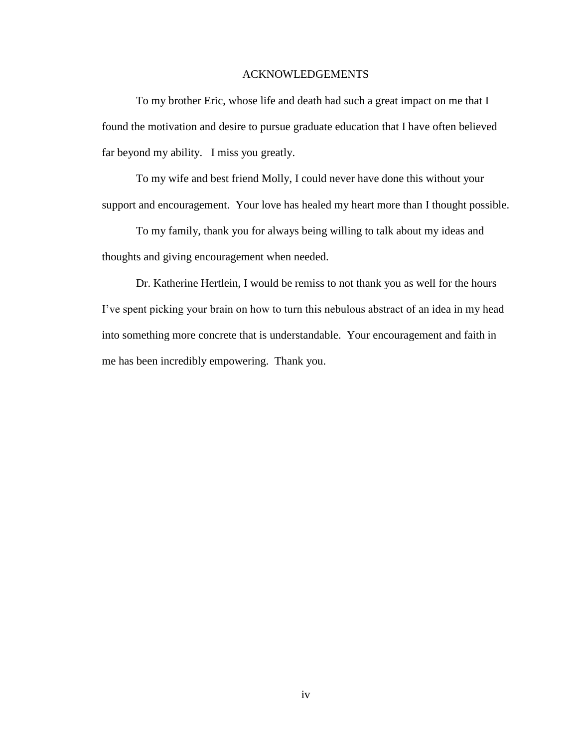#### ACKNOWLEDGEMENTS

<span id="page-4-0"></span>To my brother Eric, whose life and death had such a great impact on me that I found the motivation and desire to pursue graduate education that I have often believed far beyond my ability. I miss you greatly.

To my wife and best friend Molly, I could never have done this without your support and encouragement. Your love has healed my heart more than I thought possible.

To my family, thank you for always being willing to talk about my ideas and thoughts and giving encouragement when needed.

Dr. Katherine Hertlein, I would be remiss to not thank you as well for the hours I've spent picking your brain on how to turn this nebulous abstract of an idea in my head into something more concrete that is understandable. Your encouragement and faith in me has been incredibly empowering. Thank you.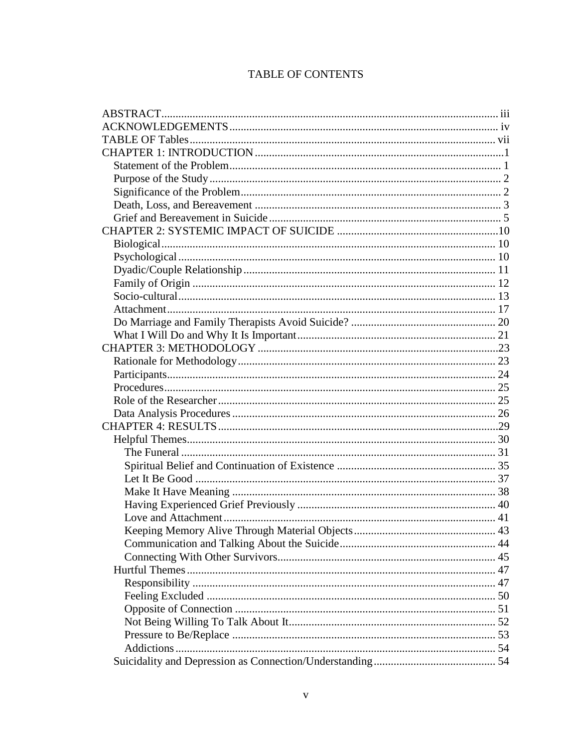# **TABLE OF CONTENTS**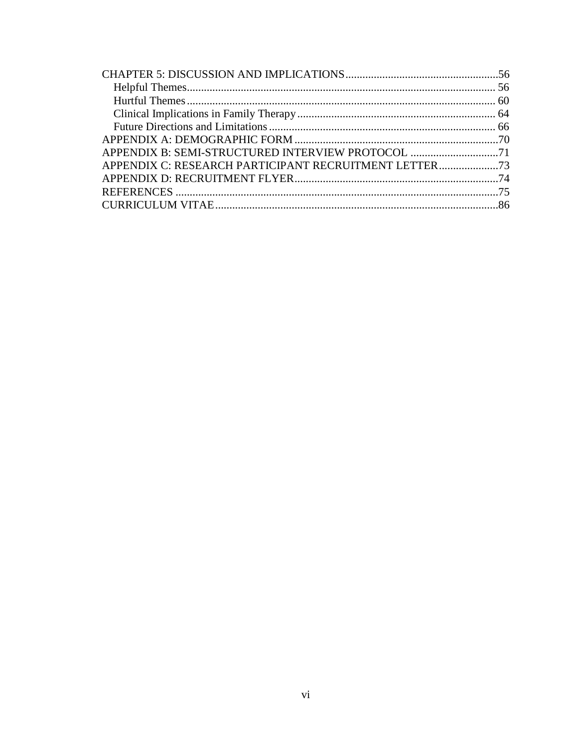| APPENDIX C: RESEARCH PARTICIPANT RECRUITMENT LETTER |  |
|-----------------------------------------------------|--|
|                                                     |  |
|                                                     |  |
|                                                     |  |
|                                                     |  |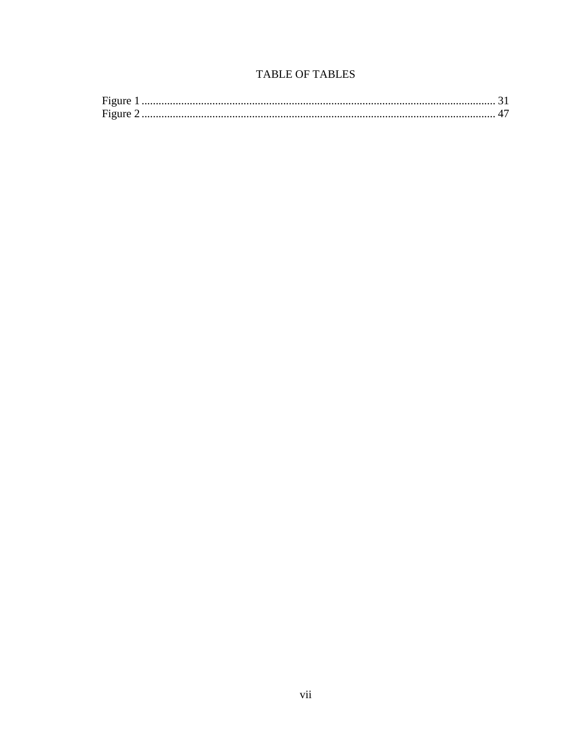## TABLE OF TABLES

<span id="page-7-0"></span>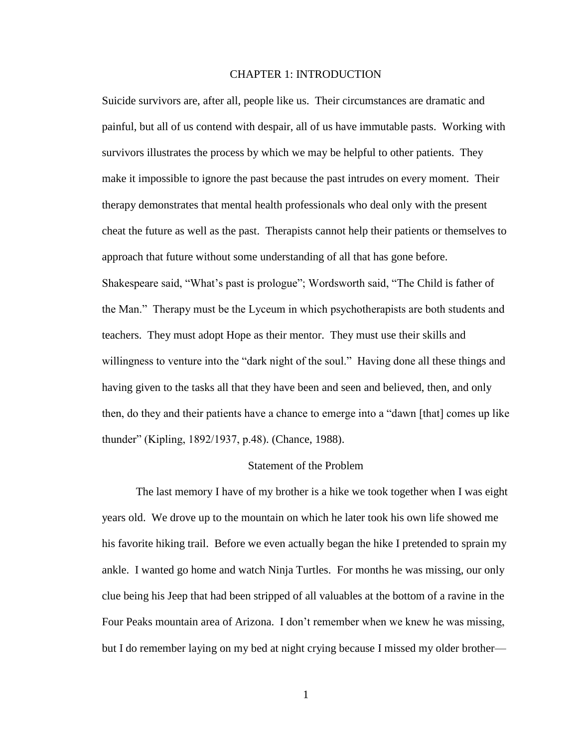#### CHAPTER 1: INTRODUCTION

<span id="page-8-0"></span>Suicide survivors are, after all, people like us. Their circumstances are dramatic and painful, but all of us contend with despair, all of us have immutable pasts. Working with survivors illustrates the process by which we may be helpful to other patients. They make it impossible to ignore the past because the past intrudes on every moment. Their therapy demonstrates that mental health professionals who deal only with the present cheat the future as well as the past. Therapists cannot help their patients or themselves to approach that future without some understanding of all that has gone before. Shakespeare said, "What's past is prologue"; Wordsworth said, "The Child is father of the Man." Therapy must be the Lyceum in which psychotherapists are both students and teachers. They must adopt Hope as their mentor. They must use their skills and willingness to venture into the "dark night of the soul." Having done all these things and having given to the tasks all that they have been and seen and believed, then, and only then, do they and their patients have a chance to emerge into a "dawn [that] comes up like thunder" (Kipling, 1892/1937, p.48). (Chance, 1988).

#### Statement of the Problem

<span id="page-8-1"></span>The last memory I have of my brother is a hike we took together when I was eight years old. We drove up to the mountain on which he later took his own life showed me his favorite hiking trail. Before we even actually began the hike I pretended to sprain my ankle. I wanted go home and watch Ninja Turtles. For months he was missing, our only clue being his Jeep that had been stripped of all valuables at the bottom of a ravine in the Four Peaks mountain area of Arizona. I don't remember when we knew he was missing, but I do remember laying on my bed at night crying because I missed my older brother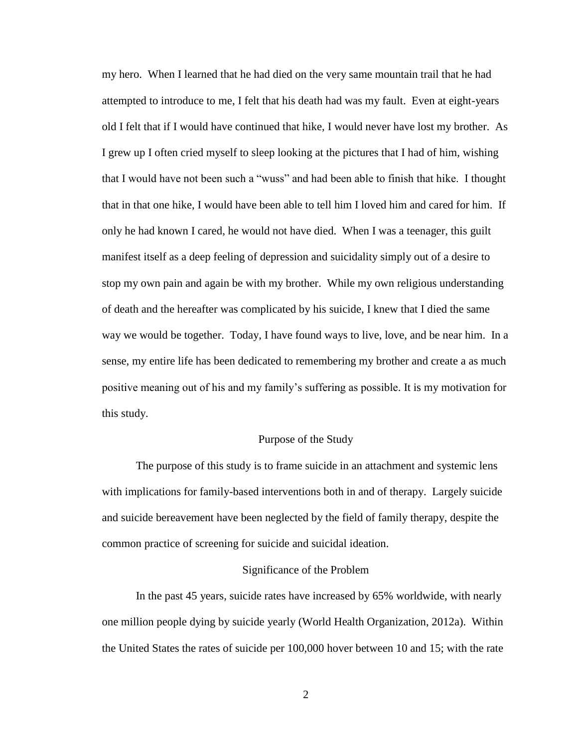my hero. When I learned that he had died on the very same mountain trail that he had attempted to introduce to me, I felt that his death had was my fault. Even at eight-years old I felt that if I would have continued that hike, I would never have lost my brother. As I grew up I often cried myself to sleep looking at the pictures that I had of him, wishing that I would have not been such a "wuss" and had been able to finish that hike. I thought that in that one hike, I would have been able to tell him I loved him and cared for him. If only he had known I cared, he would not have died. When I was a teenager, this guilt manifest itself as a deep feeling of depression and suicidality simply out of a desire to stop my own pain and again be with my brother. While my own religious understanding of death and the hereafter was complicated by his suicide, I knew that I died the same way we would be together. Today, I have found ways to live, love, and be near him. In a sense, my entire life has been dedicated to remembering my brother and create a as much positive meaning out of his and my family's suffering as possible. It is my motivation for this study.

#### Purpose of the Study

<span id="page-9-0"></span>The purpose of this study is to frame suicide in an attachment and systemic lens with implications for family-based interventions both in and of therapy. Largely suicide and suicide bereavement have been neglected by the field of family therapy, despite the common practice of screening for suicide and suicidal ideation.

#### Significance of the Problem

<span id="page-9-1"></span>In the past 45 years, suicide rates have increased by 65% worldwide, with nearly one million people dying by suicide yearly (World Health Organization, 2012a). Within the United States the rates of suicide per 100,000 hover between 10 and 15; with the rate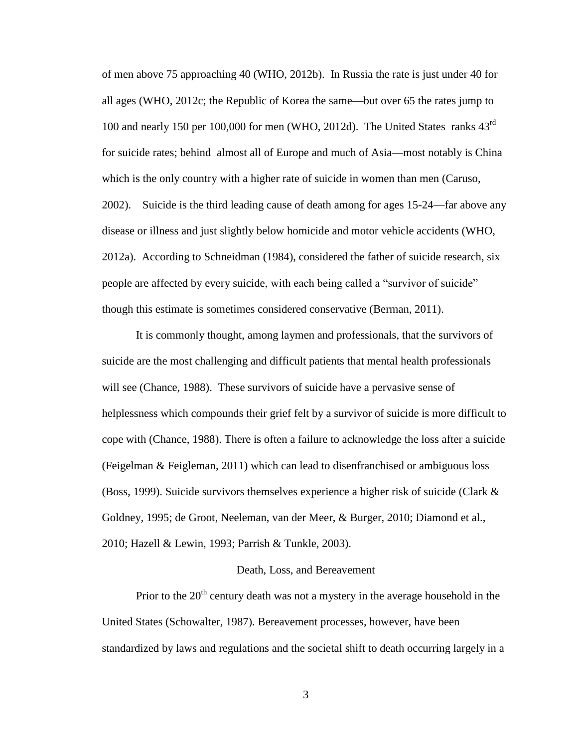of men above 75 approaching 40 (WHO, 2012b). In Russia the rate is just under 40 for all ages (WHO, 2012c; the Republic of Korea the same—but over 65 the rates jump to 100 and nearly 150 per 100,000 for men (WHO, 2012d). The United States ranks 43<sup>rd</sup> for suicide rates; behind almost all of Europe and much of Asia—most notably is China which is the only country with a higher rate of suicide in women than men (Caruso, 2002). Suicide is the third leading cause of death among for ages 15-24—far above any disease or illness and just slightly below homicide and motor vehicle accidents (WHO, 2012a). According to Schneidman (1984), considered the father of suicide research, six people are affected by every suicide, with each being called a "survivor of suicide" though this estimate is sometimes considered conservative (Berman, 2011).

It is commonly thought, among laymen and professionals, that the survivors of suicide are the most challenging and difficult patients that mental health professionals will see (Chance, 1988). These survivors of suicide have a pervasive sense of helplessness which compounds their grief felt by a survivor of suicide is more difficult to cope with (Chance, 1988). There is often a failure to acknowledge the loss after a suicide (Feigelman & Feigleman, 2011) which can lead to disenfranchised or ambiguous loss (Boss, 1999). Suicide survivors themselves experience a higher risk of suicide (Clark  $\&$ Goldney, 1995; de Groot, Neeleman, van der Meer, & Burger, 2010; Diamond et al., 2010; Hazell & Lewin, 1993; Parrish & Tunkle, 2003).

#### Death, Loss, and Bereavement

<span id="page-10-0"></span>Prior to the  $20<sup>th</sup>$  century death was not a mystery in the average household in the United States (Schowalter, 1987). Bereavement processes, however, have been standardized by laws and regulations and the societal shift to death occurring largely in a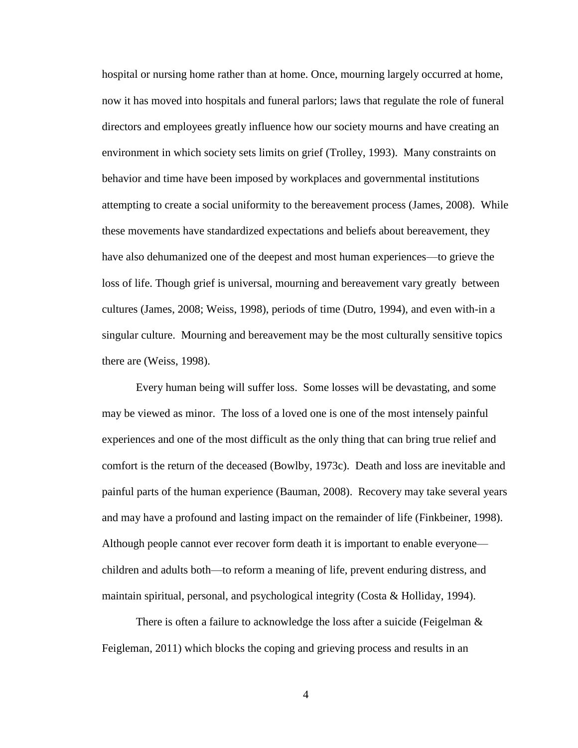hospital or nursing home rather than at home. Once, mourning largely occurred at home, now it has moved into hospitals and funeral parlors; laws that regulate the role of funeral directors and employees greatly influence how our society mourns and have creating an environment in which society sets limits on grief (Trolley, 1993). Many constraints on behavior and time have been imposed by workplaces and governmental institutions attempting to create a social uniformity to the bereavement process (James, 2008). While these movements have standardized expectations and beliefs about bereavement, they have also dehumanized one of the deepest and most human experiences—to grieve the loss of life. Though grief is universal, mourning and bereavement vary greatly between cultures (James, 2008; Weiss, 1998), periods of time (Dutro, 1994), and even with-in a singular culture. Mourning and bereavement may be the most culturally sensitive topics there are (Weiss, 1998).

Every human being will suffer loss. Some losses will be devastating, and some may be viewed as minor. The loss of a loved one is one of the most intensely painful experiences and one of the most difficult as the only thing that can bring true relief and comfort is the return of the deceased (Bowlby, 1973c). Death and loss are inevitable and painful parts of the human experience (Bauman, 2008). Recovery may take several years and may have a profound and lasting impact on the remainder of life (Finkbeiner, 1998). Although people cannot ever recover form death it is important to enable everyone children and adults both—to reform a meaning of life, prevent enduring distress, and maintain spiritual, personal, and psychological integrity (Costa & Holliday, 1994).

There is often a failure to acknowledge the loss after a suicide (Feigelman & Feigleman, 2011) which blocks the coping and grieving process and results in an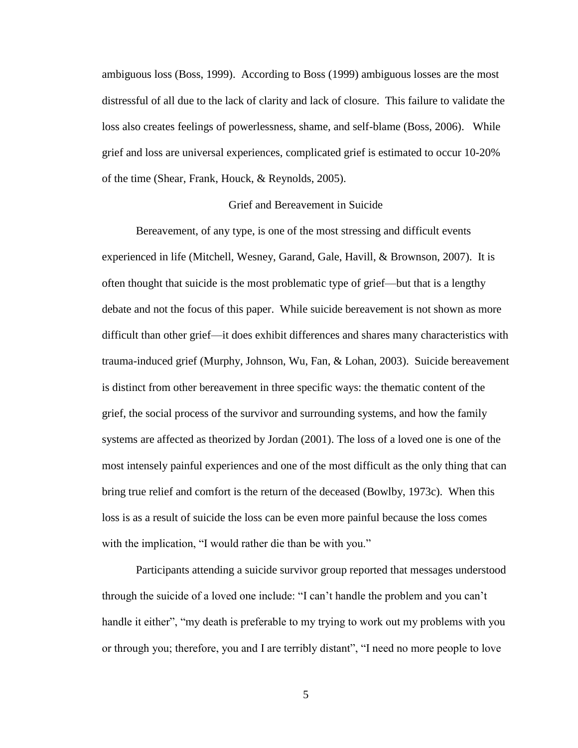ambiguous loss (Boss, 1999). According to Boss (1999) ambiguous losses are the most distressful of all due to the lack of clarity and lack of closure. This failure to validate the loss also creates feelings of powerlessness, shame, and self-blame (Boss, 2006). While grief and loss are universal experiences, complicated grief is estimated to occur 10-20% of the time (Shear, Frank, Houck, & Reynolds, 2005).

#### Grief and Bereavement in Suicide

<span id="page-12-0"></span>Bereavement, of any type, is one of the most stressing and difficult events experienced in life (Mitchell, Wesney, Garand, Gale, Havill, & Brownson, 2007). It is often thought that suicide is the most problematic type of grief—but that is a lengthy debate and not the focus of this paper. While suicide bereavement is not shown as more difficult than other grief—it does exhibit differences and shares many characteristics with trauma-induced grief (Murphy, Johnson, Wu, Fan, & Lohan, 2003). Suicide bereavement is distinct from other bereavement in three specific ways: the thematic content of the grief, the social process of the survivor and surrounding systems, and how the family systems are affected as theorized by Jordan (2001). The loss of a loved one is one of the most intensely painful experiences and one of the most difficult as the only thing that can bring true relief and comfort is the return of the deceased (Bowlby, 1973c). When this loss is as a result of suicide the loss can be even more painful because the loss comes with the implication, "I would rather die than be with you."

Participants attending a suicide survivor group reported that messages understood through the suicide of a loved one include: "I can't handle the problem and you can't handle it either", "my death is preferable to my trying to work out my problems with you or through you; therefore, you and I are terribly distant", "I need no more people to love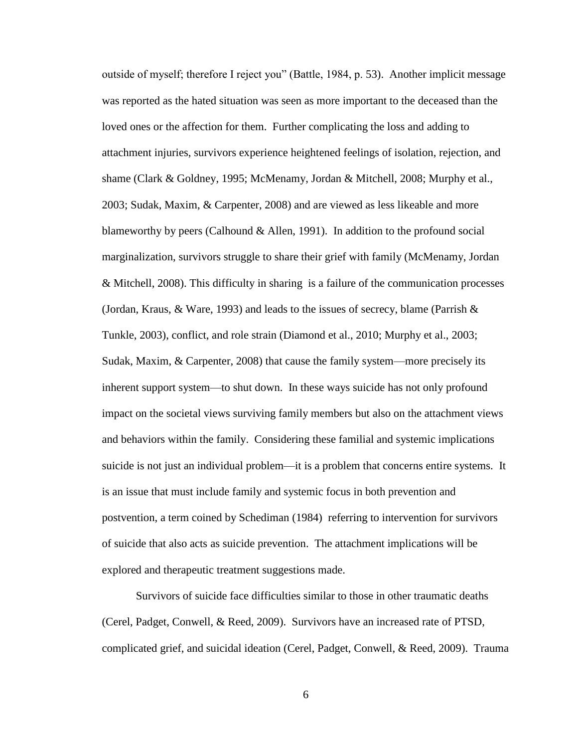outside of myself; therefore I reject you" (Battle, 1984, p. 53). Another implicit message was reported as the hated situation was seen as more important to the deceased than the loved ones or the affection for them. Further complicating the loss and adding to attachment injuries, survivors experience heightened feelings of isolation, rejection, and shame (Clark & Goldney, 1995; McMenamy, Jordan & Mitchell, 2008; Murphy et al., 2003; Sudak, Maxim, & Carpenter, 2008) and are viewed as less likeable and more blameworthy by peers (Calhound & Allen, 1991). In addition to the profound social marginalization, survivors struggle to share their grief with family (McMenamy, Jordan & Mitchell, 2008). This difficulty in sharing is a failure of the communication processes (Jordan, Kraus,  $\&$  Ware, 1993) and leads to the issues of secrecy, blame (Parrish  $\&$ Tunkle, 2003), conflict, and role strain (Diamond et al., 2010; Murphy et al., 2003; Sudak, Maxim, & Carpenter, 2008) that cause the family system—more precisely its inherent support system—to shut down. In these ways suicide has not only profound impact on the societal views surviving family members but also on the attachment views and behaviors within the family. Considering these familial and systemic implications suicide is not just an individual problem—it is a problem that concerns entire systems. It is an issue that must include family and systemic focus in both prevention and postvention, a term coined by Schediman (1984) referring to intervention for survivors of suicide that also acts as suicide prevention. The attachment implications will be explored and therapeutic treatment suggestions made.

Survivors of suicide face difficulties similar to those in other traumatic deaths (Cerel, Padget, Conwell, & Reed, 2009). Survivors have an increased rate of PTSD, complicated grief, and suicidal ideation (Cerel, Padget, Conwell, & Reed, 2009). Trauma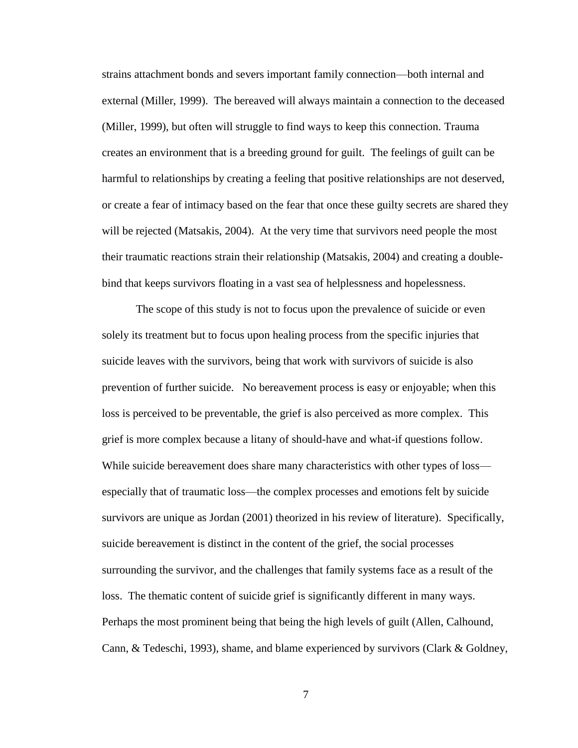strains attachment bonds and severs important family connection—both internal and external (Miller, 1999). The bereaved will always maintain a connection to the deceased (Miller, 1999), but often will struggle to find ways to keep this connection. Trauma creates an environment that is a breeding ground for guilt. The feelings of guilt can be harmful to relationships by creating a feeling that positive relationships are not deserved, or create a fear of intimacy based on the fear that once these guilty secrets are shared they will be rejected (Matsakis, 2004). At the very time that survivors need people the most their traumatic reactions strain their relationship (Matsakis, 2004) and creating a doublebind that keeps survivors floating in a vast sea of helplessness and hopelessness.

The scope of this study is not to focus upon the prevalence of suicide or even solely its treatment but to focus upon healing process from the specific injuries that suicide leaves with the survivors, being that work with survivors of suicide is also prevention of further suicide. No bereavement process is easy or enjoyable; when this loss is perceived to be preventable, the grief is also perceived as more complex. This grief is more complex because a litany of should-have and what-if questions follow. While suicide bereavement does share many characteristics with other types of loss especially that of traumatic loss—the complex processes and emotions felt by suicide survivors are unique as Jordan (2001) theorized in his review of literature). Specifically, suicide bereavement is distinct in the content of the grief, the social processes surrounding the survivor, and the challenges that family systems face as a result of the loss. The thematic content of suicide grief is significantly different in many ways. Perhaps the most prominent being that being the high levels of guilt (Allen, Calhound, Cann, & Tedeschi, 1993), shame, and blame experienced by survivors (Clark & Goldney,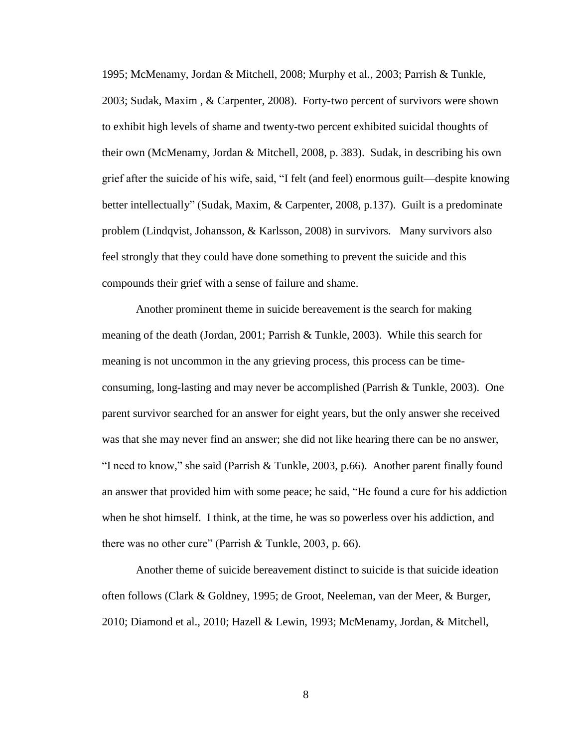1995; McMenamy, Jordan & Mitchell, 2008; Murphy et al., 2003; Parrish & Tunkle, 2003; Sudak, Maxim , & Carpenter, 2008). Forty-two percent of survivors were shown to exhibit high levels of shame and twenty-two percent exhibited suicidal thoughts of their own (McMenamy, Jordan & Mitchell, 2008, p. 383). Sudak, in describing his own grief after the suicide of his wife, said, "I felt (and feel) enormous guilt—despite knowing better intellectually" (Sudak, Maxim, & Carpenter, 2008, p.137). Guilt is a predominate problem (Lindqvist, Johansson, & Karlsson, 2008) in survivors. Many survivors also feel strongly that they could have done something to prevent the suicide and this compounds their grief with a sense of failure and shame.

Another prominent theme in suicide bereavement is the search for making meaning of the death (Jordan, 2001; Parrish & Tunkle, 2003). While this search for meaning is not uncommon in the any grieving process, this process can be timeconsuming, long-lasting and may never be accomplished (Parrish & Tunkle, 2003). One parent survivor searched for an answer for eight years, but the only answer she received was that she may never find an answer; she did not like hearing there can be no answer, "I need to know," she said (Parrish & Tunkle, 2003, p.66). Another parent finally found an answer that provided him with some peace; he said, "He found a cure for his addiction when he shot himself. I think, at the time, he was so powerless over his addiction, and there was no other cure" (Parrish & Tunkle, 2003, p. 66).

Another theme of suicide bereavement distinct to suicide is that suicide ideation often follows (Clark & Goldney, 1995; de Groot, Neeleman, van der Meer, & Burger, 2010; Diamond et al., 2010; Hazell & Lewin, 1993; McMenamy, Jordan, & Mitchell,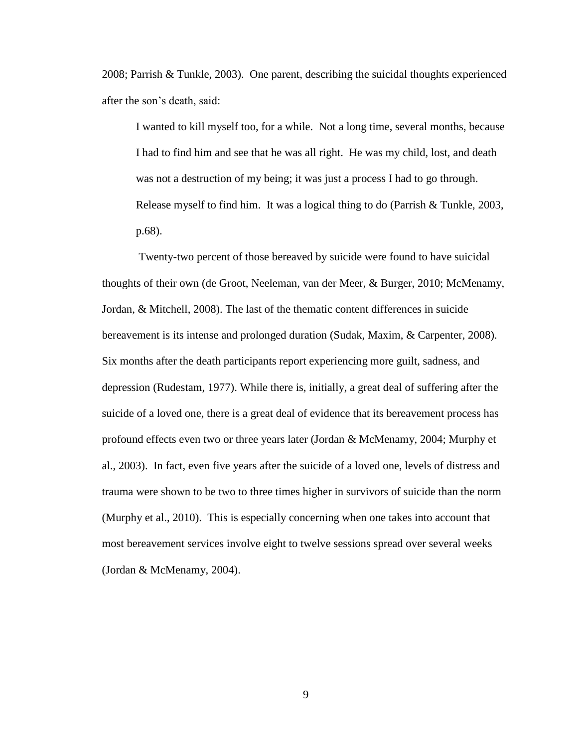2008; Parrish & Tunkle, 2003). One parent, describing the suicidal thoughts experienced after the son's death, said:

I wanted to kill myself too, for a while. Not a long time, several months, because I had to find him and see that he was all right. He was my child, lost, and death was not a destruction of my being; it was just a process I had to go through. Release myself to find him. It was a logical thing to do (Parrish & Tunkle, 2003, p.68).

Twenty-two percent of those bereaved by suicide were found to have suicidal thoughts of their own (de Groot, Neeleman, van der Meer, & Burger, 2010; McMenamy, Jordan, & Mitchell, 2008). The last of the thematic content differences in suicide bereavement is its intense and prolonged duration (Sudak, Maxim, & Carpenter, 2008). Six months after the death participants report experiencing more guilt, sadness, and depression (Rudestam, 1977). While there is, initially, a great deal of suffering after the suicide of a loved one, there is a great deal of evidence that its bereavement process has profound effects even two or three years later (Jordan & McMenamy, 2004; Murphy et al., 2003). In fact, even five years after the suicide of a loved one, levels of distress and trauma were shown to be two to three times higher in survivors of suicide than the norm (Murphy et al., 2010). This is especially concerning when one takes into account that most bereavement services involve eight to twelve sessions spread over several weeks (Jordan & McMenamy, 2004).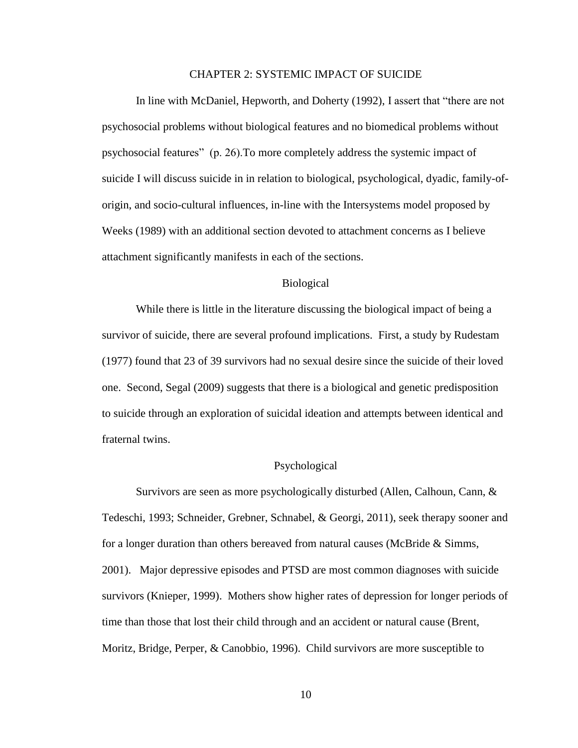#### CHAPTER 2: SYSTEMIC IMPACT OF SUICIDE

<span id="page-17-0"></span>In line with McDaniel, Hepworth, and Doherty (1992), I assert that "there are not psychosocial problems without biological features and no biomedical problems without psychosocial features" (p. 26).To more completely address the systemic impact of suicide I will discuss suicide in in relation to biological, psychological, dyadic, family-oforigin, and socio-cultural influences, in-line with the Intersystems model proposed by Weeks (1989) with an additional section devoted to attachment concerns as I believe attachment significantly manifests in each of the sections.

#### Biological

<span id="page-17-1"></span>While there is little in the literature discussing the biological impact of being a survivor of suicide, there are several profound implications. First, a study by Rudestam (1977) found that 23 of 39 survivors had no sexual desire since the suicide of their loved one. Second, Segal (2009) suggests that there is a biological and genetic predisposition to suicide through an exploration of suicidal ideation and attempts between identical and fraternal twins.

#### Psychological

<span id="page-17-2"></span>Survivors are seen as more psychologically disturbed (Allen, Calhoun, Cann, & Tedeschi, 1993; Schneider, Grebner, Schnabel, & Georgi, 2011), seek therapy sooner and for a longer duration than others bereaved from natural causes (McBride & Simms, 2001). Major depressive episodes and PTSD are most common diagnoses with suicide survivors (Knieper, 1999). Mothers show higher rates of depression for longer periods of time than those that lost their child through and an accident or natural cause (Brent, Moritz, Bridge, Perper, & Canobbio, 1996). Child survivors are more susceptible to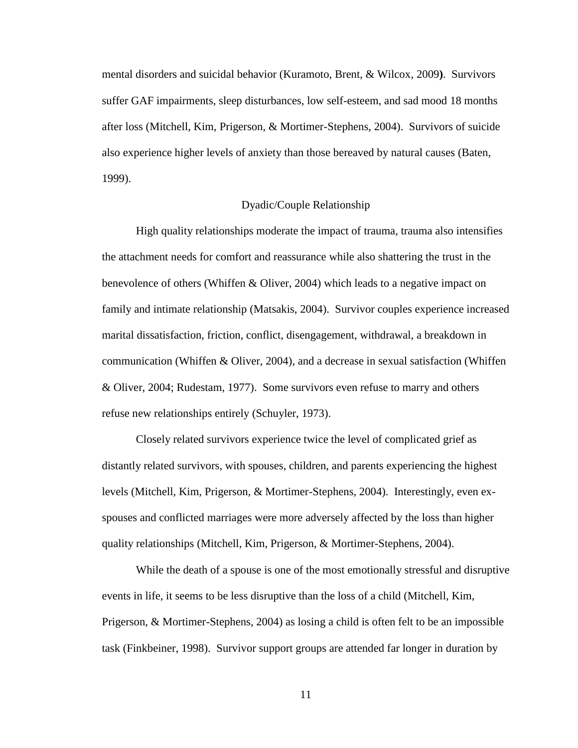mental disorders and suicidal behavior (Kuramoto, Brent, & Wilcox, 2009**)**. Survivors suffer GAF impairments, sleep disturbances, low self-esteem, and sad mood 18 months after loss (Mitchell, Kim, Prigerson, & Mortimer-Stephens, 2004). Survivors of suicide also experience higher levels of anxiety than those bereaved by natural causes (Baten, 1999).

#### Dyadic/Couple Relationship

<span id="page-18-0"></span>High quality relationships moderate the impact of trauma, trauma also intensifies the attachment needs for comfort and reassurance while also shattering the trust in the benevolence of others (Whiffen & Oliver, 2004) which leads to a negative impact on family and intimate relationship (Matsakis, 2004). Survivor couples experience increased marital dissatisfaction, friction, conflict, disengagement, withdrawal, a breakdown in communication (Whiffen & Oliver, 2004), and a decrease in sexual satisfaction (Whiffen & Oliver, 2004; Rudestam, 1977). Some survivors even refuse to marry and others refuse new relationships entirely (Schuyler, 1973).

Closely related survivors experience twice the level of complicated grief as distantly related survivors, with spouses, children, and parents experiencing the highest levels (Mitchell, Kim, Prigerson, & Mortimer-Stephens, 2004). Interestingly, even exspouses and conflicted marriages were more adversely affected by the loss than higher quality relationships (Mitchell, Kim, Prigerson, & Mortimer-Stephens, 2004).

While the death of a spouse is one of the most emotionally stressful and disruptive events in life, it seems to be less disruptive than the loss of a child (Mitchell, Kim, Prigerson, & Mortimer-Stephens, 2004) as losing a child is often felt to be an impossible task (Finkbeiner, 1998). Survivor support groups are attended far longer in duration by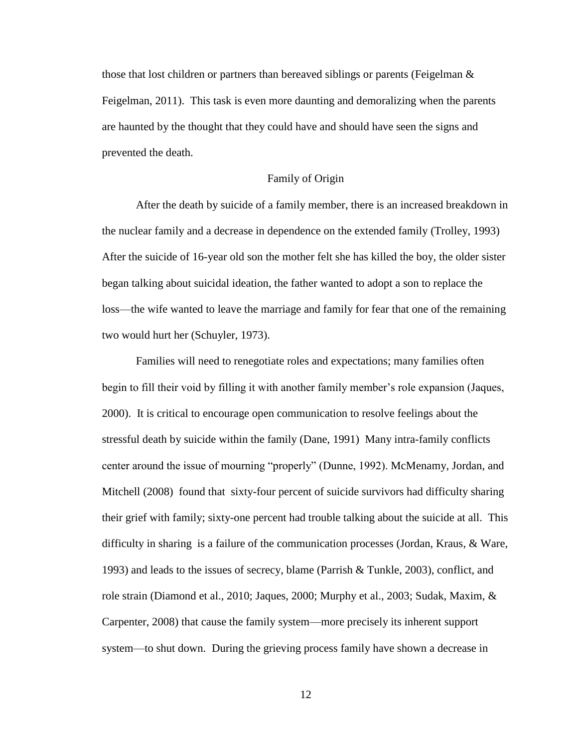those that lost children or partners than bereaved siblings or parents (Feigelman  $\&$ Feigelman, 2011). This task is even more daunting and demoralizing when the parents are haunted by the thought that they could have and should have seen the signs and prevented the death.

#### Family of Origin

<span id="page-19-0"></span>After the death by suicide of a family member, there is an increased breakdown in the nuclear family and a decrease in dependence on the extended family (Trolley, 1993) After the suicide of 16-year old son the mother felt she has killed the boy, the older sister began talking about suicidal ideation, the father wanted to adopt a son to replace the loss—the wife wanted to leave the marriage and family for fear that one of the remaining two would hurt her (Schuyler, 1973).

Families will need to renegotiate roles and expectations; many families often begin to fill their void by filling it with another family member's role expansion (Jaques, 2000). It is critical to encourage open communication to resolve feelings about the stressful death by suicide within the family (Dane, 1991) Many intra-family conflicts center around the issue of mourning "properly" (Dunne, 1992). McMenamy, Jordan, and Mitchell (2008) found that sixty-four percent of suicide survivors had difficulty sharing their grief with family; sixty-one percent had trouble talking about the suicide at all. This difficulty in sharing is a failure of the communication processes (Jordan, Kraus, & Ware, 1993) and leads to the issues of secrecy, blame (Parrish & Tunkle, 2003), conflict, and role strain (Diamond et al., 2010; Jaques, 2000; Murphy et al., 2003; Sudak, Maxim, & Carpenter, 2008) that cause the family system—more precisely its inherent support system—to shut down. During the grieving process family have shown a decrease in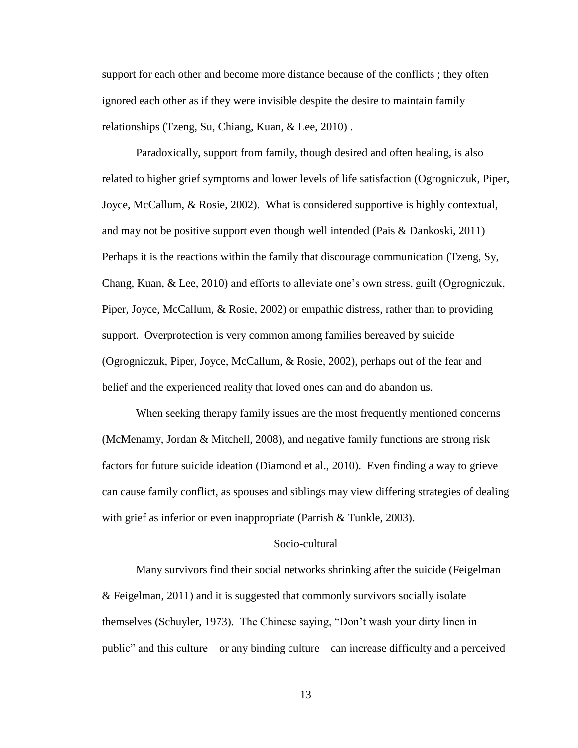support for each other and become more distance because of the conflicts ; they often ignored each other as if they were invisible despite the desire to maintain family relationships (Tzeng, Su, Chiang, Kuan, & Lee, 2010) .

Paradoxically, support from family, though desired and often healing, is also related to higher grief symptoms and lower levels of life satisfaction (Ogrogniczuk, Piper, Joyce, McCallum, & Rosie, 2002). What is considered supportive is highly contextual, and may not be positive support even though well intended (Pais & Dankoski, 2011) Perhaps it is the reactions within the family that discourage communication (Tzeng, Sy, Chang, Kuan, & Lee, 2010) and efforts to alleviate one's own stress, guilt (Ogrogniczuk, Piper, Joyce, McCallum, & Rosie, 2002) or empathic distress, rather than to providing support. Overprotection is very common among families bereaved by suicide (Ogrogniczuk, Piper, Joyce, McCallum, & Rosie, 2002), perhaps out of the fear and belief and the experienced reality that loved ones can and do abandon us.

When seeking therapy family issues are the most frequently mentioned concerns (McMenamy, Jordan & Mitchell, 2008), and negative family functions are strong risk factors for future suicide ideation (Diamond et al., 2010). Even finding a way to grieve can cause family conflict, as spouses and siblings may view differing strategies of dealing with grief as inferior or even inappropriate (Parrish & Tunkle, 2003).

#### Socio-cultural

<span id="page-20-0"></span>Many survivors find their social networks shrinking after the suicide (Feigelman & Feigelman, 2011) and it is suggested that commonly survivors socially isolate themselves (Schuyler, 1973). The Chinese saying, "Don't wash your dirty linen in public" and this culture—or any binding culture—can increase difficulty and a perceived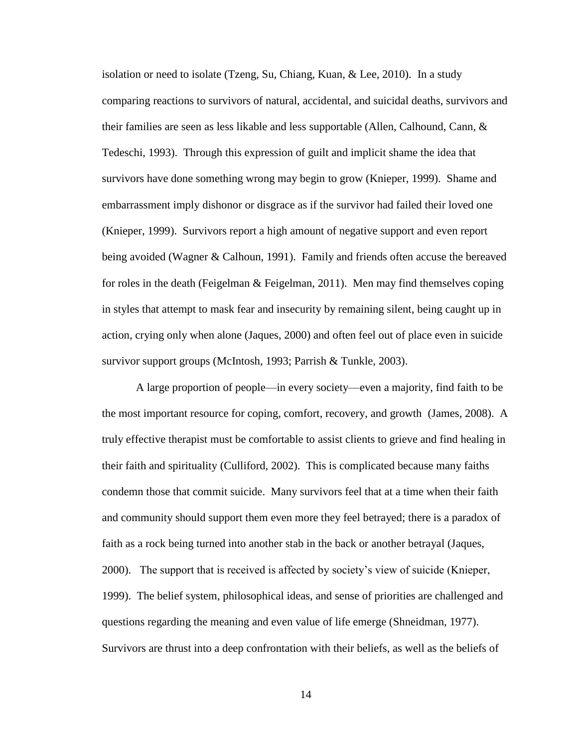isolation or need to isolate (Tzeng, Su, Chiang, Kuan, & Lee, 2010). In a study comparing reactions to survivors of natural, accidental, and suicidal deaths, survivors and their families are seen as less likable and less supportable (Allen, Calhound, Cann, & Tedeschi, 1993). Through this expression of guilt and implicit shame the idea that survivors have done something wrong may begin to grow (Knieper, 1999). Shame and embarrassment imply dishonor or disgrace as if the survivor had failed their loved one (Knieper, 1999). Survivors report a high amount of negative support and even report being avoided (Wagner & Calhoun, 1991). Family and friends often accuse the bereaved for roles in the death (Feigelman & Feigelman, 2011). Men may find themselves coping in styles that attempt to mask fear and insecurity by remaining silent, being caught up in action, crying only when alone (Jaques, 2000) and often feel out of place even in suicide survivor support groups (McIntosh, 1993; Parrish & Tunkle, 2003).

A large proportion of people—in every society—even a majority, find faith to be the most important resource for coping, comfort, recovery, and growth (James, 2008). A truly effective therapist must be comfortable to assist clients to grieve and find healing in their faith and spirituality (Culliford, 2002). This is complicated because many faiths condemn those that commit suicide. Many survivors feel that at a time when their faith and community should support them even more they feel betrayed; there is a paradox of faith as a rock being turned into another stab in the back or another betrayal (Jaques, 2000). The support that is received is affected by society's view of suicide (Knieper, 1999). The belief system, philosophical ideas, and sense of priorities are challenged and questions regarding the meaning and even value of life emerge (Shneidman, 1977). Survivors are thrust into a deep confrontation with their beliefs, as well as the beliefs of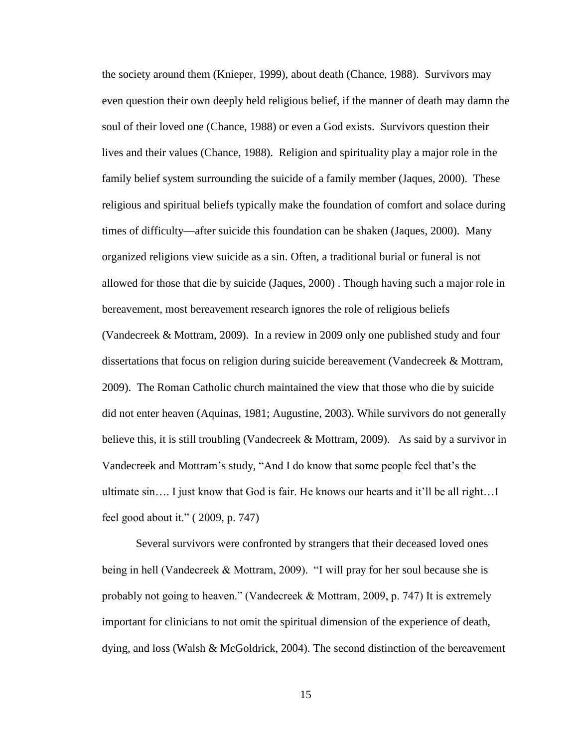the society around them (Knieper, 1999), about death (Chance, 1988). Survivors may even question their own deeply held religious belief, if the manner of death may damn the soul of their loved one (Chance, 1988) or even a God exists. Survivors question their lives and their values (Chance, 1988). Religion and spirituality play a major role in the family belief system surrounding the suicide of a family member (Jaques, 2000). These religious and spiritual beliefs typically make the foundation of comfort and solace during times of difficulty—after suicide this foundation can be shaken (Jaques, 2000). Many organized religions view suicide as a sin. Often, a traditional burial or funeral is not allowed for those that die by suicide (Jaques, 2000) . Though having such a major role in bereavement, most bereavement research ignores the role of religious beliefs (Vandecreek & Mottram, 2009). In a review in 2009 only one published study and four dissertations that focus on religion during suicide bereavement (Vandecreek & Mottram, 2009). The Roman Catholic church maintained the view that those who die by suicide did not enter heaven (Aquinas, 1981; Augustine, 2003). While survivors do not generally believe this, it is still troubling (Vandecreek & Mottram, 2009). As said by a survivor in Vandecreek and Mottram's study, "And I do know that some people feel that's the ultimate sin…. I just know that God is fair. He knows our hearts and it'll be all right…I feel good about it." ( 2009, p. 747)

Several survivors were confronted by strangers that their deceased loved ones being in hell (Vandecreek & Mottram, 2009). "I will pray for her soul because she is probably not going to heaven." (Vandecreek & Mottram, 2009, p. 747) It is extremely important for clinicians to not omit the spiritual dimension of the experience of death, dying, and loss (Walsh & McGoldrick, 2004). The second distinction of the bereavement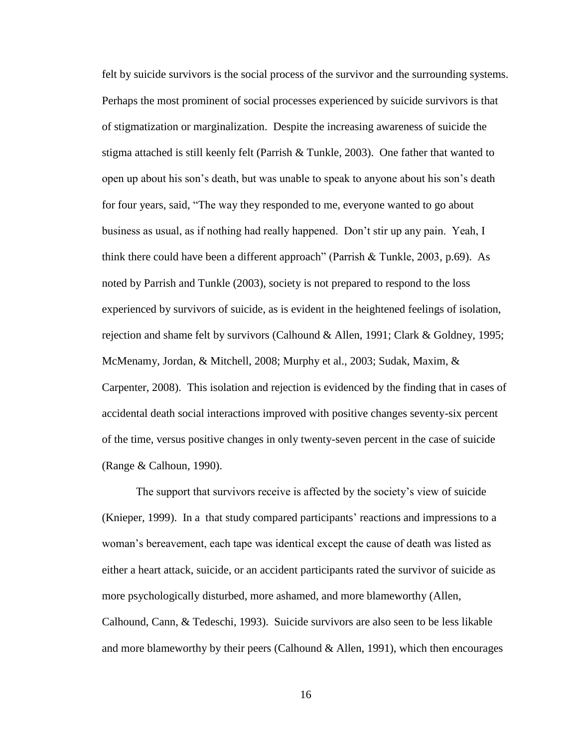felt by suicide survivors is the social process of the survivor and the surrounding systems. Perhaps the most prominent of social processes experienced by suicide survivors is that of stigmatization or marginalization. Despite the increasing awareness of suicide the stigma attached is still keenly felt (Parrish & Tunkle, 2003). One father that wanted to open up about his son's death, but was unable to speak to anyone about his son's death for four years, said, "The way they responded to me, everyone wanted to go about business as usual, as if nothing had really happened. Don't stir up any pain. Yeah, I think there could have been a different approach" (Parrish & Tunkle, 2003, p.69). As noted by Parrish and Tunkle (2003), society is not prepared to respond to the loss experienced by survivors of suicide, as is evident in the heightened feelings of isolation, rejection and shame felt by survivors (Calhound & Allen, 1991; Clark & Goldney, 1995; McMenamy, Jordan, & Mitchell, 2008; Murphy et al., 2003; Sudak, Maxim, & Carpenter, 2008). This isolation and rejection is evidenced by the finding that in cases of accidental death social interactions improved with positive changes seventy-six percent of the time, versus positive changes in only twenty-seven percent in the case of suicide (Range & Calhoun, 1990).

The support that survivors receive is affected by the society's view of suicide (Knieper, 1999). In a that study compared participants' reactions and impressions to a woman's bereavement, each tape was identical except the cause of death was listed as either a heart attack, suicide, or an accident participants rated the survivor of suicide as more psychologically disturbed, more ashamed, and more blameworthy (Allen, Calhound, Cann, & Tedeschi, 1993). Suicide survivors are also seen to be less likable and more blameworthy by their peers (Calhound & Allen, 1991), which then encourages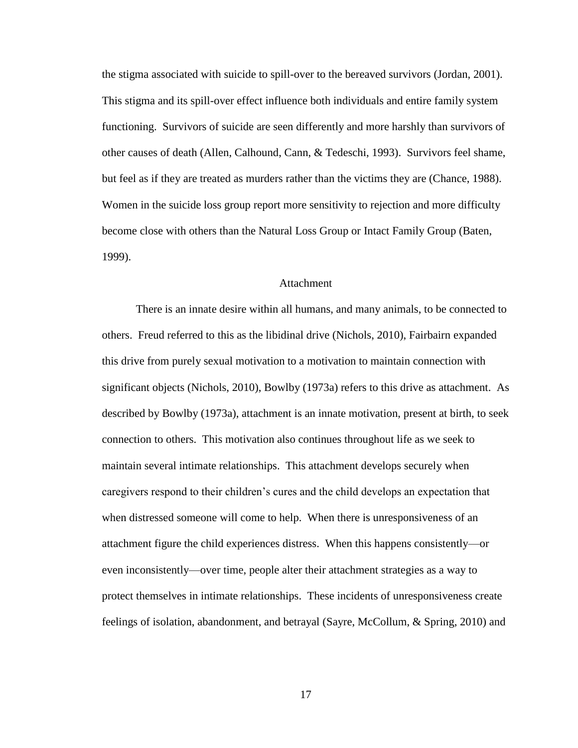the stigma associated with suicide to spill-over to the bereaved survivors (Jordan, 2001). This stigma and its spill-over effect influence both individuals and entire family system functioning. Survivors of suicide are seen differently and more harshly than survivors of other causes of death (Allen, Calhound, Cann, & Tedeschi, 1993). Survivors feel shame, but feel as if they are treated as murders rather than the victims they are (Chance, 1988). Women in the suicide loss group report more sensitivity to rejection and more difficulty become close with others than the Natural Loss Group or Intact Family Group (Baten, 1999).

#### **Attachment**

<span id="page-24-0"></span>There is an innate desire within all humans, and many animals, to be connected to others. Freud referred to this as the libidinal drive (Nichols, 2010), Fairbairn expanded this drive from purely sexual motivation to a motivation to maintain connection with significant objects (Nichols, 2010), Bowlby (1973a) refers to this drive as attachment. As described by Bowlby (1973a), attachment is an innate motivation, present at birth, to seek connection to others. This motivation also continues throughout life as we seek to maintain several intimate relationships. This attachment develops securely when caregivers respond to their children's cures and the child develops an expectation that when distressed someone will come to help. When there is unresponsiveness of an attachment figure the child experiences distress. When this happens consistently—or even inconsistently—over time, people alter their attachment strategies as a way to protect themselves in intimate relationships. These incidents of unresponsiveness create feelings of isolation, abandonment, and betrayal (Sayre, McCollum, & Spring, 2010) and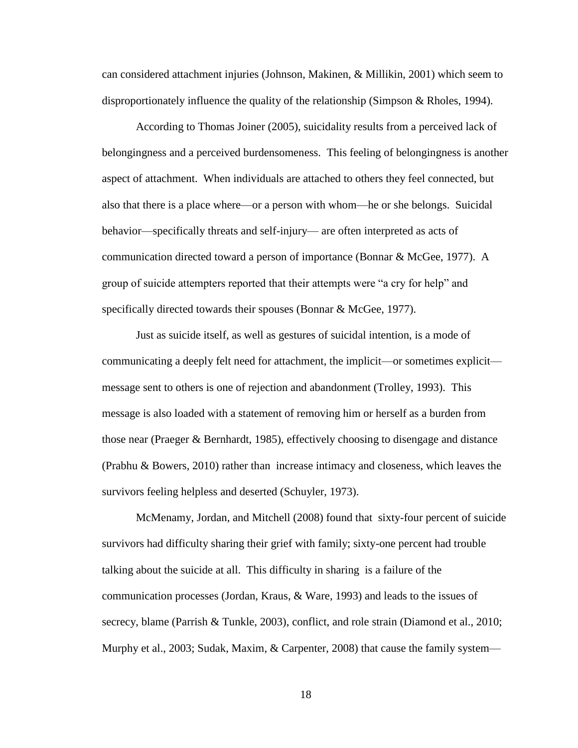can considered attachment injuries (Johnson, Makinen, & Millikin, 2001) which seem to disproportionately influence the quality of the relationship (Simpson & Rholes, 1994).

According to Thomas Joiner (2005), suicidality results from a perceived lack of belongingness and a perceived burdensomeness. This feeling of belongingness is another aspect of attachment. When individuals are attached to others they feel connected, but also that there is a place where—or a person with whom—he or she belongs. Suicidal behavior—specifically threats and self-injury— are often interpreted as acts of communication directed toward a person of importance (Bonnar & McGee, 1977). A group of suicide attempters reported that their attempts were "a cry for help" and specifically directed towards their spouses (Bonnar & McGee, 1977).

Just as suicide itself, as well as gestures of suicidal intention, is a mode of communicating a deeply felt need for attachment, the implicit—or sometimes explicit message sent to others is one of rejection and abandonment (Trolley, 1993). This message is also loaded with a statement of removing him or herself as a burden from those near (Praeger & Bernhardt, 1985), effectively choosing to disengage and distance (Prabhu & Bowers, 2010) rather than increase intimacy and closeness, which leaves the survivors feeling helpless and deserted (Schuyler, 1973).

McMenamy, Jordan, and Mitchell (2008) found that sixty-four percent of suicide survivors had difficulty sharing their grief with family; sixty-one percent had trouble talking about the suicide at all. This difficulty in sharing is a failure of the communication processes (Jordan, Kraus, & Ware, 1993) and leads to the issues of secrecy, blame (Parrish & Tunkle, 2003), conflict, and role strain (Diamond et al., 2010; Murphy et al., 2003; Sudak, Maxim, & Carpenter, 2008) that cause the family system—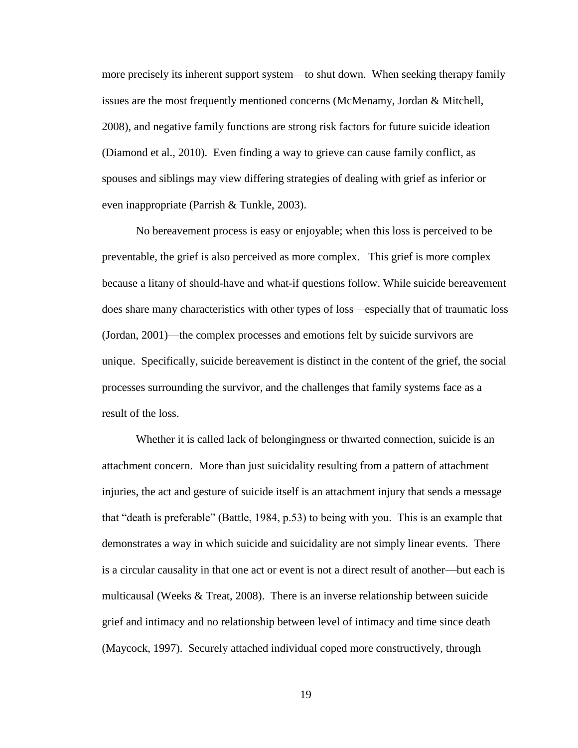more precisely its inherent support system—to shut down. When seeking therapy family issues are the most frequently mentioned concerns (McMenamy, Jordan & Mitchell, 2008), and negative family functions are strong risk factors for future suicide ideation (Diamond et al., 2010). Even finding a way to grieve can cause family conflict, as spouses and siblings may view differing strategies of dealing with grief as inferior or even inappropriate (Parrish & Tunkle, 2003).

No bereavement process is easy or enjoyable; when this loss is perceived to be preventable, the grief is also perceived as more complex. This grief is more complex because a litany of should-have and what-if questions follow. While suicide bereavement does share many characteristics with other types of loss—especially that of traumatic loss (Jordan, 2001)—the complex processes and emotions felt by suicide survivors are unique. Specifically, suicide bereavement is distinct in the content of the grief, the social processes surrounding the survivor, and the challenges that family systems face as a result of the loss.

Whether it is called lack of belongingness or thwarted connection, suicide is an attachment concern. More than just suicidality resulting from a pattern of attachment injuries, the act and gesture of suicide itself is an attachment injury that sends a message that "death is preferable" (Battle, 1984, p.53) to being with you. This is an example that demonstrates a way in which suicide and suicidality are not simply linear events. There is a circular causality in that one act or event is not a direct result of another—but each is multicausal (Weeks & Treat, 2008). There is an inverse relationship between suicide grief and intimacy and no relationship between level of intimacy and time since death (Maycock, 1997). Securely attached individual coped more constructively, through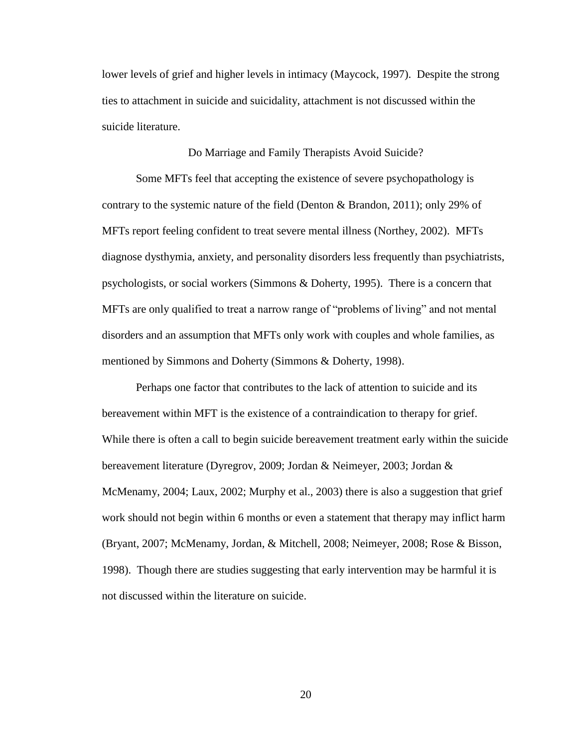lower levels of grief and higher levels in intimacy (Maycock, 1997). Despite the strong ties to attachment in suicide and suicidality, attachment is not discussed within the suicide literature.

#### Do Marriage and Family Therapists Avoid Suicide?

<span id="page-27-0"></span>Some MFTs feel that accepting the existence of severe psychopathology is contrary to the systemic nature of the field (Denton & Brandon, 2011); only 29% of MFTs report feeling confident to treat severe mental illness (Northey, 2002). MFTs diagnose dysthymia, anxiety, and personality disorders less frequently than psychiatrists, psychologists, or social workers (Simmons & Doherty, 1995). There is a concern that MFTs are only qualified to treat a narrow range of "problems of living" and not mental disorders and an assumption that MFTs only work with couples and whole families, as mentioned by Simmons and Doherty (Simmons & Doherty, 1998).

Perhaps one factor that contributes to the lack of attention to suicide and its bereavement within MFT is the existence of a contraindication to therapy for grief. While there is often a call to begin suicide bereavement treatment early within the suicide bereavement literature (Dyregrov, 2009; Jordan & Neimeyer, 2003; Jordan & McMenamy, 2004; Laux, 2002; Murphy et al., 2003) there is also a suggestion that grief work should not begin within 6 months or even a statement that therapy may inflict harm (Bryant, 2007; McMenamy, Jordan, & Mitchell, 2008; Neimeyer, 2008; Rose & Bisson, 1998). Though there are studies suggesting that early intervention may be harmful it is not discussed within the literature on suicide.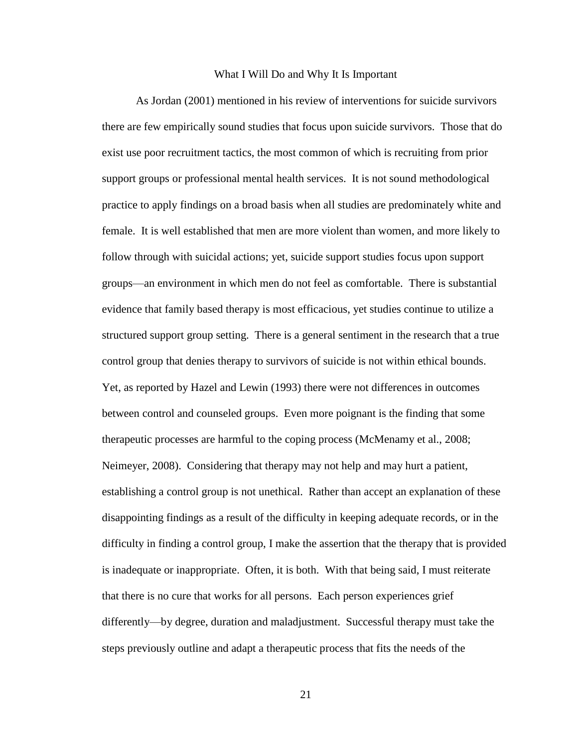#### What I Will Do and Why It Is Important

<span id="page-28-0"></span>As Jordan (2001) mentioned in his review of interventions for suicide survivors there are few empirically sound studies that focus upon suicide survivors. Those that do exist use poor recruitment tactics, the most common of which is recruiting from prior support groups or professional mental health services. It is not sound methodological practice to apply findings on a broad basis when all studies are predominately white and female. It is well established that men are more violent than women, and more likely to follow through with suicidal actions; yet, suicide support studies focus upon support groups—an environment in which men do not feel as comfortable. There is substantial evidence that family based therapy is most efficacious, yet studies continue to utilize a structured support group setting. There is a general sentiment in the research that a true control group that denies therapy to survivors of suicide is not within ethical bounds. Yet, as reported by Hazel and Lewin (1993) there were not differences in outcomes between control and counseled groups. Even more poignant is the finding that some therapeutic processes are harmful to the coping process (McMenamy et al., 2008; Neimeyer, 2008). Considering that therapy may not help and may hurt a patient, establishing a control group is not unethical. Rather than accept an explanation of these disappointing findings as a result of the difficulty in keeping adequate records, or in the difficulty in finding a control group, I make the assertion that the therapy that is provided is inadequate or inappropriate. Often, it is both. With that being said, I must reiterate that there is no cure that works for all persons. Each person experiences grief differently—by degree, duration and maladjustment. Successful therapy must take the steps previously outline and adapt a therapeutic process that fits the needs of the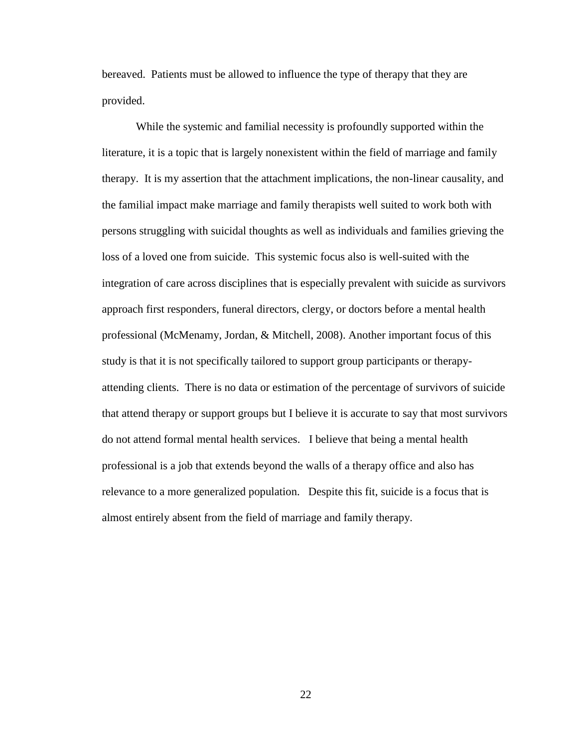bereaved. Patients must be allowed to influence the type of therapy that they are provided.

While the systemic and familial necessity is profoundly supported within the literature, it is a topic that is largely nonexistent within the field of marriage and family therapy. It is my assertion that the attachment implications, the non-linear causality, and the familial impact make marriage and family therapists well suited to work both with persons struggling with suicidal thoughts as well as individuals and families grieving the loss of a loved one from suicide. This systemic focus also is well-suited with the integration of care across disciplines that is especially prevalent with suicide as survivors approach first responders, funeral directors, clergy, or doctors before a mental health professional (McMenamy, Jordan, & Mitchell, 2008). Another important focus of this study is that it is not specifically tailored to support group participants or therapyattending clients. There is no data or estimation of the percentage of survivors of suicide that attend therapy or support groups but I believe it is accurate to say that most survivors do not attend formal mental health services. I believe that being a mental health professional is a job that extends beyond the walls of a therapy office and also has relevance to a more generalized population. Despite this fit, suicide is a focus that is almost entirely absent from the field of marriage and family therapy.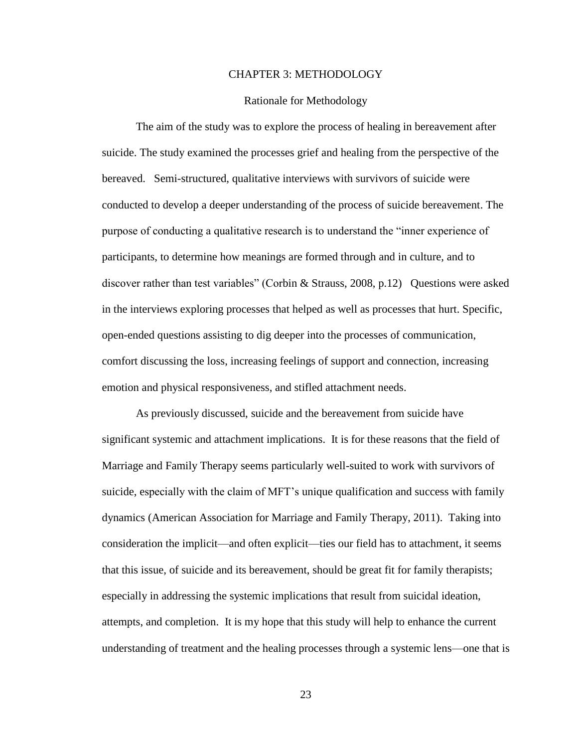#### CHAPTER 3: METHODOLOGY

#### Rationale for Methodology

<span id="page-30-1"></span><span id="page-30-0"></span>The aim of the study was to explore the process of healing in bereavement after suicide. The study examined the processes grief and healing from the perspective of the bereaved. Semi-structured, qualitative interviews with survivors of suicide were conducted to develop a deeper understanding of the process of suicide bereavement. The purpose of conducting a qualitative research is to understand the "inner experience of participants, to determine how meanings are formed through and in culture, and to discover rather than test variables" (Corbin & Strauss, 2008, p.12) Questions were asked in the interviews exploring processes that helped as well as processes that hurt. Specific, open-ended questions assisting to dig deeper into the processes of communication, comfort discussing the loss, increasing feelings of support and connection, increasing emotion and physical responsiveness, and stifled attachment needs.

As previously discussed, suicide and the bereavement from suicide have significant systemic and attachment implications. It is for these reasons that the field of Marriage and Family Therapy seems particularly well-suited to work with survivors of suicide, especially with the claim of MFT's unique qualification and success with family dynamics (American Association for Marriage and Family Therapy, 2011). Taking into consideration the implicit—and often explicit—ties our field has to attachment, it seems that this issue, of suicide and its bereavement, should be great fit for family therapists; especially in addressing the systemic implications that result from suicidal ideation, attempts, and completion. It is my hope that this study will help to enhance the current understanding of treatment and the healing processes through a systemic lens—one that is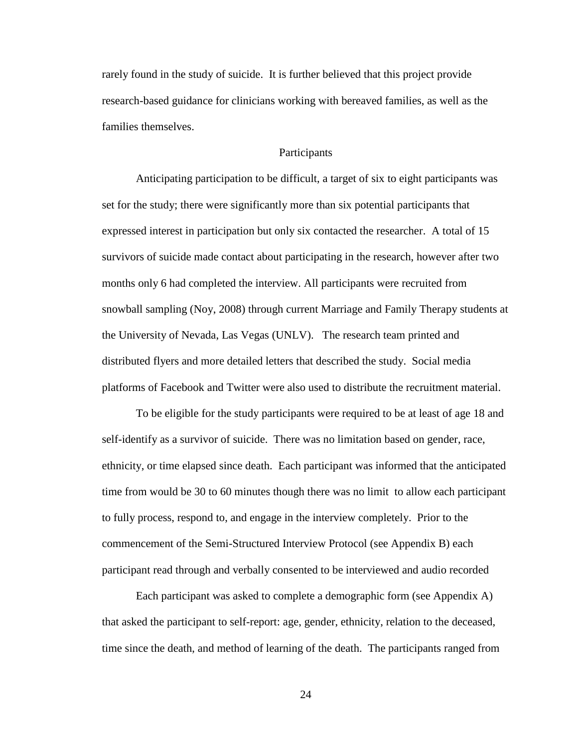rarely found in the study of suicide. It is further believed that this project provide research-based guidance for clinicians working with bereaved families, as well as the families themselves.

#### Participants

<span id="page-31-0"></span>Anticipating participation to be difficult, a target of six to eight participants was set for the study; there were significantly more than six potential participants that expressed interest in participation but only six contacted the researcher. A total of 15 survivors of suicide made contact about participating in the research, however after two months only 6 had completed the interview. All participants were recruited from snowball sampling (Noy, 2008) through current Marriage and Family Therapy students at the University of Nevada, Las Vegas (UNLV). The research team printed and distributed flyers and more detailed letters that described the study. Social media platforms of Facebook and Twitter were also used to distribute the recruitment material.

To be eligible for the study participants were required to be at least of age 18 and self-identify as a survivor of suicide. There was no limitation based on gender, race, ethnicity, or time elapsed since death. Each participant was informed that the anticipated time from would be 30 to 60 minutes though there was no limit to allow each participant to fully process, respond to, and engage in the interview completely. Prior to the commencement of the Semi-Structured Interview Protocol (see Appendix B) each participant read through and verbally consented to be interviewed and audio recorded

Each participant was asked to complete a demographic form (see Appendix A) that asked the participant to self-report: age, gender, ethnicity, relation to the deceased, time since the death, and method of learning of the death. The participants ranged from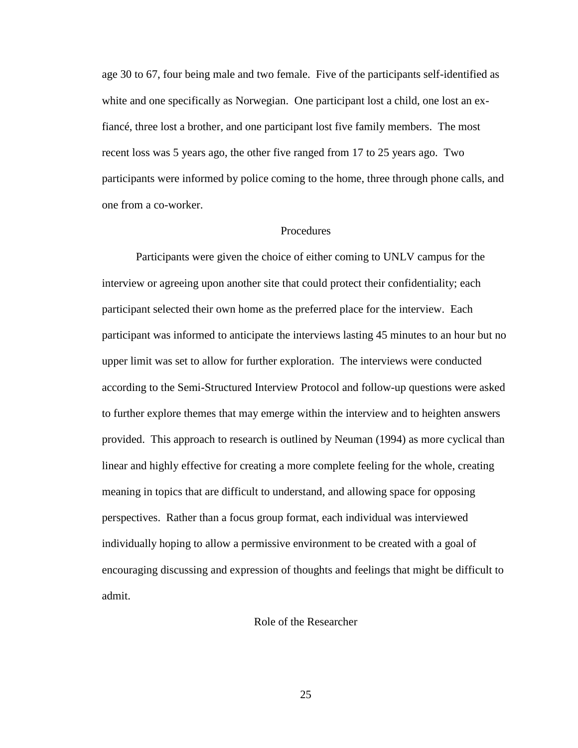age 30 to 67, four being male and two female. Five of the participants self-identified as white and one specifically as Norwegian. One participant lost a child, one lost an exfiancé, three lost a brother, and one participant lost five family members. The most recent loss was 5 years ago, the other five ranged from 17 to 25 years ago. Two participants were informed by police coming to the home, three through phone calls, and one from a co-worker.

#### Procedures

<span id="page-32-0"></span>Participants were given the choice of either coming to UNLV campus for the interview or agreeing upon another site that could protect their confidentiality; each participant selected their own home as the preferred place for the interview. Each participant was informed to anticipate the interviews lasting 45 minutes to an hour but no upper limit was set to allow for further exploration. The interviews were conducted according to the Semi-Structured Interview Protocol and follow-up questions were asked to further explore themes that may emerge within the interview and to heighten answers provided. This approach to research is outlined by Neuman (1994) as more cyclical than linear and highly effective for creating a more complete feeling for the whole, creating meaning in topics that are difficult to understand, and allowing space for opposing perspectives. Rather than a focus group format, each individual was interviewed individually hoping to allow a permissive environment to be created with a goal of encouraging discussing and expression of thoughts and feelings that might be difficult to admit.

#### <span id="page-32-1"></span>Role of the Researcher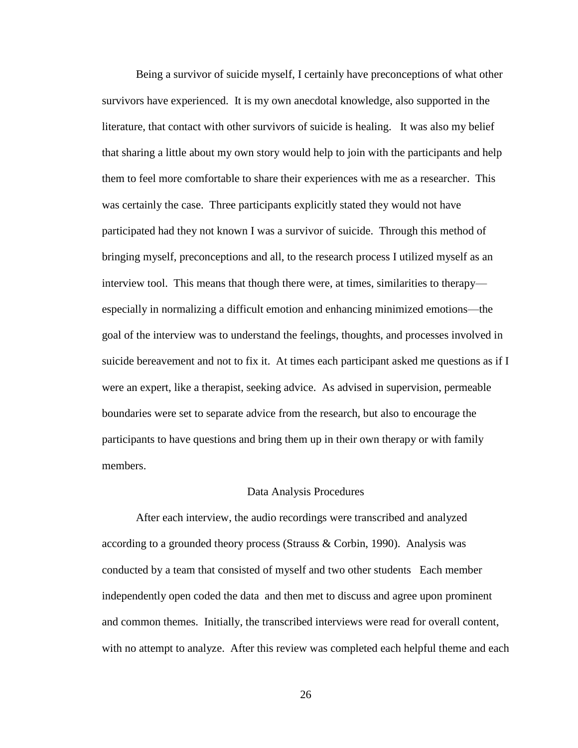Being a survivor of suicide myself, I certainly have preconceptions of what other survivors have experienced. It is my own anecdotal knowledge, also supported in the literature, that contact with other survivors of suicide is healing. It was also my belief that sharing a little about my own story would help to join with the participants and help them to feel more comfortable to share their experiences with me as a researcher. This was certainly the case. Three participants explicitly stated they would not have participated had they not known I was a survivor of suicide. Through this method of bringing myself, preconceptions and all, to the research process I utilized myself as an interview tool. This means that though there were, at times, similarities to therapy especially in normalizing a difficult emotion and enhancing minimized emotions—the goal of the interview was to understand the feelings, thoughts, and processes involved in suicide bereavement and not to fix it. At times each participant asked me questions as if I were an expert, like a therapist, seeking advice. As advised in supervision, permeable boundaries were set to separate advice from the research, but also to encourage the participants to have questions and bring them up in their own therapy or with family members.

#### Data Analysis Procedures

<span id="page-33-0"></span>After each interview, the audio recordings were transcribed and analyzed according to a grounded theory process (Strauss & Corbin, 1990). Analysis was conducted by a team that consisted of myself and two other students Each member independently open coded the data and then met to discuss and agree upon prominent and common themes. Initially, the transcribed interviews were read for overall content, with no attempt to analyze. After this review was completed each helpful theme and each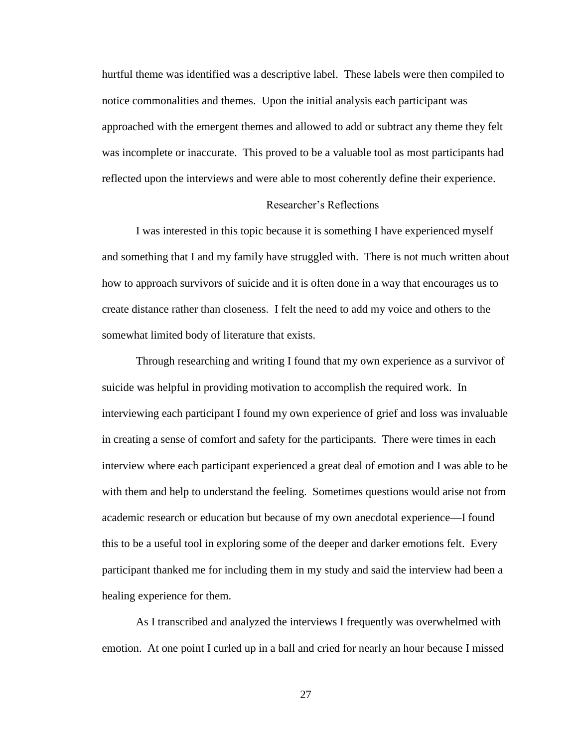hurtful theme was identified was a descriptive label. These labels were then compiled to notice commonalities and themes. Upon the initial analysis each participant was approached with the emergent themes and allowed to add or subtract any theme they felt was incomplete or inaccurate. This proved to be a valuable tool as most participants had reflected upon the interviews and were able to most coherently define their experience.

#### Researcher's Reflections

I was interested in this topic because it is something I have experienced myself and something that I and my family have struggled with. There is not much written about how to approach survivors of suicide and it is often done in a way that encourages us to create distance rather than closeness. I felt the need to add my voice and others to the somewhat limited body of literature that exists.

Through researching and writing I found that my own experience as a survivor of suicide was helpful in providing motivation to accomplish the required work. In interviewing each participant I found my own experience of grief and loss was invaluable in creating a sense of comfort and safety for the participants. There were times in each interview where each participant experienced a great deal of emotion and I was able to be with them and help to understand the feeling. Sometimes questions would arise not from academic research or education but because of my own anecdotal experience—I found this to be a useful tool in exploring some of the deeper and darker emotions felt. Every participant thanked me for including them in my study and said the interview had been a healing experience for them.

As I transcribed and analyzed the interviews I frequently was overwhelmed with emotion. At one point I curled up in a ball and cried for nearly an hour because I missed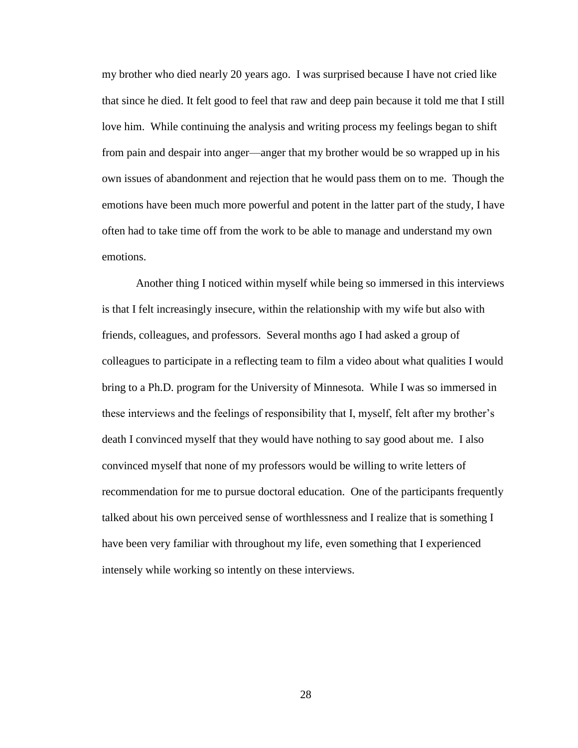my brother who died nearly 20 years ago. I was surprised because I have not cried like that since he died. It felt good to feel that raw and deep pain because it told me that I still love him. While continuing the analysis and writing process my feelings began to shift from pain and despair into anger—anger that my brother would be so wrapped up in his own issues of abandonment and rejection that he would pass them on to me. Though the emotions have been much more powerful and potent in the latter part of the study, I have often had to take time off from the work to be able to manage and understand my own emotions.

Another thing I noticed within myself while being so immersed in this interviews is that I felt increasingly insecure, within the relationship with my wife but also with friends, colleagues, and professors. Several months ago I had asked a group of colleagues to participate in a reflecting team to film a video about what qualities I would bring to a Ph.D. program for the University of Minnesota. While I was so immersed in these interviews and the feelings of responsibility that I, myself, felt after my brother's death I convinced myself that they would have nothing to say good about me. I also convinced myself that none of my professors would be willing to write letters of recommendation for me to pursue doctoral education. One of the participants frequently talked about his own perceived sense of worthlessness and I realize that is something I have been very familiar with throughout my life, even something that I experienced intensely while working so intently on these interviews.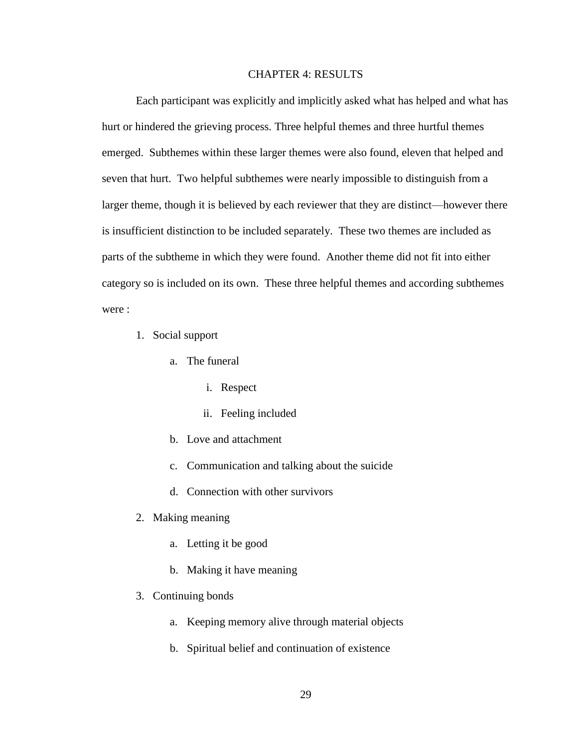## CHAPTER 4: RESULTS

Each participant was explicitly and implicitly asked what has helped and what has hurt or hindered the grieving process. Three helpful themes and three hurtful themes emerged. Subthemes within these larger themes were also found, eleven that helped and seven that hurt. Two helpful subthemes were nearly impossible to distinguish from a larger theme, though it is believed by each reviewer that they are distinct—however there is insufficient distinction to be included separately. These two themes are included as parts of the subtheme in which they were found. Another theme did not fit into either category so is included on its own. These three helpful themes and according subthemes were :

- 1. Social support
	- a. The funeral
		- i. Respect
		- ii. Feeling included
	- b. Love and attachment
	- c. Communication and talking about the suicide
	- d. Connection with other survivors
- 2. Making meaning
	- a. Letting it be good
	- b. Making it have meaning
- 3. Continuing bonds
	- a. Keeping memory alive through material objects
	- b. Spiritual belief and continuation of existence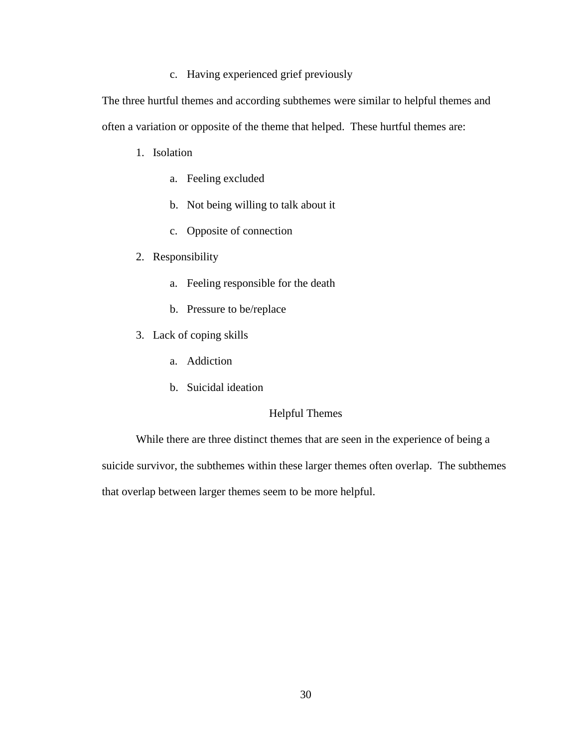c. Having experienced grief previously

The three hurtful themes and according subthemes were similar to helpful themes and often a variation or opposite of the theme that helped. These hurtful themes are:

- 1. Isolation
	- a. Feeling excluded
	- b. Not being willing to talk about it
	- c. Opposite of connection
- 2. Responsibility
	- a. Feeling responsible for the death
	- b. Pressure to be/replace
- 3. Lack of coping skills
	- a. Addiction
	- b. Suicidal ideation

## Helpful Themes

While there are three distinct themes that are seen in the experience of being a suicide survivor, the subthemes within these larger themes often overlap. The subthemes that overlap between larger themes seem to be more helpful.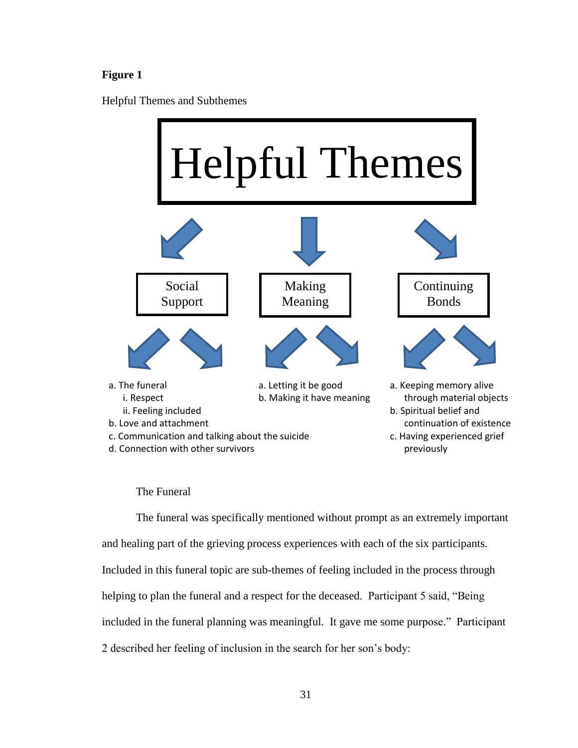## **Figure 1**

Helpful Themes and Subthemes



### The Funeral

The funeral was specifically mentioned without prompt as an extremely important and healing part of the grieving process experiences with each of the six participants. Included in this funeral topic are sub-themes of feeling included in the process through helping to plan the funeral and a respect for the deceased. Participant 5 said, "Being included in the funeral planning was meaningful. It gave me some purpose." Participant 2 described her feeling of inclusion in the search for her son's body: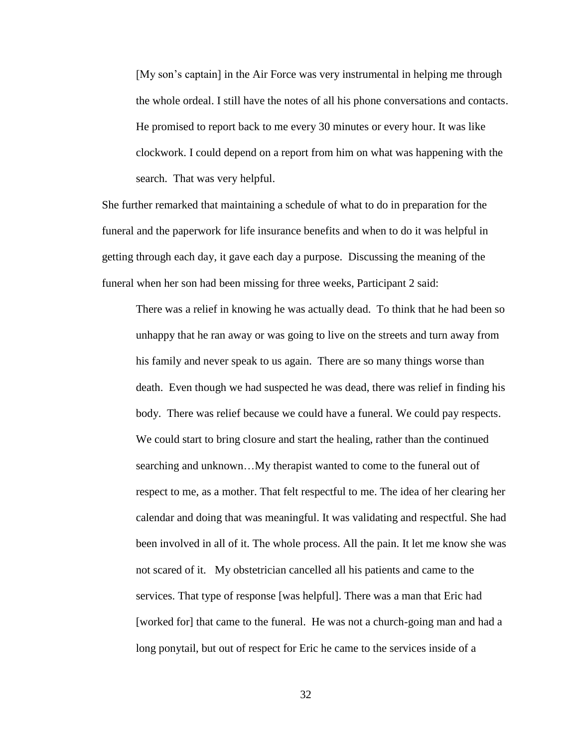[My son's captain] in the Air Force was very instrumental in helping me through the whole ordeal. I still have the notes of all his phone conversations and contacts. He promised to report back to me every 30 minutes or every hour. It was like clockwork. I could depend on a report from him on what was happening with the search. That was very helpful.

She further remarked that maintaining a schedule of what to do in preparation for the funeral and the paperwork for life insurance benefits and when to do it was helpful in getting through each day, it gave each day a purpose. Discussing the meaning of the funeral when her son had been missing for three weeks, Participant 2 said:

There was a relief in knowing he was actually dead. To think that he had been so unhappy that he ran away or was going to live on the streets and turn away from his family and never speak to us again. There are so many things worse than death. Even though we had suspected he was dead, there was relief in finding his body. There was relief because we could have a funeral. We could pay respects. We could start to bring closure and start the healing, rather than the continued searching and unknown…My therapist wanted to come to the funeral out of respect to me, as a mother. That felt respectful to me. The idea of her clearing her calendar and doing that was meaningful. It was validating and respectful. She had been involved in all of it. The whole process. All the pain. It let me know she was not scared of it. My obstetrician cancelled all his patients and came to the services. That type of response [was helpful]. There was a man that Eric had [worked for] that came to the funeral. He was not a church-going man and had a long ponytail, but out of respect for Eric he came to the services inside of a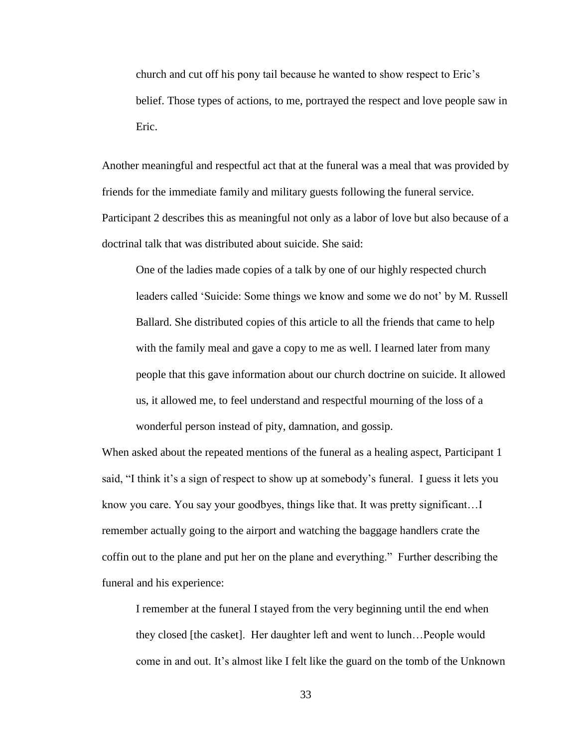church and cut off his pony tail because he wanted to show respect to Eric's belief. Those types of actions, to me, portrayed the respect and love people saw in Eric.

Another meaningful and respectful act that at the funeral was a meal that was provided by friends for the immediate family and military guests following the funeral service. Participant 2 describes this as meaningful not only as a labor of love but also because of a doctrinal talk that was distributed about suicide. She said:

One of the ladies made copies of a talk by one of our highly respected church leaders called 'Suicide: Some things we know and some we do not' by M. Russell Ballard. She distributed copies of this article to all the friends that came to help with the family meal and gave a copy to me as well. I learned later from many people that this gave information about our church doctrine on suicide. It allowed us, it allowed me, to feel understand and respectful mourning of the loss of a wonderful person instead of pity, damnation, and gossip.

When asked about the repeated mentions of the funeral as a healing aspect, Participant 1 said, "I think it's a sign of respect to show up at somebody's funeral. I guess it lets you know you care. You say your goodbyes, things like that. It was pretty significant…I remember actually going to the airport and watching the baggage handlers crate the coffin out to the plane and put her on the plane and everything." Further describing the funeral and his experience:

I remember at the funeral I stayed from the very beginning until the end when they closed [the casket]. Her daughter left and went to lunch…People would come in and out. It's almost like I felt like the guard on the tomb of the Unknown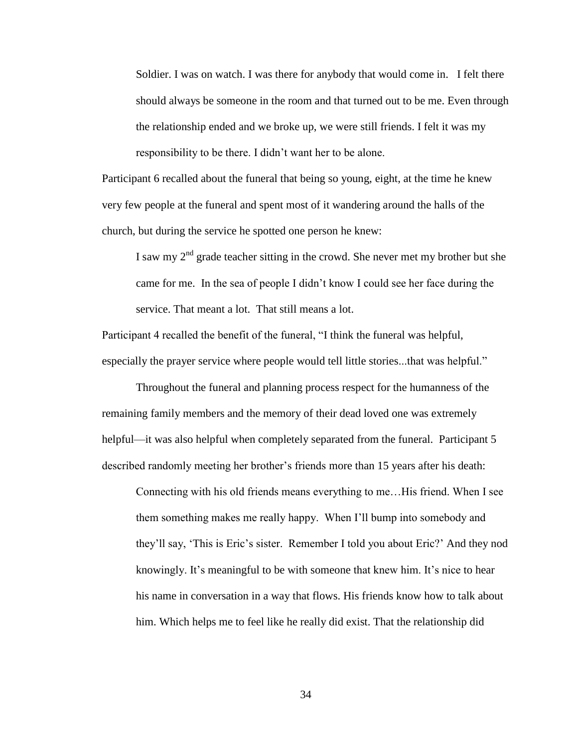Soldier. I was on watch. I was there for anybody that would come in. I felt there should always be someone in the room and that turned out to be me. Even through the relationship ended and we broke up, we were still friends. I felt it was my responsibility to be there. I didn't want her to be alone.

Participant 6 recalled about the funeral that being so young, eight, at the time he knew very few people at the funeral and spent most of it wandering around the halls of the church, but during the service he spotted one person he knew:

I saw my  $2<sup>nd</sup>$  grade teacher sitting in the crowd. She never met my brother but she came for me. In the sea of people I didn't know I could see her face during the service. That meant a lot. That still means a lot.

Participant 4 recalled the benefit of the funeral, "I think the funeral was helpful, especially the prayer service where people would tell little stories...that was helpful."

Throughout the funeral and planning process respect for the humanness of the remaining family members and the memory of their dead loved one was extremely helpful—it was also helpful when completely separated from the funeral. Participant 5 described randomly meeting her brother's friends more than 15 years after his death:

Connecting with his old friends means everything to me…His friend. When I see them something makes me really happy. When I'll bump into somebody and they'll say, 'This is Eric's sister. Remember I told you about Eric?' And they nod knowingly. It's meaningful to be with someone that knew him. It's nice to hear his name in conversation in a way that flows. His friends know how to talk about him. Which helps me to feel like he really did exist. That the relationship did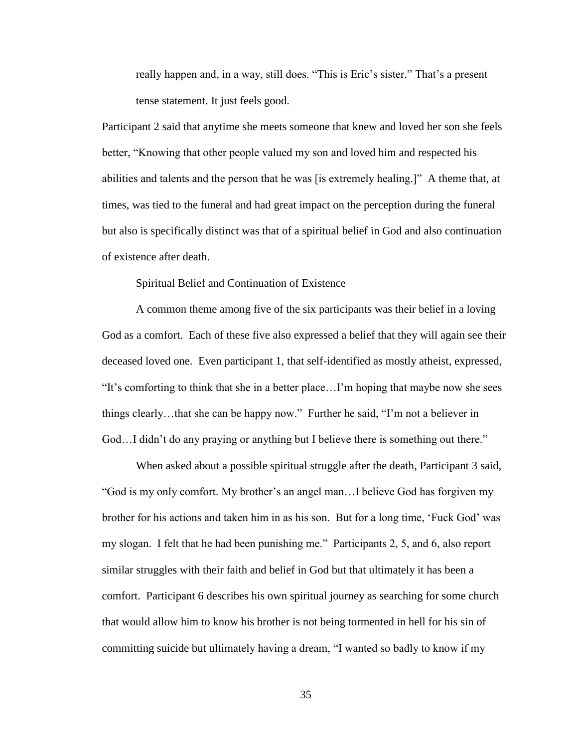really happen and, in a way, still does. "This is Eric's sister." That's a present tense statement. It just feels good.

Participant 2 said that anytime she meets someone that knew and loved her son she feels better, "Knowing that other people valued my son and loved him and respected his abilities and talents and the person that he was [is extremely healing.]" A theme that, at times, was tied to the funeral and had great impact on the perception during the funeral but also is specifically distinct was that of a spiritual belief in God and also continuation of existence after death.

Spiritual Belief and Continuation of Existence

A common theme among five of the six participants was their belief in a loving God as a comfort. Each of these five also expressed a belief that they will again see their deceased loved one. Even participant 1, that self-identified as mostly atheist, expressed, "It's comforting to think that she in a better place…I'm hoping that maybe now she sees things clearly…that she can be happy now." Further he said, "I'm not a believer in God…I didn't do any praying or anything but I believe there is something out there."

When asked about a possible spiritual struggle after the death, Participant 3 said, "God is my only comfort. My brother's an angel man…I believe God has forgiven my brother for his actions and taken him in as his son. But for a long time, 'Fuck God' was my slogan. I felt that he had been punishing me." Participants 2, 5, and 6, also report similar struggles with their faith and belief in God but that ultimately it has been a comfort. Participant 6 describes his own spiritual journey as searching for some church that would allow him to know his brother is not being tormented in hell for his sin of committing suicide but ultimately having a dream, "I wanted so badly to know if my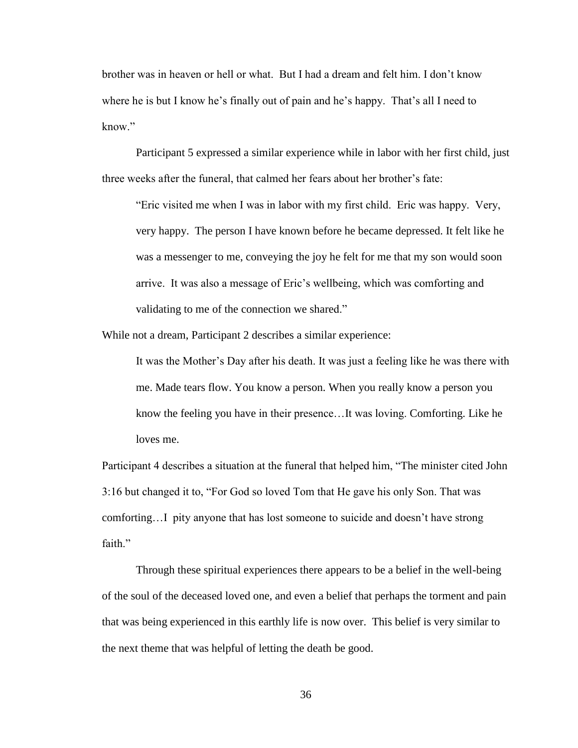brother was in heaven or hell or what. But I had a dream and felt him. I don't know where he is but I know he's finally out of pain and he's happy. That's all I need to know"

Participant 5 expressed a similar experience while in labor with her first child, just three weeks after the funeral, that calmed her fears about her brother's fate:

"Eric visited me when I was in labor with my first child. Eric was happy. Very, very happy. The person I have known before he became depressed. It felt like he was a messenger to me, conveying the joy he felt for me that my son would soon arrive. It was also a message of Eric's wellbeing, which was comforting and validating to me of the connection we shared."

While not a dream, Participant 2 describes a similar experience:

It was the Mother's Day after his death. It was just a feeling like he was there with me. Made tears flow. You know a person. When you really know a person you know the feeling you have in their presence…It was loving. Comforting. Like he loves me.

Participant 4 describes a situation at the funeral that helped him, "The minister cited John 3:16 but changed it to, "For God so loved Tom that He gave his only Son. That was comforting…I pity anyone that has lost someone to suicide and doesn't have strong faith"

Through these spiritual experiences there appears to be a belief in the well-being of the soul of the deceased loved one, and even a belief that perhaps the torment and pain that was being experienced in this earthly life is now over. This belief is very similar to the next theme that was helpful of letting the death be good.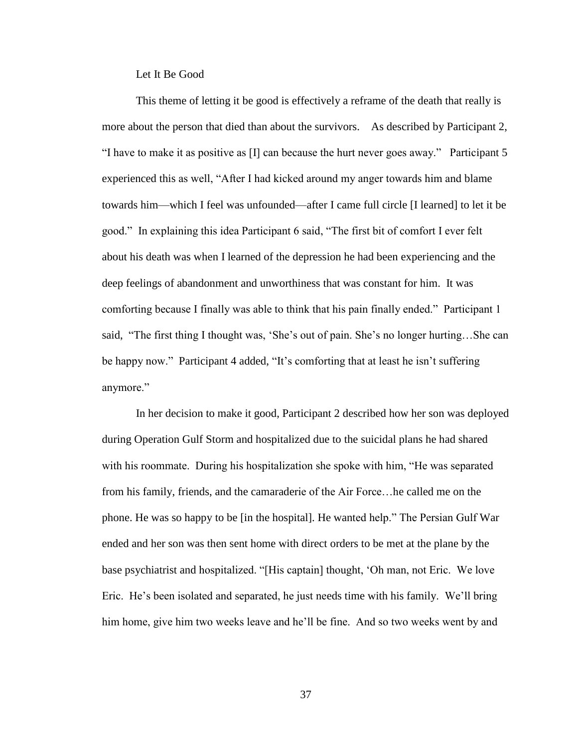Let It Be Good

This theme of letting it be good is effectively a reframe of the death that really is more about the person that died than about the survivors. As described by Participant 2, "I have to make it as positive as  $[I]$  can because the hurt never goes away." Participant 5 experienced this as well, "After I had kicked around my anger towards him and blame towards him—which I feel was unfounded—after I came full circle [I learned] to let it be good." In explaining this idea Participant 6 said, "The first bit of comfort I ever felt about his death was when I learned of the depression he had been experiencing and the deep feelings of abandonment and unworthiness that was constant for him. It was comforting because I finally was able to think that his pain finally ended." Participant 1 said, "The first thing I thought was, 'She's out of pain. She's no longer hurting…She can be happy now." Participant 4 added, "It's comforting that at least he isn't suffering anymore."

In her decision to make it good, Participant 2 described how her son was deployed during Operation Gulf Storm and hospitalized due to the suicidal plans he had shared with his roommate. During his hospitalization she spoke with him, "He was separated from his family, friends, and the camaraderie of the Air Force…he called me on the phone. He was so happy to be [in the hospital]. He wanted help." The Persian Gulf War ended and her son was then sent home with direct orders to be met at the plane by the base psychiatrist and hospitalized. "[His captain] thought, 'Oh man, not Eric. We love Eric. He's been isolated and separated, he just needs time with his family. We'll bring him home, give him two weeks leave and he'll be fine. And so two weeks went by and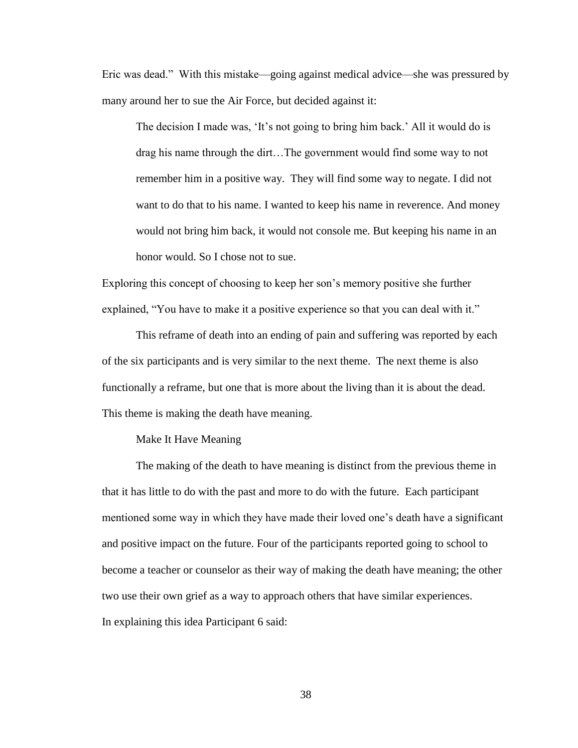Eric was dead." With this mistake—going against medical advice—she was pressured by many around her to sue the Air Force, but decided against it:

The decision I made was, 'It's not going to bring him back.' All it would do is drag his name through the dirt…The government would find some way to not remember him in a positive way. They will find some way to negate. I did not want to do that to his name. I wanted to keep his name in reverence. And money would not bring him back, it would not console me. But keeping his name in an honor would. So I chose not to sue.

Exploring this concept of choosing to keep her son's memory positive she further explained, "You have to make it a positive experience so that you can deal with it."

This reframe of death into an ending of pain and suffering was reported by each of the six participants and is very similar to the next theme. The next theme is also functionally a reframe, but one that is more about the living than it is about the dead. This theme is making the death have meaning.

## Make It Have Meaning

The making of the death to have meaning is distinct from the previous theme in that it has little to do with the past and more to do with the future. Each participant mentioned some way in which they have made their loved one's death have a significant and positive impact on the future. Four of the participants reported going to school to become a teacher or counselor as their way of making the death have meaning; the other two use their own grief as a way to approach others that have similar experiences. In explaining this idea Participant 6 said: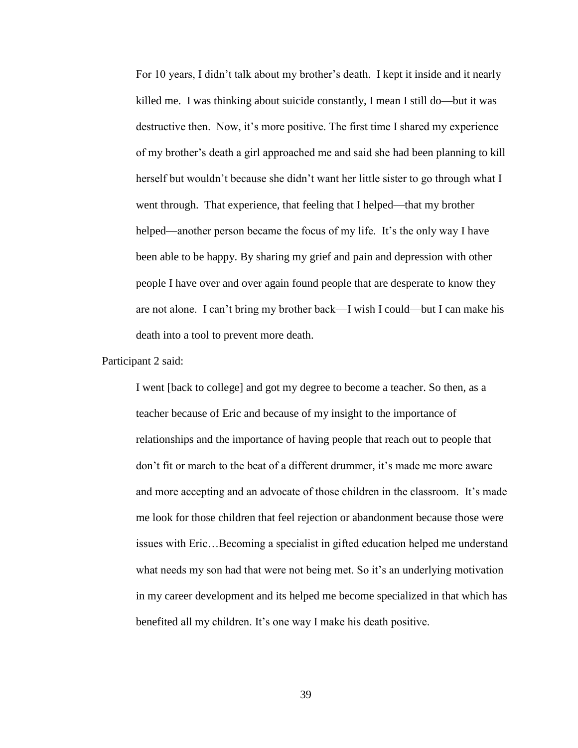For 10 years, I didn't talk about my brother's death. I kept it inside and it nearly killed me. I was thinking about suicide constantly, I mean I still do—but it was destructive then. Now, it's more positive. The first time I shared my experience of my brother's death a girl approached me and said she had been planning to kill herself but wouldn't because she didn't want her little sister to go through what I went through. That experience, that feeling that I helped—that my brother helped—another person became the focus of my life. It's the only way I have been able to be happy. By sharing my grief and pain and depression with other people I have over and over again found people that are desperate to know they are not alone. I can't bring my brother back—I wish I could—but I can make his death into a tool to prevent more death.

Participant 2 said:

I went [back to college] and got my degree to become a teacher. So then, as a teacher because of Eric and because of my insight to the importance of relationships and the importance of having people that reach out to people that don't fit or march to the beat of a different drummer, it's made me more aware and more accepting and an advocate of those children in the classroom. It's made me look for those children that feel rejection or abandonment because those were issues with Eric…Becoming a specialist in gifted education helped me understand what needs my son had that were not being met. So it's an underlying motivation in my career development and its helped me become specialized in that which has benefited all my children. It's one way I make his death positive.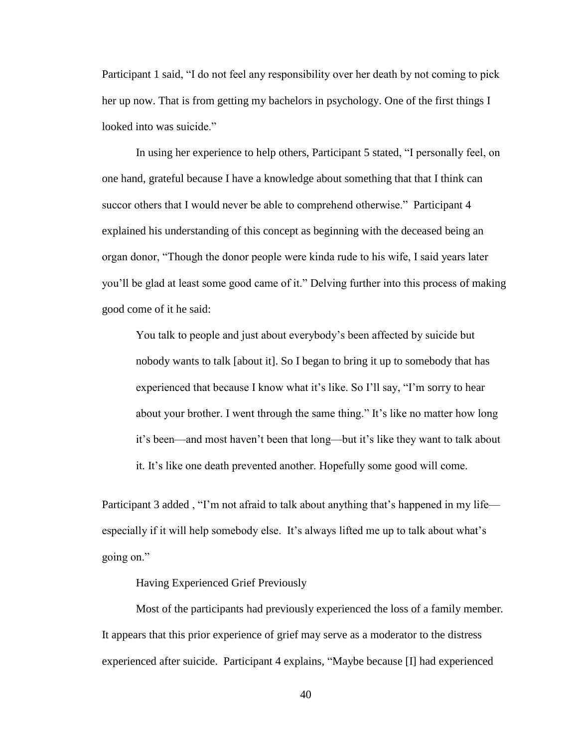Participant 1 said, "I do not feel any responsibility over her death by not coming to pick her up now. That is from getting my bachelors in psychology. One of the first things I looked into was suicide."

In using her experience to help others, Participant 5 stated, "I personally feel, on one hand, grateful because I have a knowledge about something that that I think can succor others that I would never be able to comprehend otherwise." Participant 4 explained his understanding of this concept as beginning with the deceased being an organ donor, "Though the donor people were kinda rude to his wife, I said years later you'll be glad at least some good came of it." Delving further into this process of making good come of it he said:

You talk to people and just about everybody's been affected by suicide but nobody wants to talk [about it]. So I began to bring it up to somebody that has experienced that because I know what it's like. So I'll say, "I'm sorry to hear about your brother. I went through the same thing." It's like no matter how long it's been—and most haven't been that long—but it's like they want to talk about it. It's like one death prevented another. Hopefully some good will come.

Participant 3 added, "I'm not afraid to talk about anything that's happened in my life especially if it will help somebody else. It's always lifted me up to talk about what's going on."

# Having Experienced Grief Previously

Most of the participants had previously experienced the loss of a family member*.* It appears that this prior experience of grief may serve as a moderator to the distress experienced after suicide. Participant 4 explains, "Maybe because [I] had experienced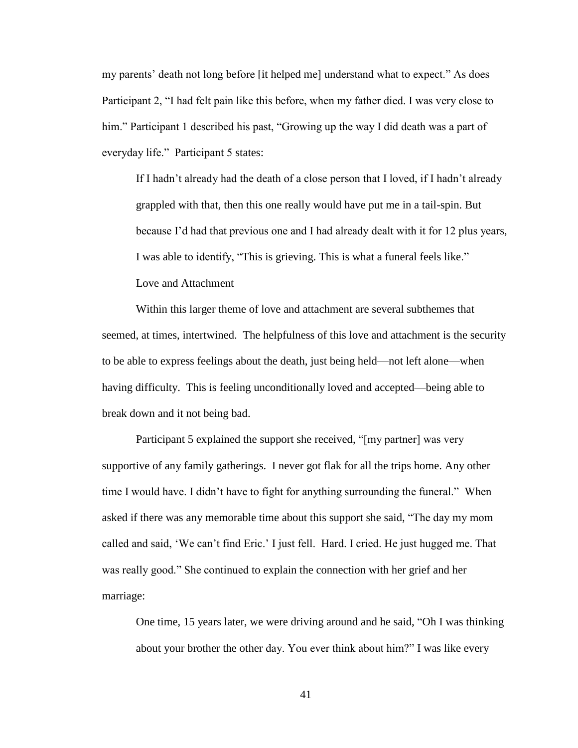my parents' death not long before [it helped me] understand what to expect." As does Participant 2, "I had felt pain like this before, when my father died. I was very close to him." Participant 1 described his past, "Growing up the way I did death was a part of everyday life." Participant 5 states:

If I hadn't already had the death of a close person that I loved, if I hadn't already grappled with that, then this one really would have put me in a tail-spin. But because I'd had that previous one and I had already dealt with it for 12 plus years, I was able to identify, "This is grieving. This is what a funeral feels like." Love and Attachment

Within this larger theme of love and attachment are several subthemes that seemed, at times, intertwined. The helpfulness of this love and attachment is the security to be able to express feelings about the death, just being held—not left alone—when having difficulty. This is feeling unconditionally loved and accepted—being able to break down and it not being bad.

Participant 5 explained the support she received, "[my partner] was very supportive of any family gatherings. I never got flak for all the trips home. Any other time I would have. I didn't have to fight for anything surrounding the funeral." When asked if there was any memorable time about this support she said, "The day my mom called and said, 'We can't find Eric.' I just fell. Hard. I cried. He just hugged me. That was really good." She continued to explain the connection with her grief and her marriage:

One time, 15 years later, we were driving around and he said, "Oh I was thinking about your brother the other day. You ever think about him?" I was like every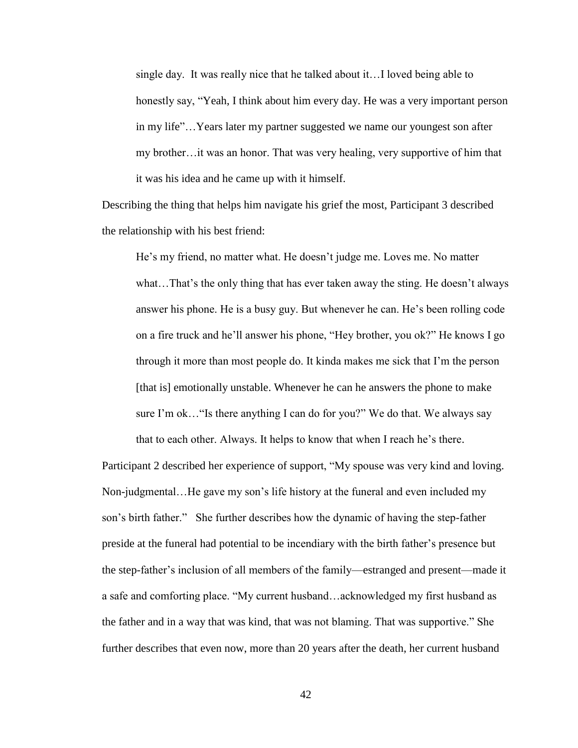single day. It was really nice that he talked about it…I loved being able to honestly say, "Yeah, I think about him every day. He was a very important person in my life"…Years later my partner suggested we name our youngest son after my brother…it was an honor. That was very healing, very supportive of him that it was his idea and he came up with it himself.

Describing the thing that helps him navigate his grief the most, Participant 3 described the relationship with his best friend:

He's my friend, no matter what. He doesn't judge me. Loves me. No matter what…That's the only thing that has ever taken away the sting. He doesn't always answer his phone. He is a busy guy. But whenever he can. He's been rolling code on a fire truck and he'll answer his phone, "Hey brother, you ok?" He knows I go through it more than most people do. It kinda makes me sick that I'm the person [that is] emotionally unstable. Whenever he can he answers the phone to make sure I'm ok…"Is there anything I can do for you?" We do that. We always say that to each other. Always. It helps to know that when I reach he's there.

Participant 2 described her experience of support, "My spouse was very kind and loving. Non-judgmental…He gave my son's life history at the funeral and even included my son's birth father." She further describes how the dynamic of having the step-father preside at the funeral had potential to be incendiary with the birth father's presence but the step-father's inclusion of all members of the family—estranged and present—made it a safe and comforting place. "My current husband…acknowledged my first husband as the father and in a way that was kind, that was not blaming. That was supportive." She further describes that even now, more than 20 years after the death, her current husband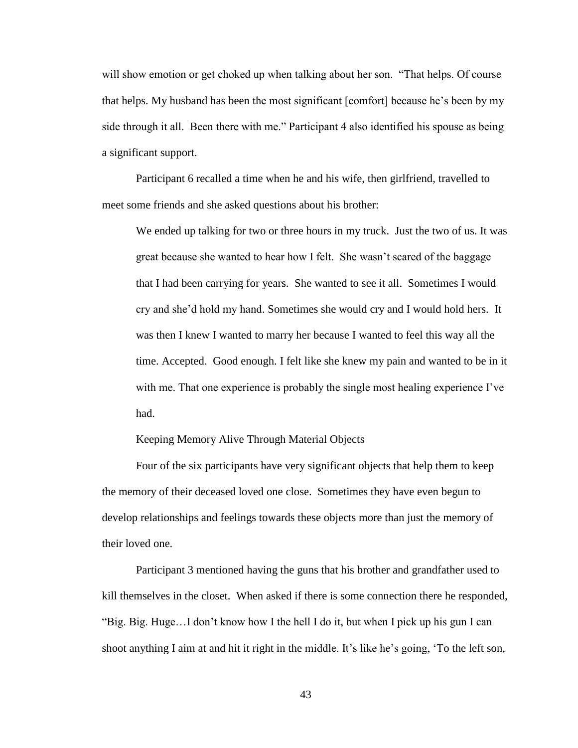will show emotion or get choked up when talking about her son. "That helps. Of course that helps. My husband has been the most significant [comfort] because he's been by my side through it all. Been there with me." Participant 4 also identified his spouse as being a significant support.

Participant 6 recalled a time when he and his wife, then girlfriend, travelled to meet some friends and she asked questions about his brother:

We ended up talking for two or three hours in my truck. Just the two of us. It was great because she wanted to hear how I felt. She wasn't scared of the baggage that I had been carrying for years. She wanted to see it all. Sometimes I would cry and she'd hold my hand. Sometimes she would cry and I would hold hers. It was then I knew I wanted to marry her because I wanted to feel this way all the time. Accepted. Good enough. I felt like she knew my pain and wanted to be in it with me. That one experience is probably the single most healing experience I've had.

Keeping Memory Alive Through Material Objects

Four of the six participants have very significant objects that help them to keep the memory of their deceased loved one close. Sometimes they have even begun to develop relationships and feelings towards these objects more than just the memory of their loved one.

Participant 3 mentioned having the guns that his brother and grandfather used to kill themselves in the closet. When asked if there is some connection there he responded, "Big. Big. Huge…I don't know how I the hell I do it, but when I pick up his gun I can shoot anything I aim at and hit it right in the middle. It's like he's going, 'To the left son,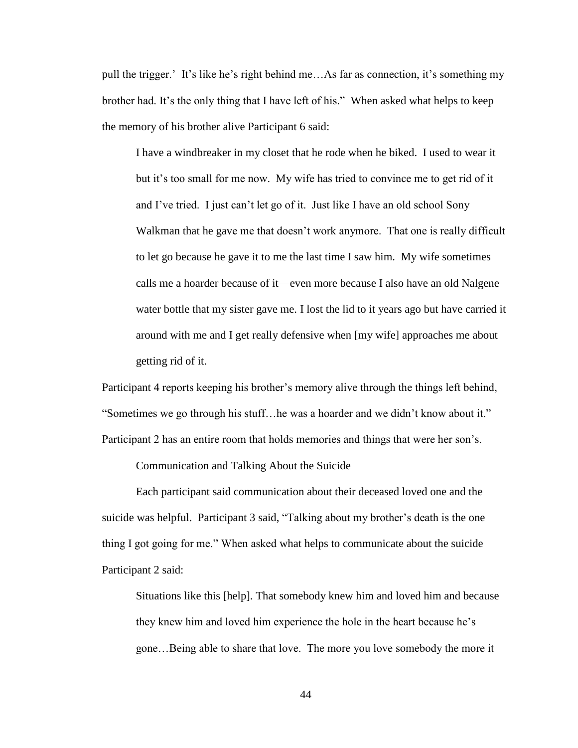pull the trigger.' It's like he's right behind me…As far as connection, it's something my brother had. It's the only thing that I have left of his." When asked what helps to keep the memory of his brother alive Participant 6 said:

I have a windbreaker in my closet that he rode when he biked. I used to wear it but it's too small for me now. My wife has tried to convince me to get rid of it and I've tried. I just can't let go of it. Just like I have an old school Sony Walkman that he gave me that doesn't work anymore. That one is really difficult to let go because he gave it to me the last time I saw him. My wife sometimes calls me a hoarder because of it—even more because I also have an old Nalgene water bottle that my sister gave me. I lost the lid to it years ago but have carried it around with me and I get really defensive when [my wife] approaches me about getting rid of it.

Participant 4 reports keeping his brother's memory alive through the things left behind, "Sometimes we go through his stuff…he was a hoarder and we didn't know about it." Participant 2 has an entire room that holds memories and things that were her son's.

Communication and Talking About the Suicide

Each participant said communication about their deceased loved one and the suicide was helpful. Participant 3 said, "Talking about my brother's death is the one thing I got going for me." When asked what helps to communicate about the suicide Participant 2 said:

Situations like this [help]. That somebody knew him and loved him and because they knew him and loved him experience the hole in the heart because he's gone…Being able to share that love. The more you love somebody the more it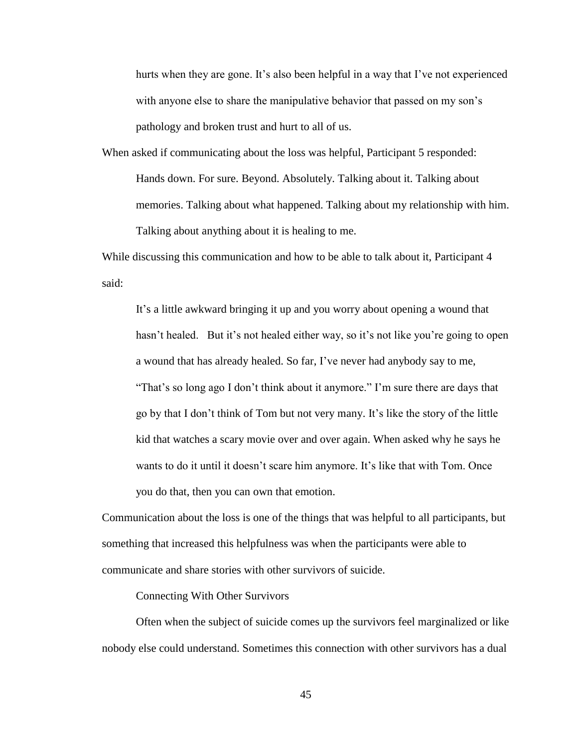hurts when they are gone. It's also been helpful in a way that I've not experienced with anyone else to share the manipulative behavior that passed on my son's pathology and broken trust and hurt to all of us.

When asked if communicating about the loss was helpful, Participant 5 responded: Hands down. For sure. Beyond. Absolutely. Talking about it. Talking about memories. Talking about what happened. Talking about my relationship with him. Talking about anything about it is healing to me.

While discussing this communication and how to be able to talk about it, Participant 4 said:

It's a little awkward bringing it up and you worry about opening a wound that hasn't healed. But it's not healed either way, so it's not like you're going to open a wound that has already healed. So far, I've never had anybody say to me, "That's so long ago I don't think about it anymore." I'm sure there are days that go by that I don't think of Tom but not very many. It's like the story of the little kid that watches a scary movie over and over again. When asked why he says he wants to do it until it doesn't scare him anymore. It's like that with Tom. Once you do that, then you can own that emotion.

Communication about the loss is one of the things that was helpful to all participants, but something that increased this helpfulness was when the participants were able to communicate and share stories with other survivors of suicide.

Connecting With Other Survivors

Often when the subject of suicide comes up the survivors feel marginalized or like nobody else could understand. Sometimes this connection with other survivors has a dual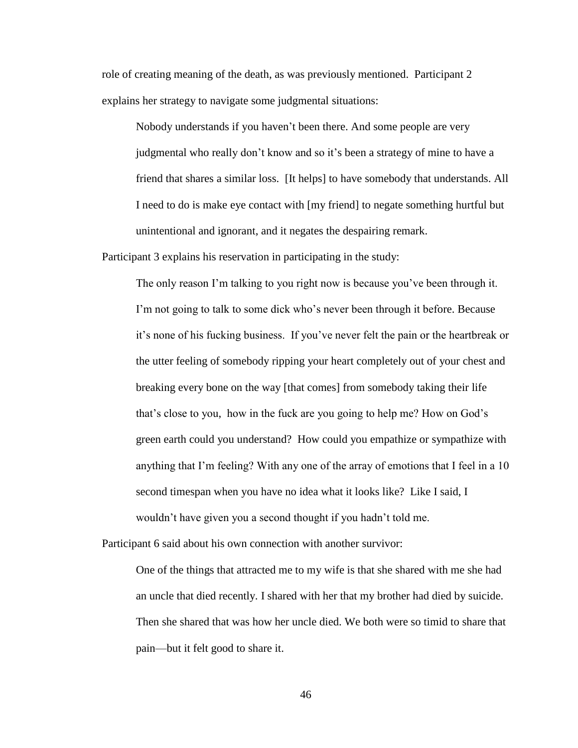role of creating meaning of the death, as was previously mentioned. Participant 2 explains her strategy to navigate some judgmental situations:

Nobody understands if you haven't been there. And some people are very judgmental who really don't know and so it's been a strategy of mine to have a friend that shares a similar loss. [It helps] to have somebody that understands. All I need to do is make eye contact with [my friend] to negate something hurtful but unintentional and ignorant, and it negates the despairing remark.

Participant 3 explains his reservation in participating in the study:

The only reason I'm talking to you right now is because you've been through it. I'm not going to talk to some dick who's never been through it before. Because it's none of his fucking business. If you've never felt the pain or the heartbreak or the utter feeling of somebody ripping your heart completely out of your chest and breaking every bone on the way [that comes] from somebody taking their life that's close to you, how in the fuck are you going to help me? How on God's green earth could you understand? How could you empathize or sympathize with anything that I'm feeling? With any one of the array of emotions that I feel in a 10 second timespan when you have no idea what it looks like? Like I said, I wouldn't have given you a second thought if you hadn't told me.

Participant 6 said about his own connection with another survivor:

One of the things that attracted me to my wife is that she shared with me she had an uncle that died recently. I shared with her that my brother had died by suicide. Then she shared that was how her uncle died. We both were so timid to share that pain—but it felt good to share it.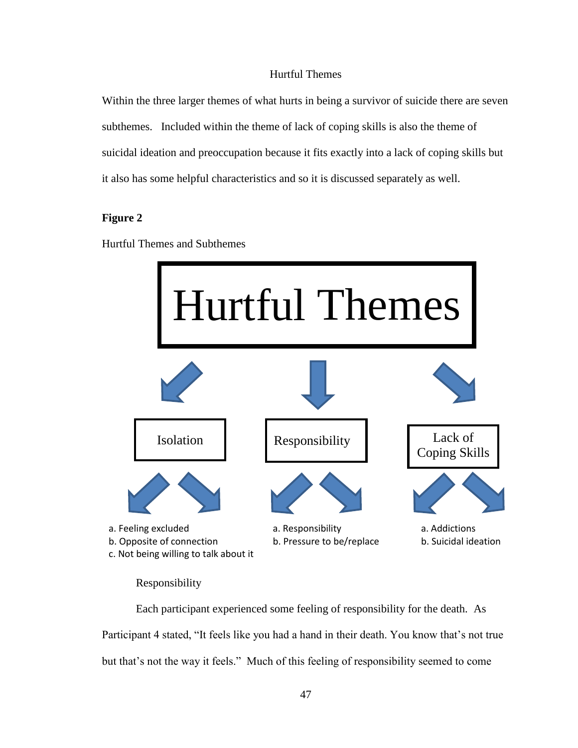# Hurtful Themes

Within the three larger themes of what hurts in being a survivor of suicide there are seven subthemes. Included within the theme of lack of coping skills is also the theme of suicidal ideation and preoccupation because it fits exactly into a lack of coping skills but it also has some helpful characteristics and so it is discussed separately as well.

# **Figure 2**

Hurtful Themes and Subthemes



Responsibility

Each participant experienced some feeling of responsibility for the death. As Participant 4 stated, "It feels like you had a hand in their death. You know that's not true but that's not the way it feels." Much of this feeling of responsibility seemed to come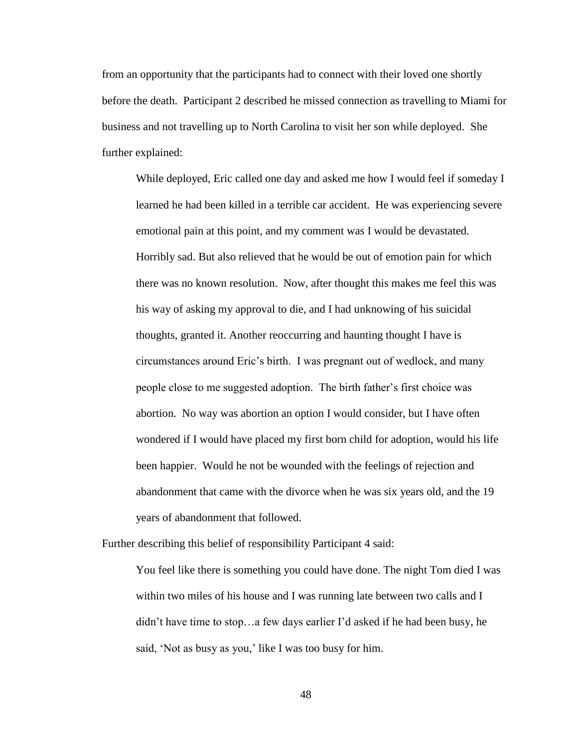from an opportunity that the participants had to connect with their loved one shortly before the death. Participant 2 described he missed connection as travelling to Miami for business and not travelling up to North Carolina to visit her son while deployed. She further explained:

While deployed, Eric called one day and asked me how I would feel if someday I learned he had been killed in a terrible car accident. He was experiencing severe emotional pain at this point, and my comment was I would be devastated. Horribly sad. But also relieved that he would be out of emotion pain for which there was no known resolution. Now, after thought this makes me feel this was his way of asking my approval to die, and I had unknowing of his suicidal thoughts, granted it. Another reoccurring and haunting thought I have is circumstances around Eric's birth. I was pregnant out of wedlock, and many people close to me suggested adoption. The birth father's first choice was abortion. No way was abortion an option I would consider, but I have often wondered if I would have placed my first born child for adoption, would his life been happier. Would he not be wounded with the feelings of rejection and abandonment that came with the divorce when he was six years old, and the 19 years of abandonment that followed.

Further describing this belief of responsibility Participant 4 said:

You feel like there is something you could have done. The night Tom died I was within two miles of his house and I was running late between two calls and I didn't have time to stop…a few days earlier I'd asked if he had been busy, he said, 'Not as busy as you,' like I was too busy for him.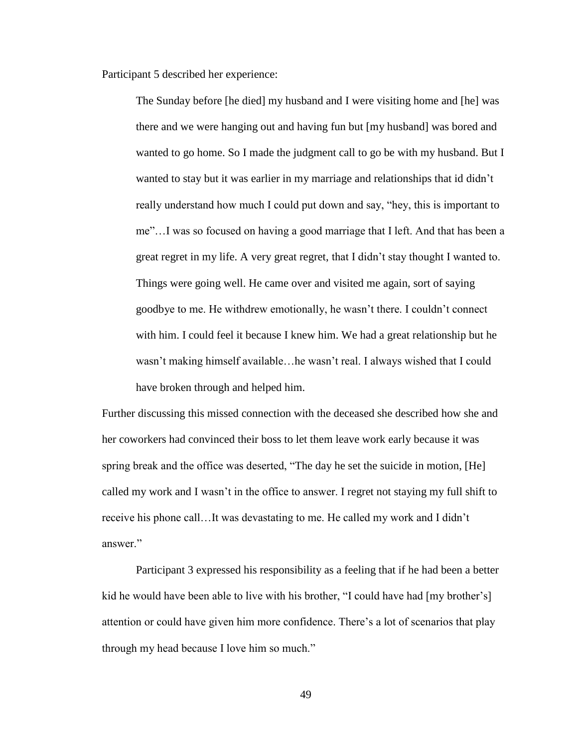Participant 5 described her experience:

The Sunday before [he died] my husband and I were visiting home and [he] was there and we were hanging out and having fun but [my husband] was bored and wanted to go home. So I made the judgment call to go be with my husband. But I wanted to stay but it was earlier in my marriage and relationships that id didn't really understand how much I could put down and say, "hey, this is important to me"…I was so focused on having a good marriage that I left. And that has been a great regret in my life. A very great regret, that I didn't stay thought I wanted to. Things were going well. He came over and visited me again, sort of saying goodbye to me. He withdrew emotionally, he wasn't there. I couldn't connect with him. I could feel it because I knew him. We had a great relationship but he wasn't making himself available…he wasn't real. I always wished that I could have broken through and helped him.

Further discussing this missed connection with the deceased she described how she and her coworkers had convinced their boss to let them leave work early because it was spring break and the office was deserted, "The day he set the suicide in motion, [He] called my work and I wasn't in the office to answer. I regret not staying my full shift to receive his phone call…It was devastating to me. He called my work and I didn't answer<sup>"</sup>

Participant 3 expressed his responsibility as a feeling that if he had been a better kid he would have been able to live with his brother, "I could have had [my brother's] attention or could have given him more confidence. There's a lot of scenarios that play through my head because I love him so much."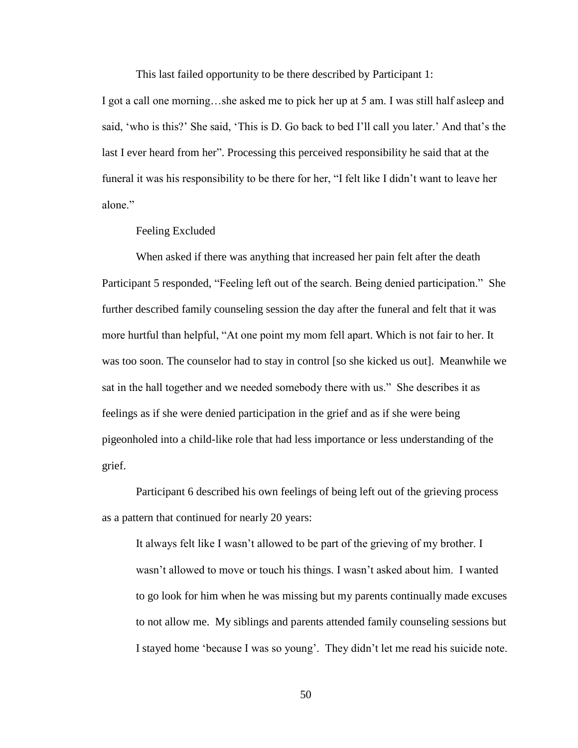This last failed opportunity to be there described by Participant 1:

I got a call one morning…she asked me to pick her up at 5 am. I was still half asleep and said, 'who is this?' She said, 'This is D. Go back to bed I'll call you later.' And that's the last I ever heard from her". Processing this perceived responsibility he said that at the funeral it was his responsibility to be there for her, "I felt like I didn't want to leave her alone<sup>"</sup>

Feeling Excluded

When asked if there was anything that increased her pain felt after the death Participant 5 responded, "Feeling left out of the search. Being denied participation." She further described family counseling session the day after the funeral and felt that it was more hurtful than helpful, "At one point my mom fell apart. Which is not fair to her. It was too soon. The counselor had to stay in control [so she kicked us out]. Meanwhile we sat in the hall together and we needed somebody there with us." She describes it as feelings as if she were denied participation in the grief and as if she were being pigeonholed into a child-like role that had less importance or less understanding of the grief.

Participant 6 described his own feelings of being left out of the grieving process as a pattern that continued for nearly 20 years:

It always felt like I wasn't allowed to be part of the grieving of my brother. I wasn't allowed to move or touch his things. I wasn't asked about him. I wanted to go look for him when he was missing but my parents continually made excuses to not allow me. My siblings and parents attended family counseling sessions but I stayed home 'because I was so young'. They didn't let me read his suicide note.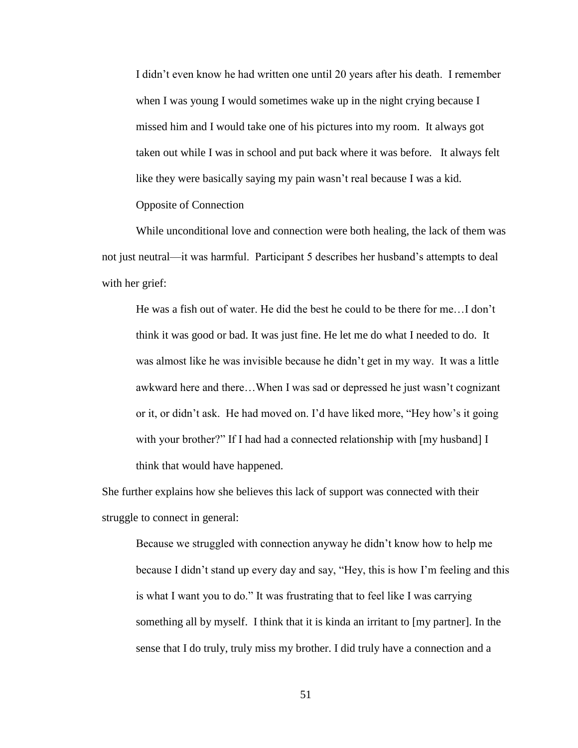I didn't even know he had written one until 20 years after his death. I remember when I was young I would sometimes wake up in the night crying because I missed him and I would take one of his pictures into my room. It always got taken out while I was in school and put back where it was before. It always felt like they were basically saying my pain wasn't real because I was a kid. Opposite of Connection

While unconditional love and connection were both healing, the lack of them was not just neutral—it was harmful. Participant 5 describes her husband's attempts to deal with her grief:

He was a fish out of water. He did the best he could to be there for me…I don't think it was good or bad. It was just fine. He let me do what I needed to do. It was almost like he was invisible because he didn't get in my way. It was a little awkward here and there…When I was sad or depressed he just wasn't cognizant or it, or didn't ask. He had moved on. I'd have liked more, "Hey how's it going with your brother?" If I had had a connected relationship with [my husband] I think that would have happened.

She further explains how she believes this lack of support was connected with their struggle to connect in general:

Because we struggled with connection anyway he didn't know how to help me because I didn't stand up every day and say, "Hey, this is how I'm feeling and this is what I want you to do." It was frustrating that to feel like I was carrying something all by myself. I think that it is kinda an irritant to [my partner]. In the sense that I do truly, truly miss my brother. I did truly have a connection and a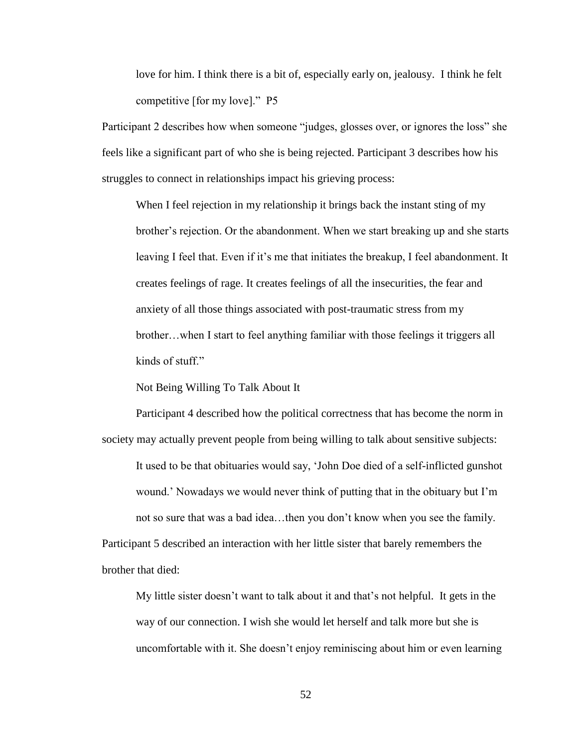love for him. I think there is a bit of, especially early on, jealousy. I think he felt competitive [for my love]." P5

Participant 2 describes how when someone "judges, glosses over, or ignores the loss" she feels like a significant part of who she is being rejected. Participant 3 describes how his struggles to connect in relationships impact his grieving process:

When I feel rejection in my relationship it brings back the instant sting of my brother's rejection. Or the abandonment. When we start breaking up and she starts leaving I feel that. Even if it's me that initiates the breakup, I feel abandonment. It creates feelings of rage. It creates feelings of all the insecurities, the fear and anxiety of all those things associated with post-traumatic stress from my brother…when I start to feel anything familiar with those feelings it triggers all kinds of stuff."

Not Being Willing To Talk About It

Participant 4 described how the political correctness that has become the norm in society may actually prevent people from being willing to talk about sensitive subjects: It used to be that obituaries would say, 'John Doe died of a self-inflicted gunshot wound.' Nowadays we would never think of putting that in the obituary but I'm not so sure that was a bad idea…then you don't know when you see the family. Participant 5 described an interaction with her little sister that barely remembers the brother that died:

My little sister doesn't want to talk about it and that's not helpful. It gets in the way of our connection. I wish she would let herself and talk more but she is uncomfortable with it. She doesn't enjoy reminiscing about him or even learning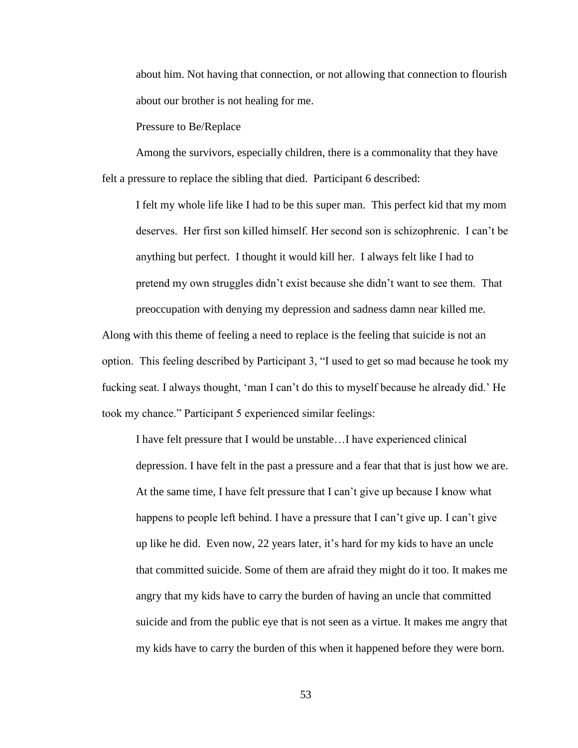about him. Not having that connection, or not allowing that connection to flourish about our brother is not healing for me.

Pressure to Be/Replace

Among the survivors, especially children, there is a commonality that they have felt a pressure to replace the sibling that died. Participant 6 described:

I felt my whole life like I had to be this super man. This perfect kid that my mom deserves. Her first son killed himself. Her second son is schizophrenic. I can't be anything but perfect. I thought it would kill her. I always felt like I had to pretend my own struggles didn't exist because she didn't want to see them. That preoccupation with denying my depression and sadness damn near killed me.

Along with this theme of feeling a need to replace is the feeling that suicide is not an option. This feeling described by Participant 3, "I used to get so mad because he took my fucking seat. I always thought, 'man I can't do this to myself because he already did.' He took my chance." Participant 5 experienced similar feelings:

I have felt pressure that I would be unstable…I have experienced clinical depression. I have felt in the past a pressure and a fear that that is just how we are. At the same time, I have felt pressure that I can't give up because I know what happens to people left behind. I have a pressure that I can't give up. I can't give up like he did. Even now, 22 years later, it's hard for my kids to have an uncle that committed suicide. Some of them are afraid they might do it too. It makes me angry that my kids have to carry the burden of having an uncle that committed suicide and from the public eye that is not seen as a virtue. It makes me angry that my kids have to carry the burden of this when it happened before they were born.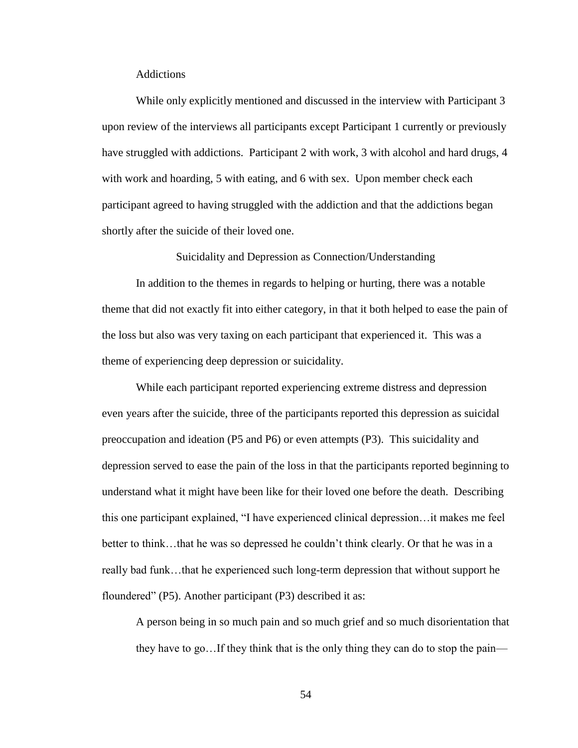## Addictions

While only explicitly mentioned and discussed in the interview with Participant 3 upon review of the interviews all participants except Participant 1 currently or previously have struggled with addictions. Participant 2 with work, 3 with alcohol and hard drugs, 4 with work and hoarding, 5 with eating, and 6 with sex. Upon member check each participant agreed to having struggled with the addiction and that the addictions began shortly after the suicide of their loved one.

Suicidality and Depression as Connection/Understanding

In addition to the themes in regards to helping or hurting, there was a notable theme that did not exactly fit into either category, in that it both helped to ease the pain of the loss but also was very taxing on each participant that experienced it. This was a theme of experiencing deep depression or suicidality.

While each participant reported experiencing extreme distress and depression even years after the suicide, three of the participants reported this depression as suicidal preoccupation and ideation (P5 and P6) or even attempts (P3). This suicidality and depression served to ease the pain of the loss in that the participants reported beginning to understand what it might have been like for their loved one before the death. Describing this one participant explained, "I have experienced clinical depression…it makes me feel better to think…that he was so depressed he couldn't think clearly. Or that he was in a really bad funk…that he experienced such long-term depression that without support he floundered" (P5). Another participant (P3) described it as:

A person being in so much pain and so much grief and so much disorientation that they have to go…If they think that is the only thing they can do to stop the pain—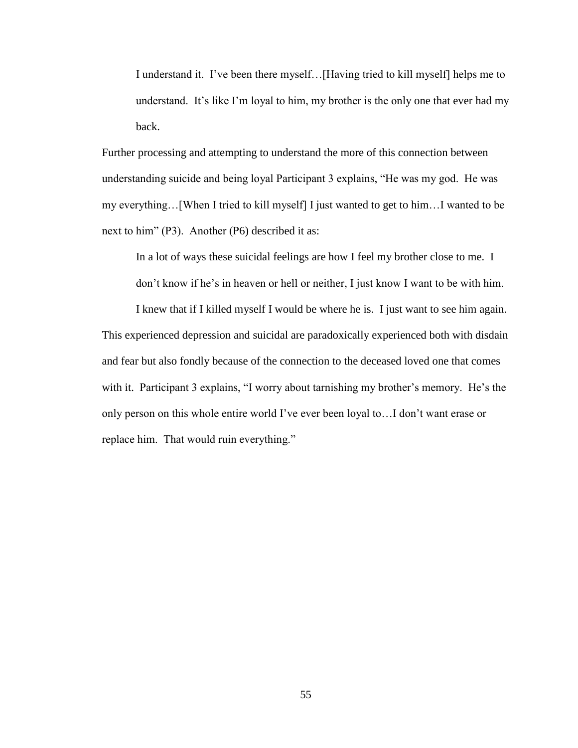I understand it. I've been there myself…[Having tried to kill myself] helps me to understand. It's like I'm loyal to him, my brother is the only one that ever had my back.

Further processing and attempting to understand the more of this connection between understanding suicide and being loyal Participant 3 explains, "He was my god. He was my everything…[When I tried to kill myself] I just wanted to get to him…I wanted to be next to him" (P3). Another (P6) described it as:

In a lot of ways these suicidal feelings are how I feel my brother close to me. I don't know if he's in heaven or hell or neither, I just know I want to be with him.

I knew that if I killed myself I would be where he is. I just want to see him again. This experienced depression and suicidal are paradoxically experienced both with disdain and fear but also fondly because of the connection to the deceased loved one that comes with it. Participant 3 explains, "I worry about tarnishing my brother's memory. He's the only person on this whole entire world I've ever been loyal to…I don't want erase or replace him. That would ruin everything."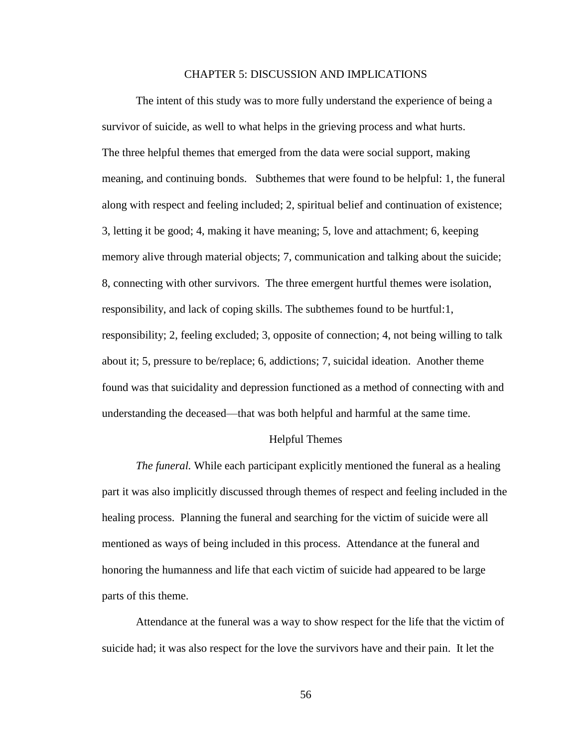### CHAPTER 5: DISCUSSION AND IMPLICATIONS

The intent of this study was to more fully understand the experience of being a survivor of suicide, as well to what helps in the grieving process and what hurts. The three helpful themes that emerged from the data were social support, making meaning, and continuing bonds. Subthemes that were found to be helpful: 1, the funeral along with respect and feeling included; 2, spiritual belief and continuation of existence; 3, letting it be good; 4, making it have meaning; 5, love and attachment; 6, keeping memory alive through material objects; 7, communication and talking about the suicide; 8, connecting with other survivors. The three emergent hurtful themes were isolation, responsibility, and lack of coping skills. The subthemes found to be hurtful:1, responsibility; 2, feeling excluded; 3, opposite of connection; 4, not being willing to talk about it; 5, pressure to be/replace; 6, addictions; 7, suicidal ideation. Another theme found was that suicidality and depression functioned as a method of connecting with and understanding the deceased—that was both helpful and harmful at the same time.

## Helpful Themes

*The funeral.* While each participant explicitly mentioned the funeral as a healing part it was also implicitly discussed through themes of respect and feeling included in the healing process. Planning the funeral and searching for the victim of suicide were all mentioned as ways of being included in this process. Attendance at the funeral and honoring the humanness and life that each victim of suicide had appeared to be large parts of this theme.

Attendance at the funeral was a way to show respect for the life that the victim of suicide had; it was also respect for the love the survivors have and their pain. It let the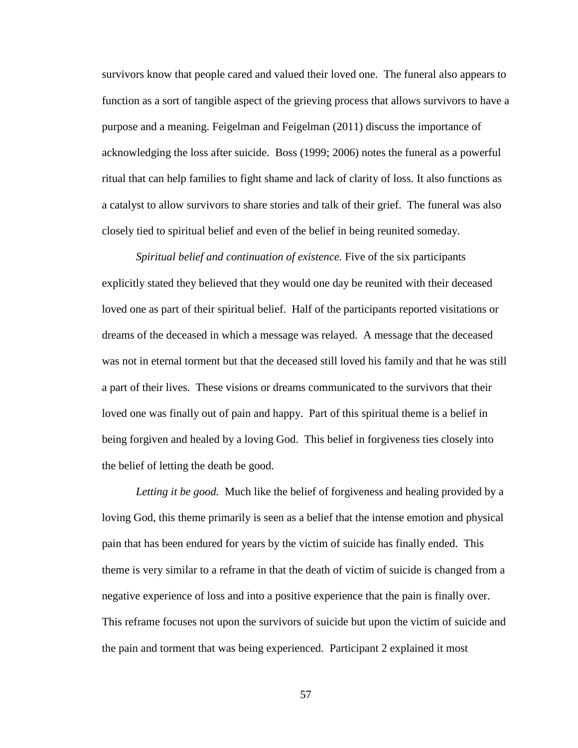survivors know that people cared and valued their loved one. The funeral also appears to function as a sort of tangible aspect of the grieving process that allows survivors to have a purpose and a meaning. Feigelman and Feigelman (2011) discuss the importance of acknowledging the loss after suicide. Boss (1999; 2006) notes the funeral as a powerful ritual that can help families to fight shame and lack of clarity of loss. It also functions as a catalyst to allow survivors to share stories and talk of their grief. The funeral was also closely tied to spiritual belief and even of the belief in being reunited someday.

*Spiritual belief and continuation of existence.* Five of the six participants explicitly stated they believed that they would one day be reunited with their deceased loved one as part of their spiritual belief. Half of the participants reported visitations or dreams of the deceased in which a message was relayed. A message that the deceased was not in eternal torment but that the deceased still loved his family and that he was still a part of their lives. These visions or dreams communicated to the survivors that their loved one was finally out of pain and happy. Part of this spiritual theme is a belief in being forgiven and healed by a loving God. This belief in forgiveness ties closely into the belief of letting the death be good.

*Letting it be good.* Much like the belief of forgiveness and healing provided by a loving God, this theme primarily is seen as a belief that the intense emotion and physical pain that has been endured for years by the victim of suicide has finally ended. This theme is very similar to a reframe in that the death of victim of suicide is changed from a negative experience of loss and into a positive experience that the pain is finally over. This reframe focuses not upon the survivors of suicide but upon the victim of suicide and the pain and torment that was being experienced. Participant 2 explained it most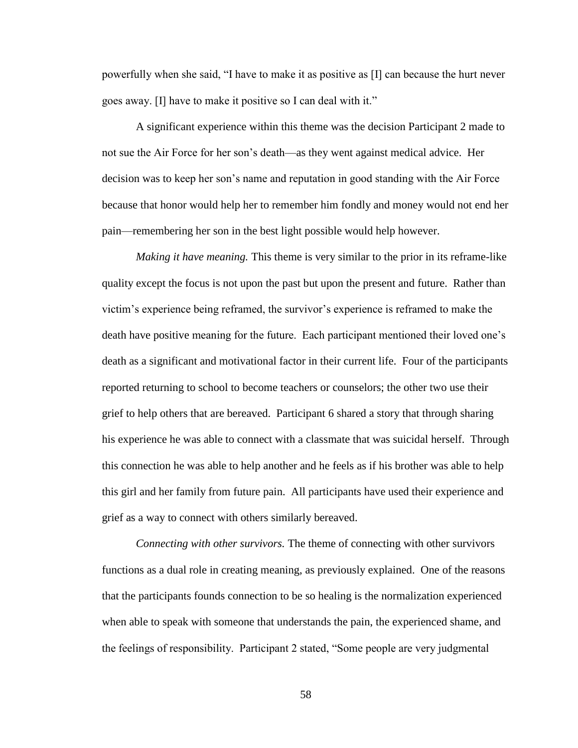powerfully when she said, "I have to make it as positive as [I] can because the hurt never goes away. [I] have to make it positive so I can deal with it."

A significant experience within this theme was the decision Participant 2 made to not sue the Air Force for her son's death—as they went against medical advice. Her decision was to keep her son's name and reputation in good standing with the Air Force because that honor would help her to remember him fondly and money would not end her pain—remembering her son in the best light possible would help however.

*Making it have meaning.* This theme is very similar to the prior in its reframe-like quality except the focus is not upon the past but upon the present and future. Rather than victim's experience being reframed, the survivor's experience is reframed to make the death have positive meaning for the future. Each participant mentioned their loved one's death as a significant and motivational factor in their current life. Four of the participants reported returning to school to become teachers or counselors; the other two use their grief to help others that are bereaved. Participant 6 shared a story that through sharing his experience he was able to connect with a classmate that was suicidal herself. Through this connection he was able to help another and he feels as if his brother was able to help this girl and her family from future pain. All participants have used their experience and grief as a way to connect with others similarly bereaved.

*Connecting with other survivors.* The theme of connecting with other survivors functions as a dual role in creating meaning, as previously explained. One of the reasons that the participants founds connection to be so healing is the normalization experienced when able to speak with someone that understands the pain, the experienced shame, and the feelings of responsibility. Participant 2 stated, "Some people are very judgmental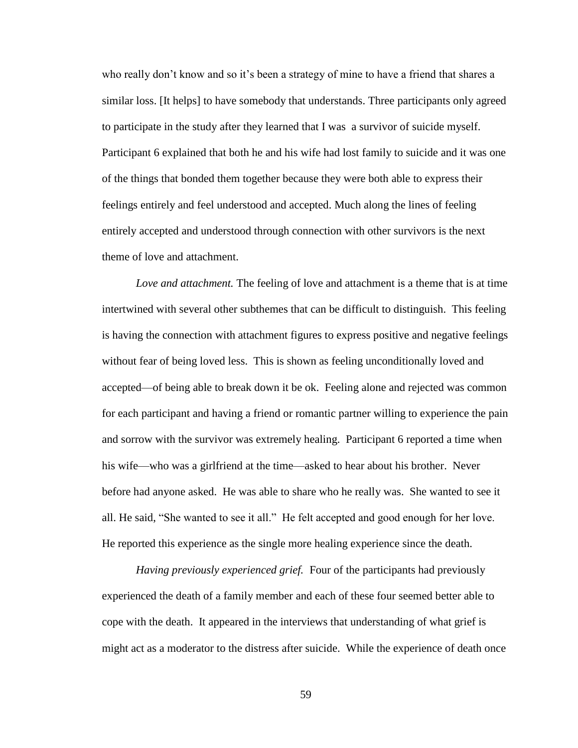who really don't know and so it's been a strategy of mine to have a friend that shares a similar loss. [It helps] to have somebody that understands. Three participants only agreed to participate in the study after they learned that I was a survivor of suicide myself. Participant 6 explained that both he and his wife had lost family to suicide and it was one of the things that bonded them together because they were both able to express their feelings entirely and feel understood and accepted. Much along the lines of feeling entirely accepted and understood through connection with other survivors is the next theme of love and attachment.

*Love and attachment.* The feeling of love and attachment is a theme that is at time intertwined with several other subthemes that can be difficult to distinguish. This feeling is having the connection with attachment figures to express positive and negative feelings without fear of being loved less. This is shown as feeling unconditionally loved and accepted—of being able to break down it be ok. Feeling alone and rejected was common for each participant and having a friend or romantic partner willing to experience the pain and sorrow with the survivor was extremely healing. Participant 6 reported a time when his wife—who was a girlfriend at the time—asked to hear about his brother. Never before had anyone asked. He was able to share who he really was. She wanted to see it all. He said, "She wanted to see it all." He felt accepted and good enough for her love. He reported this experience as the single more healing experience since the death.

*Having previously experienced grief.* Four of the participants had previously experienced the death of a family member and each of these four seemed better able to cope with the death. It appeared in the interviews that understanding of what grief is might act as a moderator to the distress after suicide. While the experience of death once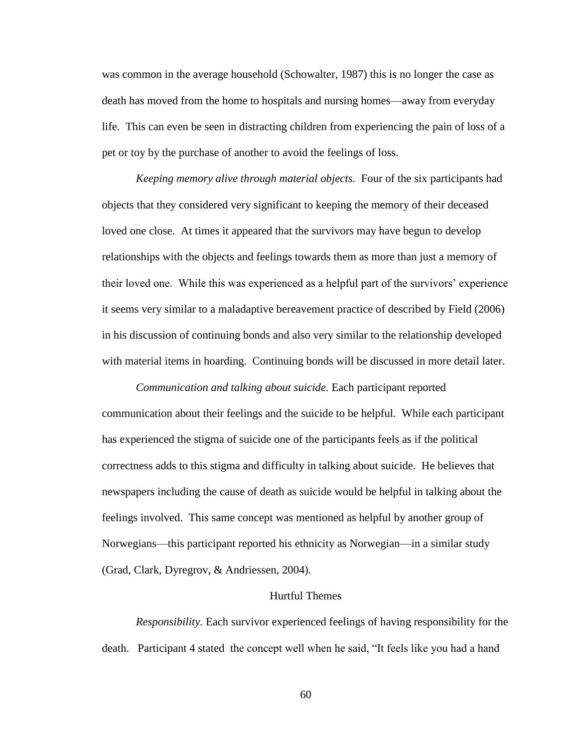was common in the average household (Schowalter, 1987) this is no longer the case as death has moved from the home to hospitals and nursing homes—away from everyday life. This can even be seen in distracting children from experiencing the pain of loss of a pet or toy by the purchase of another to avoid the feelings of loss.

*Keeping memory alive through material objects.* Four of the six participants had objects that they considered very significant to keeping the memory of their deceased loved one close. At times it appeared that the survivors may have begun to develop relationships with the objects and feelings towards them as more than just a memory of their loved one. While this was experienced as a helpful part of the survivors' experience it seems very similar to a maladaptive bereavement practice of described by Field (2006) in his discussion of continuing bonds and also very similar to the relationship developed with material items in hoarding. Continuing bonds will be discussed in more detail later.

*Communication and talking about suicide.* Each participant reported communication about their feelings and the suicide to be helpful. While each participant has experienced the stigma of suicide one of the participants feels as if the political correctness adds to this stigma and difficulty in talking about suicide. He believes that newspapers including the cause of death as suicide would be helpful in talking about the feelings involved. This same concept was mentioned as helpful by another group of Norwegians—this participant reported his ethnicity as Norwegian—in a similar study (Grad, Clark, Dyregrov, & Andriessen, 2004).

## Hurtful Themes

*Responsibility.* Each survivor experienced feelings of having responsibility for the death. Participant 4 stated the concept well when he said, "It feels like you had a hand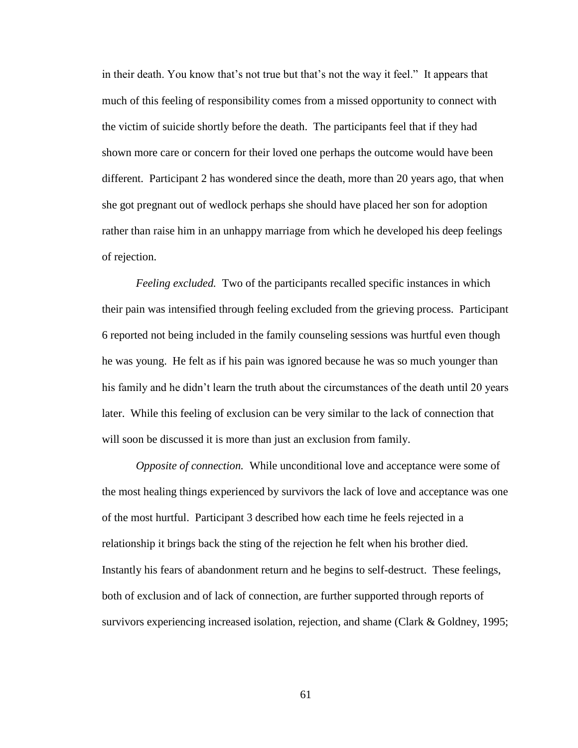in their death. You know that's not true but that's not the way it feel." It appears that much of this feeling of responsibility comes from a missed opportunity to connect with the victim of suicide shortly before the death. The participants feel that if they had shown more care or concern for their loved one perhaps the outcome would have been different. Participant 2 has wondered since the death, more than 20 years ago, that when she got pregnant out of wedlock perhaps she should have placed her son for adoption rather than raise him in an unhappy marriage from which he developed his deep feelings of rejection.

*Feeling excluded.* Two of the participants recalled specific instances in which their pain was intensified through feeling excluded from the grieving process. Participant 6 reported not being included in the family counseling sessions was hurtful even though he was young. He felt as if his pain was ignored because he was so much younger than his family and he didn't learn the truth about the circumstances of the death until 20 years later. While this feeling of exclusion can be very similar to the lack of connection that will soon be discussed it is more than just an exclusion from family.

*Opposite of connection.* While unconditional love and acceptance were some of the most healing things experienced by survivors the lack of love and acceptance was one of the most hurtful. Participant 3 described how each time he feels rejected in a relationship it brings back the sting of the rejection he felt when his brother died. Instantly his fears of abandonment return and he begins to self-destruct. These feelings, both of exclusion and of lack of connection, are further supported through reports of survivors experiencing increased isolation, rejection, and shame (Clark & Goldney, 1995;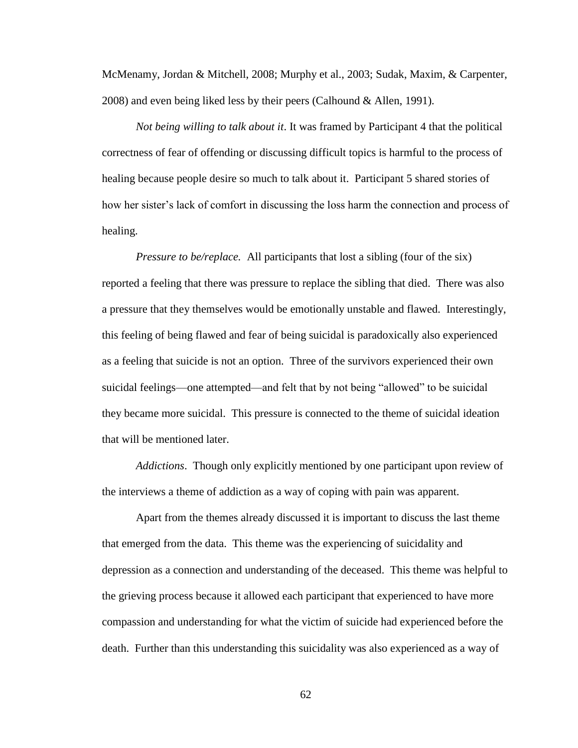McMenamy, Jordan & Mitchell, 2008; Murphy et al., 2003; Sudak, Maxim, & Carpenter, 2008) and even being liked less by their peers (Calhound & Allen, 1991).

*Not being willing to talk about it*. It was framed by Participant 4 that the political correctness of fear of offending or discussing difficult topics is harmful to the process of healing because people desire so much to talk about it. Participant 5 shared stories of how her sister's lack of comfort in discussing the loss harm the connection and process of healing.

*Pressure to be/replace.* All participants that lost a sibling (four of the six) reported a feeling that there was pressure to replace the sibling that died. There was also a pressure that they themselves would be emotionally unstable and flawed. Interestingly, this feeling of being flawed and fear of being suicidal is paradoxically also experienced as a feeling that suicide is not an option. Three of the survivors experienced their own suicidal feelings—one attempted—and felt that by not being "allowed" to be suicidal they became more suicidal. This pressure is connected to the theme of suicidal ideation that will be mentioned later.

*Addictions*. Though only explicitly mentioned by one participant upon review of the interviews a theme of addiction as a way of coping with pain was apparent.

Apart from the themes already discussed it is important to discuss the last theme that emerged from the data. This theme was the experiencing of suicidality and depression as a connection and understanding of the deceased. This theme was helpful to the grieving process because it allowed each participant that experienced to have more compassion and understanding for what the victim of suicide had experienced before the death. Further than this understanding this suicidality was also experienced as a way of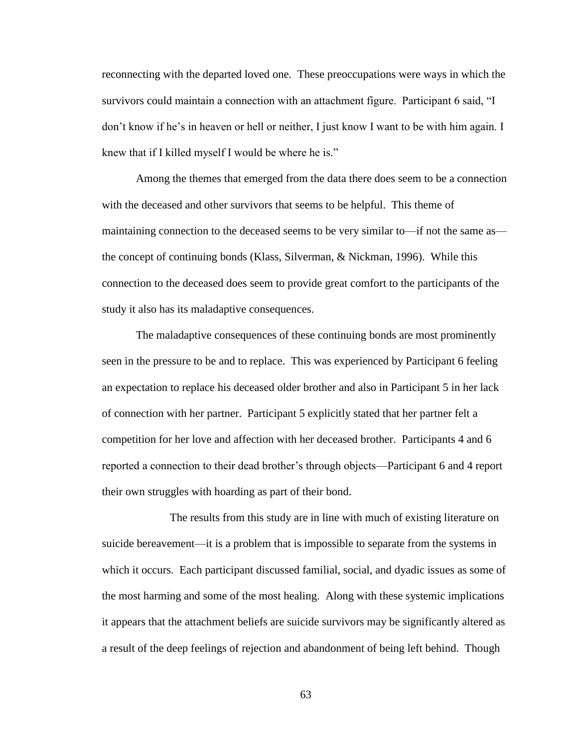reconnecting with the departed loved one. These preoccupations were ways in which the survivors could maintain a connection with an attachment figure. Participant 6 said, "I don't know if he's in heaven or hell or neither, I just know I want to be with him again. I knew that if I killed myself I would be where he is."

Among the themes that emerged from the data there does seem to be a connection with the deceased and other survivors that seems to be helpful. This theme of maintaining connection to the deceased seems to be very similar to—if not the same as the concept of continuing bonds (Klass, Silverman, & Nickman, 1996). While this connection to the deceased does seem to provide great comfort to the participants of the study it also has its maladaptive consequences.

The maladaptive consequences of these continuing bonds are most prominently seen in the pressure to be and to replace. This was experienced by Participant 6 feeling an expectation to replace his deceased older brother and also in Participant 5 in her lack of connection with her partner. Participant 5 explicitly stated that her partner felt a competition for her love and affection with her deceased brother. Participants 4 and 6 reported a connection to their dead brother's through objects—Participant 6 and 4 report their own struggles with hoarding as part of their bond.

The results from this study are in line with much of existing literature on suicide bereavement—it is a problem that is impossible to separate from the systems in which it occurs. Each participant discussed familial, social, and dyadic issues as some of the most harming and some of the most healing. Along with these systemic implications it appears that the attachment beliefs are suicide survivors may be significantly altered as a result of the deep feelings of rejection and abandonment of being left behind. Though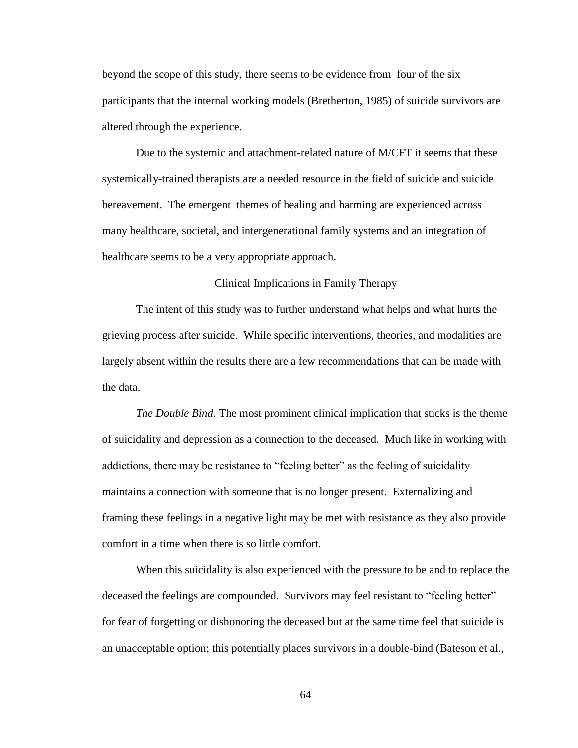beyond the scope of this study, there seems to be evidence from four of the six participants that the internal working models (Bretherton, 1985) of suicide survivors are altered through the experience.

Due to the systemic and attachment-related nature of M/CFT it seems that these systemically-trained therapists are a needed resource in the field of suicide and suicide bereavement. The emergent themes of healing and harming are experienced across many healthcare, societal, and intergenerational family systems and an integration of healthcare seems to be a very appropriate approach.

### Clinical Implications in Family Therapy

The intent of this study was to further understand what helps and what hurts the grieving process after suicide. While specific interventions, theories, and modalities are largely absent within the results there are a few recommendations that can be made with the data.

*The Double Bind.* The most prominent clinical implication that sticks is the theme of suicidality and depression as a connection to the deceased. Much like in working with addictions, there may be resistance to "feeling better" as the feeling of suicidality maintains a connection with someone that is no longer present. Externalizing and framing these feelings in a negative light may be met with resistance as they also provide comfort in a time when there is so little comfort.

When this suicidality is also experienced with the pressure to be and to replace the deceased the feelings are compounded. Survivors may feel resistant to "feeling better" for fear of forgetting or dishonoring the deceased but at the same time feel that suicide is an unacceptable option; this potentially places survivors in a double-bind (Bateson et al.,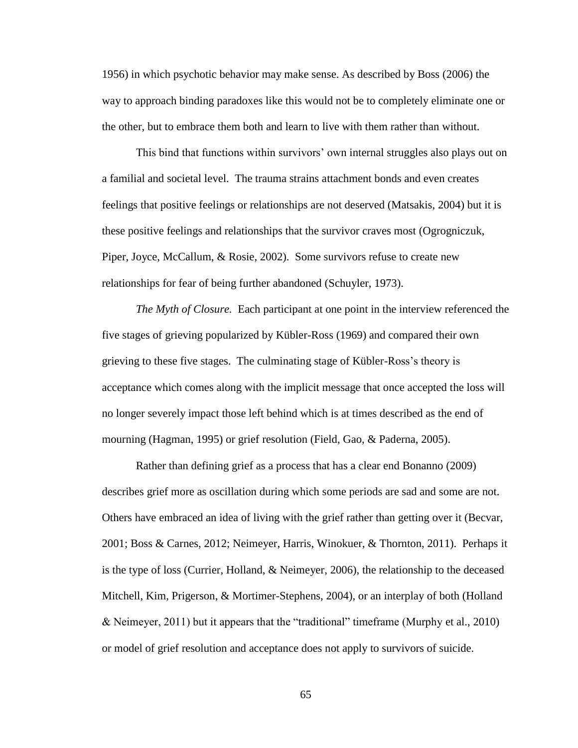1956) in which psychotic behavior may make sense. As described by Boss (2006) the way to approach binding paradoxes like this would not be to completely eliminate one or the other, but to embrace them both and learn to live with them rather than without.

This bind that functions within survivors' own internal struggles also plays out on a familial and societal level. The trauma strains attachment bonds and even creates feelings that positive feelings or relationships are not deserved (Matsakis, 2004) but it is these positive feelings and relationships that the survivor craves most (Ogrogniczuk, Piper, Joyce, McCallum, & Rosie, 2002). Some survivors refuse to create new relationships for fear of being further abandoned (Schuyler, 1973).

*The Myth of Closure.* Each participant at one point in the interview referenced the five stages of grieving popularized by Kübler-Ross (1969) and compared their own grieving to these five stages. The culminating stage of Kübler-Ross's theory is acceptance which comes along with the implicit message that once accepted the loss will no longer severely impact those left behind which is at times described as the end of mourning (Hagman, 1995) or grief resolution (Field, Gao, & Paderna, 2005).

Rather than defining grief as a process that has a clear end Bonanno (2009) describes grief more as oscillation during which some periods are sad and some are not. Others have embraced an idea of living with the grief rather than getting over it (Becvar, 2001; Boss & Carnes, 2012; Neimeyer, Harris, Winokuer, & Thornton, 2011). Perhaps it is the type of loss (Currier, Holland, & Neimeyer, 2006), the relationship to the deceased Mitchell, Kim, Prigerson, & Mortimer-Stephens, 2004), or an interplay of both (Holland & Neimeyer, 2011) but it appears that the "traditional" timeframe (Murphy et al., 2010) or model of grief resolution and acceptance does not apply to survivors of suicide.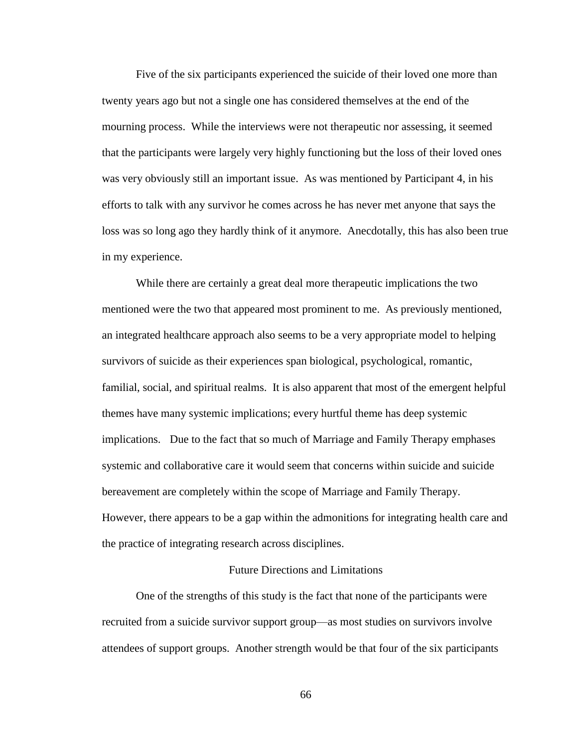Five of the six participants experienced the suicide of their loved one more than twenty years ago but not a single one has considered themselves at the end of the mourning process. While the interviews were not therapeutic nor assessing, it seemed that the participants were largely very highly functioning but the loss of their loved ones was very obviously still an important issue. As was mentioned by Participant 4, in his efforts to talk with any survivor he comes across he has never met anyone that says the loss was so long ago they hardly think of it anymore. Anecdotally, this has also been true in my experience.

While there are certainly a great deal more therapeutic implications the two mentioned were the two that appeared most prominent to me. As previously mentioned, an integrated healthcare approach also seems to be a very appropriate model to helping survivors of suicide as their experiences span biological, psychological, romantic, familial, social, and spiritual realms. It is also apparent that most of the emergent helpful themes have many systemic implications; every hurtful theme has deep systemic implications. Due to the fact that so much of Marriage and Family Therapy emphases systemic and collaborative care it would seem that concerns within suicide and suicide bereavement are completely within the scope of Marriage and Family Therapy. However, there appears to be a gap within the admonitions for integrating health care and the practice of integrating research across disciplines.

#### Future Directions and Limitations

One of the strengths of this study is the fact that none of the participants were recruited from a suicide survivor support group—as most studies on survivors involve attendees of support groups. Another strength would be that four of the six participants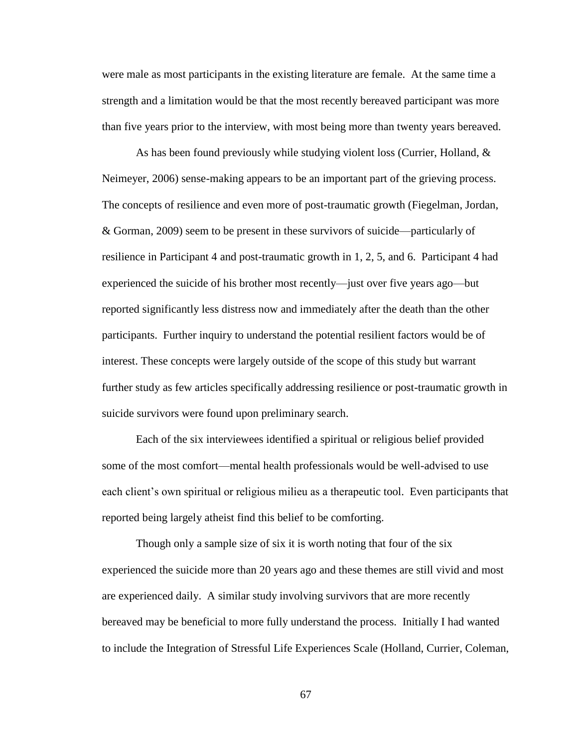were male as most participants in the existing literature are female. At the same time a strength and a limitation would be that the most recently bereaved participant was more than five years prior to the interview, with most being more than twenty years bereaved.

As has been found previously while studying violent loss (Currier, Holland,  $\&$ Neimeyer, 2006) sense-making appears to be an important part of the grieving process. The concepts of resilience and even more of post-traumatic growth (Fiegelman, Jordan, & Gorman, 2009) seem to be present in these survivors of suicide—particularly of resilience in Participant 4 and post-traumatic growth in 1, 2, 5, and 6. Participant 4 had experienced the suicide of his brother most recently—just over five years ago—but reported significantly less distress now and immediately after the death than the other participants. Further inquiry to understand the potential resilient factors would be of interest. These concepts were largely outside of the scope of this study but warrant further study as few articles specifically addressing resilience or post-traumatic growth in suicide survivors were found upon preliminary search.

Each of the six interviewees identified a spiritual or religious belief provided some of the most comfort—mental health professionals would be well-advised to use each client's own spiritual or religious milieu as a therapeutic tool. Even participants that reported being largely atheist find this belief to be comforting.

Though only a sample size of six it is worth noting that four of the six experienced the suicide more than 20 years ago and these themes are still vivid and most are experienced daily. A similar study involving survivors that are more recently bereaved may be beneficial to more fully understand the process. Initially I had wanted to include the Integration of Stressful Life Experiences Scale (Holland, Currier, Coleman,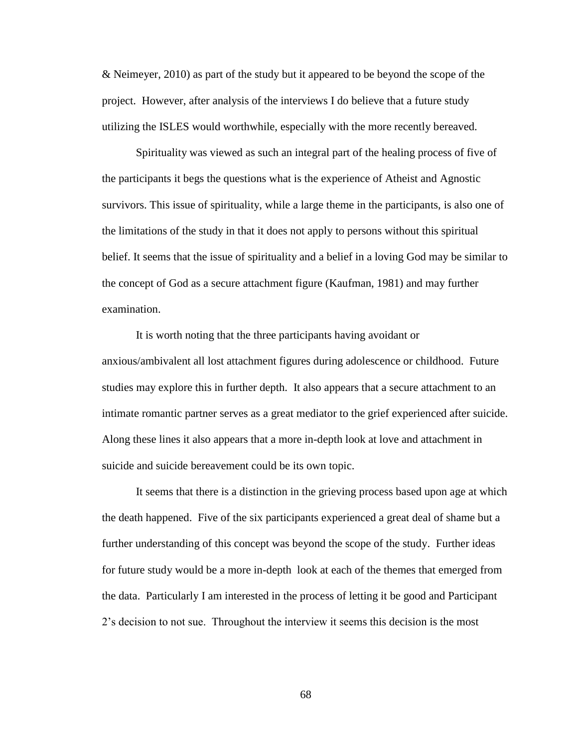& Neimeyer, 2010) as part of the study but it appeared to be beyond the scope of the project. However, after analysis of the interviews I do believe that a future study utilizing the ISLES would worthwhile, especially with the more recently bereaved.

Spirituality was viewed as such an integral part of the healing process of five of the participants it begs the questions what is the experience of Atheist and Agnostic survivors. This issue of spirituality, while a large theme in the participants, is also one of the limitations of the study in that it does not apply to persons without this spiritual belief. It seems that the issue of spirituality and a belief in a loving God may be similar to the concept of God as a secure attachment figure (Kaufman, 1981) and may further examination.

It is worth noting that the three participants having avoidant or anxious/ambivalent all lost attachment figures during adolescence or childhood. Future studies may explore this in further depth. It also appears that a secure attachment to an intimate romantic partner serves as a great mediator to the grief experienced after suicide. Along these lines it also appears that a more in-depth look at love and attachment in suicide and suicide bereavement could be its own topic.

It seems that there is a distinction in the grieving process based upon age at which the death happened. Five of the six participants experienced a great deal of shame but a further understanding of this concept was beyond the scope of the study. Further ideas for future study would be a more in-depth look at each of the themes that emerged from the data. Particularly I am interested in the process of letting it be good and Participant 2's decision to not sue. Throughout the interview it seems this decision is the most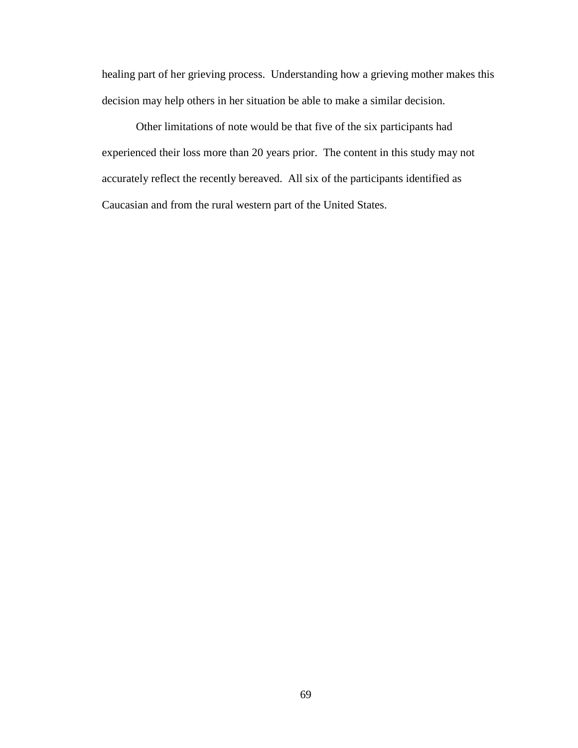healing part of her grieving process. Understanding how a grieving mother makes this decision may help others in her situation be able to make a similar decision.

Other limitations of note would be that five of the six participants had experienced their loss more than 20 years prior. The content in this study may not accurately reflect the recently bereaved. All six of the participants identified as Caucasian and from the rural western part of the United States.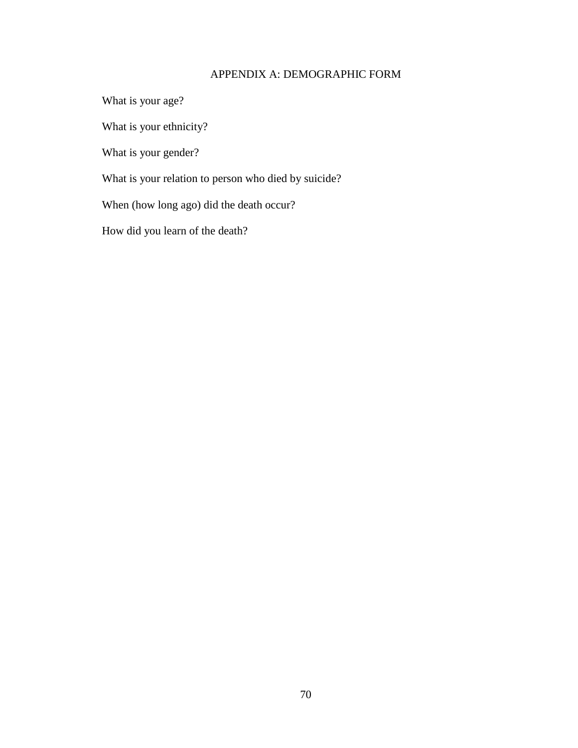# APPENDIX A: DEMOGRAPHIC FORM

What is your age?

What is your ethnicity?

What is your gender?

What is your relation to person who died by suicide?

When (how long ago) did the death occur?

How did you learn of the death?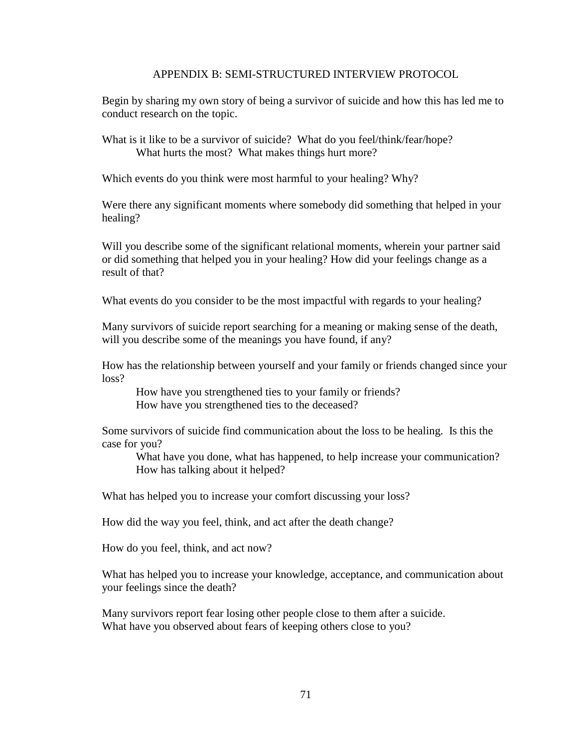## APPENDIX B: SEMI-STRUCTURED INTERVIEW PROTOCOL

Begin by sharing my own story of being a survivor of suicide and how this has led me to conduct research on the topic.

What is it like to be a survivor of suicide? What do you feel/think/fear/hope? What hurts the most? What makes things hurt more?

Which events do you think were most harmful to your healing? Why?

Were there any significant moments where somebody did something that helped in your healing?

Will you describe some of the significant relational moments, wherein your partner said or did something that helped you in your healing? How did your feelings change as a result of that?

What events do you consider to be the most impactful with regards to your healing?

Many survivors of suicide report searching for a meaning or making sense of the death, will you describe some of the meanings you have found, if any?

How has the relationship between yourself and your family or friends changed since your loss?

How have you strengthened ties to your family or friends? How have you strengthened ties to the deceased?

Some survivors of suicide find communication about the loss to be healing. Is this the case for you?

What have you done, what has happened, to help increase your communication? How has talking about it helped?

What has helped you to increase your comfort discussing your loss?

How did the way you feel, think, and act after the death change?

How do you feel, think, and act now?

What has helped you to increase your knowledge, acceptance, and communication about your feelings since the death?

Many survivors report fear losing other people close to them after a suicide. What have you observed about fears of keeping others close to you?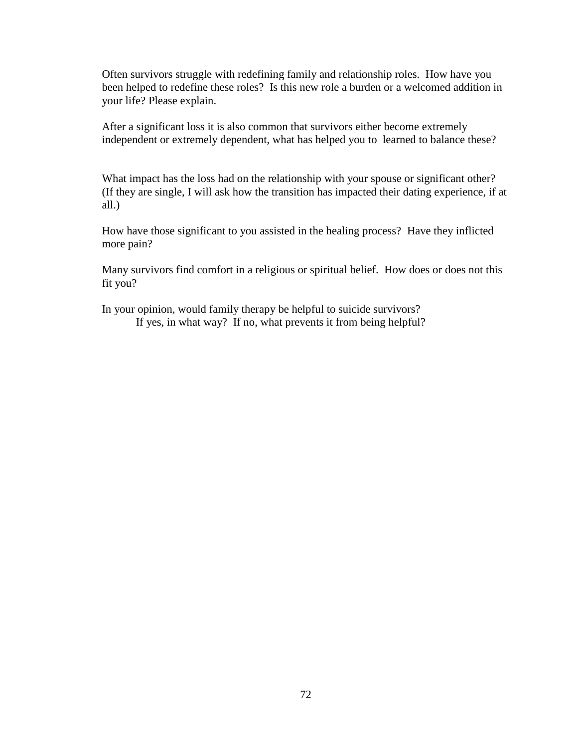Often survivors struggle with redefining family and relationship roles. How have you been helped to redefine these roles? Is this new role a burden or a welcomed addition in your life? Please explain.

After a significant loss it is also common that survivors either become extremely independent or extremely dependent, what has helped you to learned to balance these?

What impact has the loss had on the relationship with your spouse or significant other? (If they are single, I will ask how the transition has impacted their dating experience, if at all.)

How have those significant to you assisted in the healing process? Have they inflicted more pain?

Many survivors find comfort in a religious or spiritual belief. How does or does not this fit you?

In your opinion, would family therapy be helpful to suicide survivors? If yes, in what way? If no, what prevents it from being helpful?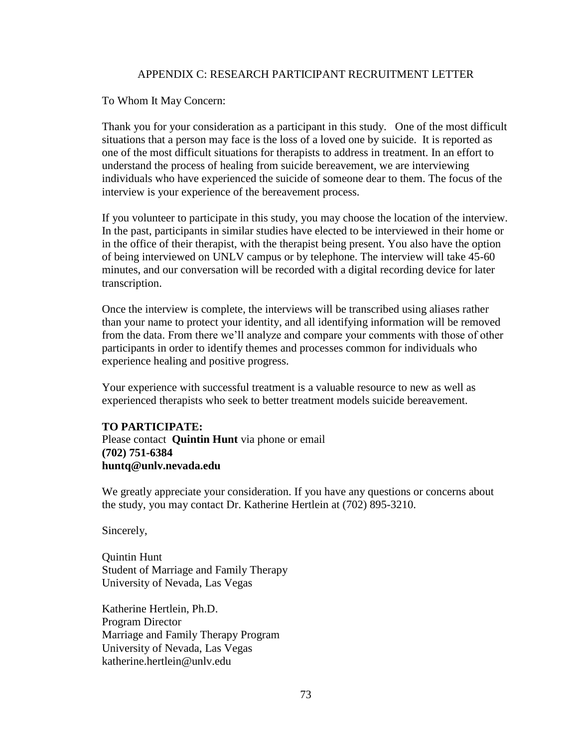## APPENDIX C: RESEARCH PARTICIPANT RECRUITMENT LETTER

To Whom It May Concern:

Thank you for your consideration as a participant in this study. One of the most difficult situations that a person may face is the loss of a loved one by suicide. It is reported as one of the most difficult situations for therapists to address in treatment. In an effort to understand the process of healing from suicide bereavement, we are interviewing individuals who have experienced the suicide of someone dear to them. The focus of the interview is your experience of the bereavement process.

If you volunteer to participate in this study, you may choose the location of the interview. In the past, participants in similar studies have elected to be interviewed in their home or in the office of their therapist, with the therapist being present. You also have the option of being interviewed on UNLV campus or by telephone. The interview will take 45-60 minutes, and our conversation will be recorded with a digital recording device for later transcription.

Once the interview is complete, the interviews will be transcribed using aliases rather than your name to protect your identity, and all identifying information will be removed from the data. From there we'll analyze and compare your comments with those of other participants in order to identify themes and processes common for individuals who experience healing and positive progress.

Your experience with successful treatment is a valuable resource to new as well as experienced therapists who seek to better treatment models suicide bereavement.

# **TO PARTICIPATE:**

Please contact **Quintin Hunt** via phone or email **(702) 751-6384 huntq@unlv.nevada.edu**

We greatly appreciate your consideration. If you have any questions or concerns about the study, you may contact Dr. Katherine Hertlein at (702) 895-3210.

Sincerely,

Quintin Hunt Student of Marriage and Family Therapy University of Nevada, Las Vegas

Katherine Hertlein, Ph.D. Program Director Marriage and Family Therapy Program University of Nevada, Las Vegas katherine.hertlein@unlv.edu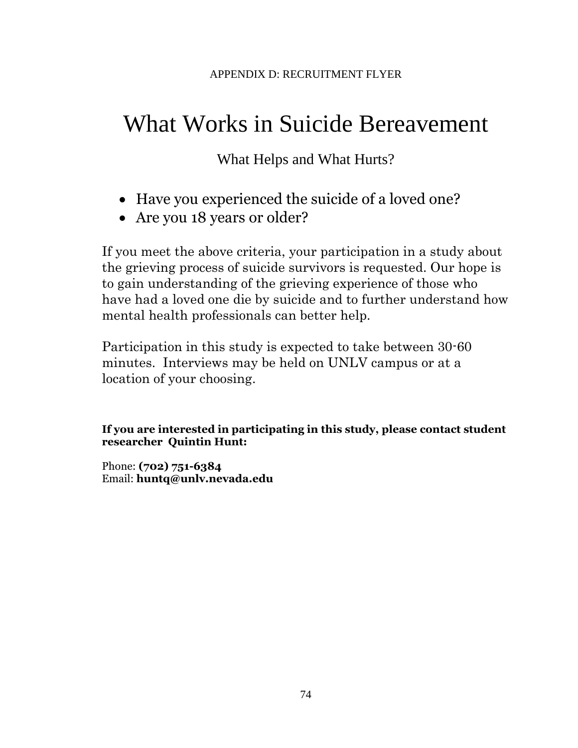# What Works in Suicide Bereavement

What Helps and What Hurts?

- Have you experienced the suicide of a loved one?
- Are you 18 years or older?

If you meet the above criteria, your participation in a study about the grieving process of suicide survivors is requested. Our hope is to gain understanding of the grieving experience of those who have had a loved one die by suicide and to further understand how mental health professionals can better help.

Participation in this study is expected to take between 30-60 minutes. Interviews may be held on UNLV campus or at a location of your choosing.

# **If you are interested in participating in this study, please contact student researcher Quintin Hunt:**

Phone: **(702) 751-6384**  Email: **huntq@unlv.nevada.edu**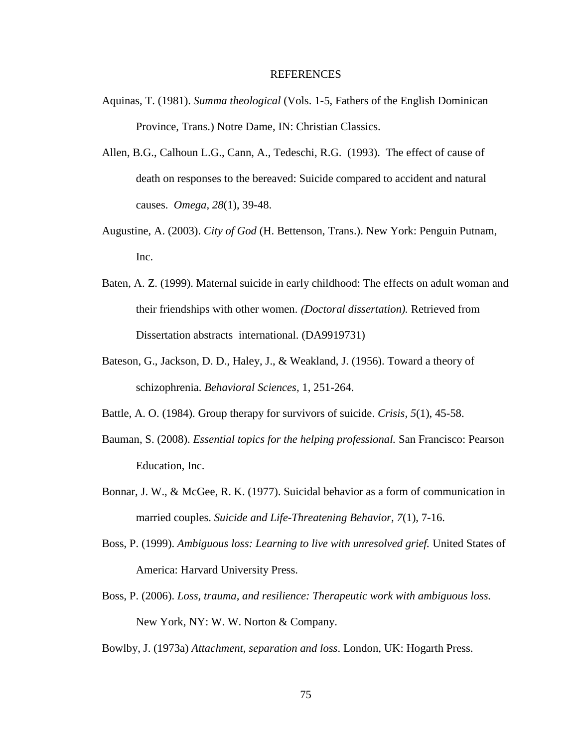#### REFERENCES

- Aquinas, T. (1981). *Summa theological* (Vols. 1-5, Fathers of the English Dominican Province, Trans.) Notre Dame, IN: Christian Classics.
- Allen, B.G., Calhoun L.G., Cann, A., Tedeschi, R.G. (1993). The effect of cause of death on responses to the bereaved: Suicide compared to accident and natural causes. *Omega, 28*(1), 39-48.
- Augustine, A. (2003). *City of God* (H. Bettenson, Trans.). New York: Penguin Putnam, Inc.
- Baten, A. Z. (1999). Maternal suicide in early childhood: The effects on adult woman and their friendships with other women. *(Doctoral dissertation).* Retrieved from Dissertation abstracts international. (DA9919731)
- Bateson, G., Jackson, D. D., Haley, J., & Weakland, J. (1956). Toward a theory of schizophrenia. *Behavioral Sciences,* 1, 251-264.
- Battle, A. O. (1984). Group therapy for survivors of suicide. *Crisis, 5*(1), 45-58.
- Bauman, S. (2008). *Essential topics for the helping professional.* San Francisco: Pearson Education, Inc.
- Bonnar, J. W., & McGee, R. K. (1977). Suicidal behavior as a form of communication in married couples. *Suicide and Life-Threatening Behavior, 7*(1), 7-16.
- Boss, P. (1999). *Ambiguous loss: Learning to live with unresolved grief.* United States of America: Harvard University Press.
- Boss, P. (2006). *Loss, trauma, and resilience: Therapeutic work with ambiguous loss.* New York, NY: W. W. Norton & Company.
- Bowlby, J. (1973a) *Attachment, separation and loss*. London, UK: Hogarth Press.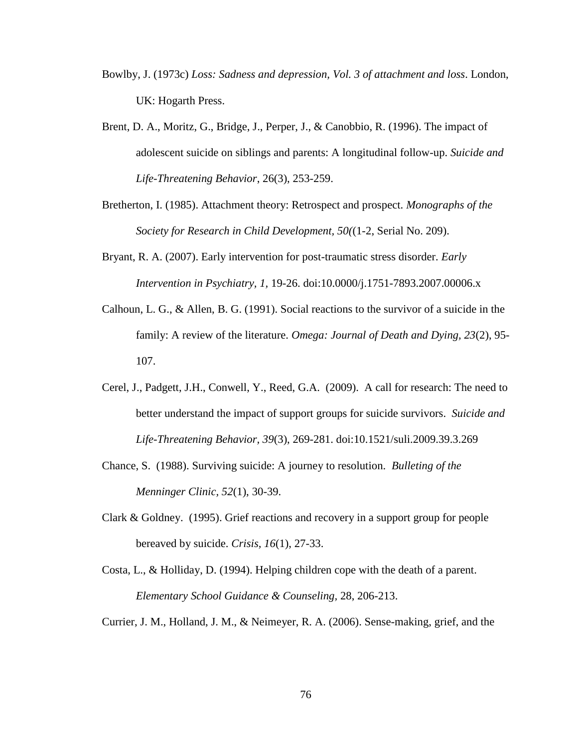- Bowlby, J. (1973c) *Loss: Sadness and depression, Vol. 3 of attachment and loss*. London, UK: Hogarth Press.
- Brent, D. A., Moritz, G., Bridge, J., Perper, J., & Canobbio, R. (1996). The impact of adolescent suicide on siblings and parents: A longitudinal follow-up. *Suicide and Life-Threatening Behavior*, 26(3), 253-259.
- Bretherton, I. (1985). Attachment theory: Retrospect and prospect. *Monographs of the Society for Research in Child Development, 50(*(1-2, Serial No. 209).
- Bryant, R. A. (2007). Early intervention for post-traumatic stress disorder. *Early Intervention in Psychiatry, 1,* 19-26. doi:10.0000/j.1751-7893.2007.00006.x
- Calhoun, L. G., & Allen, B. G. (1991). Social reactions to the survivor of a suicide in the family: A review of the literature. *Omega: Journal of Death and Dying, 23*(2), 95- 107.
- Cerel, J., Padgett, J.H., Conwell, Y., Reed, G.A. (2009). A call for research: The need to better understand the impact of support groups for suicide survivors. *Suicide and Life-Threatening Behavior, 39*(3), 269-281. doi:10.1521/suli.2009.39.3.269
- Chance, S. (1988). Surviving suicide: A journey to resolution. *Bulleting of the Menninger Clinic, 52*(1), 30-39.
- Clark & Goldney. (1995). Grief reactions and recovery in a support group for people bereaved by suicide. *Crisis, 16*(1), 27-33.
- Costa, L., & Holliday, D. (1994). Helping children cope with the death of a parent. *Elementary School Guidance & Counseling,* 28, 206-213.
- Currier, J. M., Holland, J. M., & Neimeyer, R. A. (2006). Sense-making, grief, and the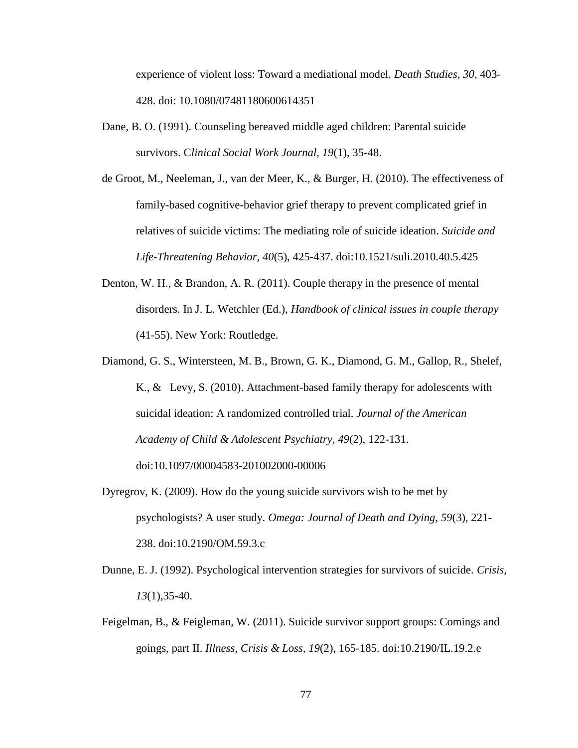experience of violent loss: Toward a mediational model. *Death Studies, 30*, 403- 428. doi: 10.1080/07481180600614351

- Dane, B. O. (1991). Counseling bereaved middle aged children: Parental suicide survivors. C*linical Social Work Journal, 19*(1), 35-48.
- de Groot, M., Neeleman, J., van der Meer, K., & Burger, H. (2010). The effectiveness of family-based cognitive-behavior grief therapy to prevent complicated grief in relatives of suicide victims: The mediating role of suicide ideation. *Suicide and Life-Threatening Behavior, 40*(5), 425-437. doi:10.1521/suli.2010.40.5.425
- Denton, W. H., & Brandon, A. R. (2011). Couple therapy in the presence of mental disorders. In J. L. Wetchler (Ed.), *Handbook of clinical issues in couple therapy*  (41-55). New York: Routledge.
- Diamond, G. S., Wintersteen, M. B., Brown, G. K., Diamond, G. M., Gallop, R., Shelef, K., & Levy, S. (2010). Attachment-based family therapy for adolescents with suicidal ideation: A randomized controlled trial. *Journal of the American Academy of Child & Adolescent Psychiatry, 49*(2), 122-131. doi:10.1097/00004583-201002000-00006
- Dyregrov, K. (2009). How do the young suicide survivors wish to be met by psychologists? A user study. *Omega: Journal of Death and Dying, 59*(3), 221- 238. doi:10.2190/OM.59.3.c
- Dunne, E. J. (1992). Psychological intervention strategies for survivors of suicide. *Crisis, 13*(1),35-40.
- Feigelman, B., & Feigleman, W. (2011). Suicide survivor support groups: Comings and goings, part II. *Illness, Crisis & Loss, 19*(2), 165-185. doi:10.2190/IL.19.2.e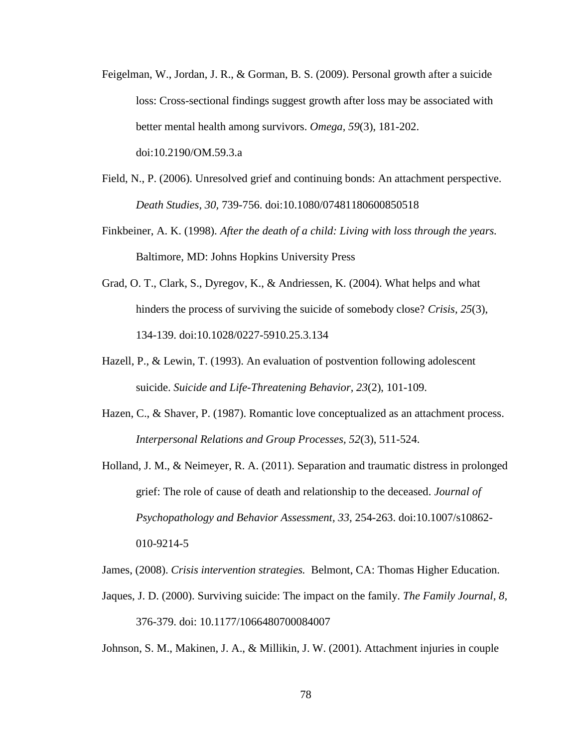- Feigelman, W., Jordan, J. R., & Gorman, B. S. (2009). Personal growth after a suicide loss: Cross-sectional findings suggest growth after loss may be associated with better mental health among survivors. *Omega, 59*(3), 181-202. doi:10.2190/OM.59.3.a
- Field, N., P. (2006). Unresolved grief and continuing bonds: An attachment perspective. *Death Studies, 30,* 739-756. doi:10.1080/07481180600850518
- Finkbeiner, A. K. (1998). *After the death of a child: Living with loss through the years.*  Baltimore, MD: Johns Hopkins University Press
- Grad, O. T., Clark, S., Dyregov, K., & Andriessen, K. (2004). What helps and what hinders the process of surviving the suicide of somebody close? *Crisis, 25*(3), 134-139. doi:10.1028/0227-5910.25.3.134
- Hazell, P., & Lewin, T. (1993). An evaluation of postvention following adolescent suicide. *Suicide and Life-Threatening Behavior, 23*(2), 101-109.
- Hazen, C., & Shaver, P. (1987). Romantic love conceptualized as an attachment process. *Interpersonal Relations and Group Processes, 52*(3), 511-524.

Holland, J. M., & Neimeyer, R. A. (2011). Separation and traumatic distress in prolonged grief: The role of cause of death and relationship to the deceased. *Journal of Psychopathology and Behavior Assessment, 33,* 254-263. doi:10.1007/s10862- 010-9214-5

James, (2008). *Crisis intervention strategies.* Belmont, CA: Thomas Higher Education.

Jaques, J. D. (2000). Surviving suicide: The impact on the family. *The Family Journal, 8,* 376-379. doi: 10.1177/1066480700084007

Johnson, S. M., Makinen, J. A., & Millikin, J. W. (2001). Attachment injuries in couple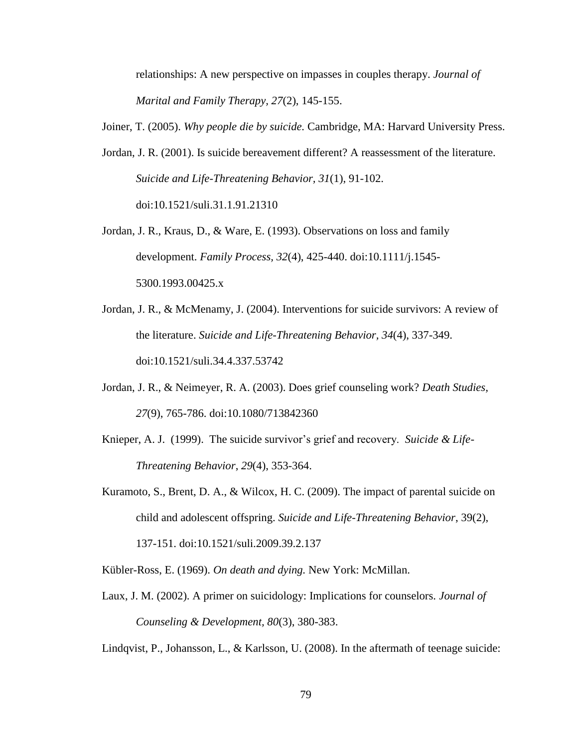relationships: A new perspective on impasses in couples therapy. *Journal of Marital and Family Therapy, 27*(2), 145-155.

Joiner, T. (2005). *Why people die by suicide.* Cambridge, MA: Harvard University Press.

- Jordan, J. R. (2001). Is suicide bereavement different? A reassessment of the literature. *Suicide and Life-Threatening Behavior, 31*(1), 91-102. doi:10.1521/suli.31.1.91.21310
- Jordan, J. R., Kraus, D., & Ware, E. (1993). Observations on loss and family development. *Family Process, 32*(4), 425-440. doi:10.1111/j.1545- 5300.1993.00425.x
- Jordan, J. R., & McMenamy, J. (2004). Interventions for suicide survivors: A review of the literature. *Suicide and Life-Threatening Behavior, 34*(4), 337-349. doi:10.1521/suli.34.4.337.53742
- Jordan, J. R., & Neimeyer, R. A. (2003). Does grief counseling work? *Death Studies, 27*(9), 765-786. doi:10.1080/713842360
- Knieper, A. J. (1999). The suicide survivor's grief and recovery. *Suicide & Life-Threatening Behavior*, *29*(4), 353-364.
- Kuramoto, S., Brent, D. A., & Wilcox, H. C. (2009). The impact of parental suicide on child and adolescent offspring. *Suicide and Life-Threatening Behavior*, 39(2), 137-151. doi:10.1521/suli.2009.39.2.137
- Kübler-Ross, E. (1969). *On death and dying.* New York: McMillan.
- Laux, J. M. (2002). A primer on suicidology: Implications for counselors. *Journal of Counseling & Development, 80*(3), 380-383.

Lindqvist, P., Johansson, L., & Karlsson, U. (2008). In the aftermath of teenage suicide: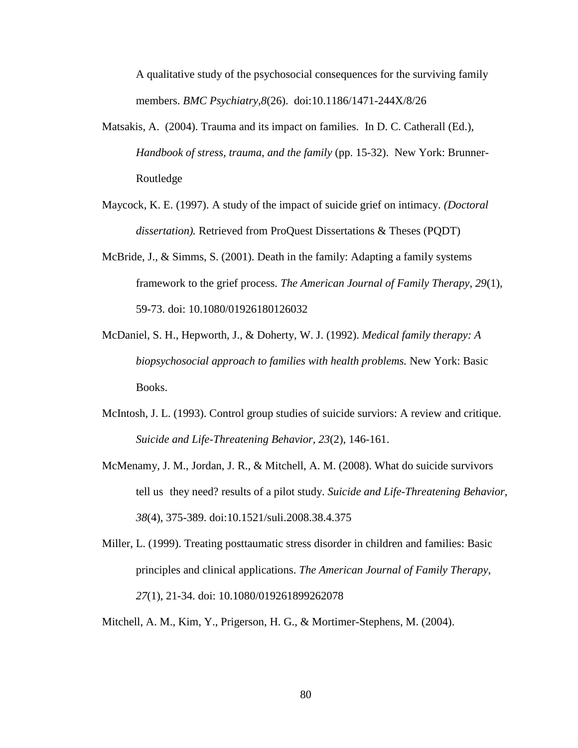A qualitative study of the psychosocial consequences for the surviving family members. *BMC Psychiatry,8*(26). doi:10.1186/1471-244X/8/26

- Matsakis, A. (2004). Trauma and its impact on families. In D. C. Catherall (Ed.), *Handbook of stress, trauma, and the family* (pp. 15-32). New York: Brunner-Routledge
- Maycock, K. E. (1997). A study of the impact of suicide grief on intimacy. *(Doctoral dissertation).* Retrieved from ProQuest Dissertations & Theses (PQDT)
- McBride, J., & Simms, S. (2001). Death in the family: Adapting a family systems framework to the grief process. *The American Journal of Family Therapy, 29*(1), 59-73. doi: 10.1080/01926180126032
- McDaniel, S. H., Hepworth, J., & Doherty, W. J. (1992). *Medical family therapy: A biopsychosocial approach to families with health problems.* New York: Basic Books.
- McIntosh, J. L. (1993). Control group studies of suicide surviors: A review and critique. *Suicide and Life-Threatening Behavior, 23*(2), 146-161.
- McMenamy, J. M., Jordan, J. R., & Mitchell, A. M. (2008). What do suicide survivors tell us they need? results of a pilot study. *Suicide and Life-Threatening Behavior, 38*(4), 375-389. doi:10.1521/suli.2008.38.4.375
- Miller, L. (1999). Treating posttaumatic stress disorder in children and families: Basic principles and clinical applications. *The American Journal of Family Therapy, 27*(1), 21-34. doi: 10.1080/019261899262078

Mitchell, A. M., Kim, Y., Prigerson, H. G., & Mortimer-Stephens, M. (2004).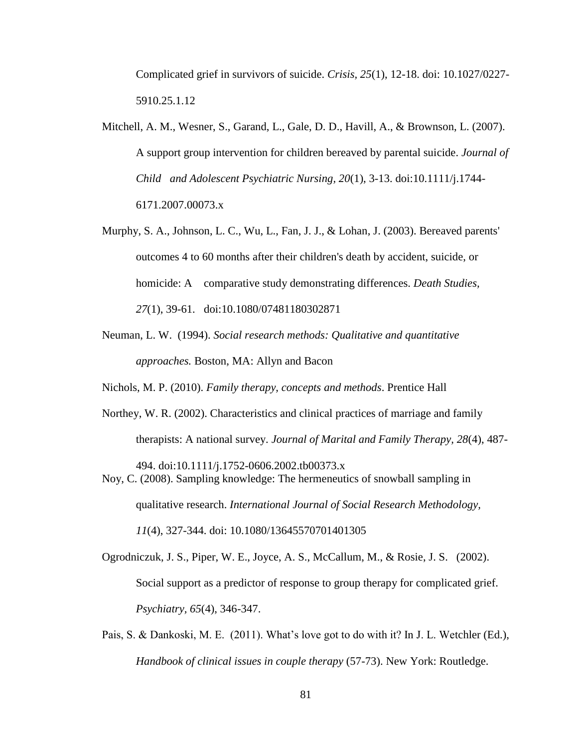Complicated grief in survivors of suicide. *Crisis, 25*(1), 12-18. doi: 10.1027/0227- 5910.25.1.12

- Mitchell, A. M., Wesner, S., Garand, L., Gale, D. D., Havill, A., & Brownson, L. (2007). A support group intervention for children bereaved by parental suicide. *Journal of Child and Adolescent Psychiatric Nursing, 20*(1), 3-13. doi:10.1111/j.1744- 6171.2007.00073.x
- Murphy, S. A., Johnson, L. C., Wu, L., Fan, J. J., & Lohan, J. (2003). Bereaved parents' outcomes 4 to 60 months after their children's death by accident, suicide, or homicide: A comparative study demonstrating differences. *Death Studies, 27*(1), 39-61. doi:10.1080/07481180302871
- Neuman, L. W. (1994). *Social research methods: Qualitative and quantitative approaches.* Boston, MA: Allyn and Bacon

Nichols, M. P. (2010). *Family therapy, concepts and methods*. Prentice Hall

- Northey, W. R. (2002). Characteristics and clinical practices of marriage and family therapists: A national survey. *Journal of Marital and Family Therapy, 28*(4), 487-
- 494. doi:10.1111/j.1752-0606.2002.tb00373.x Noy, C. (2008). Sampling knowledge: The hermeneutics of snowball sampling in qualitative research. *International Journal of Social Research Methodology,*

*11*(4), 327-344. doi: 10.1080/13645570701401305

- Ogrodniczuk, J. S., Piper, W. E., Joyce, A. S., McCallum, M., & Rosie, J. S. (2002). Social support as a predictor of response to group therapy for complicated grief. *Psychiatry, 65*(4), 346-347.
- Pais, S. & Dankoski, M. E. (2011). What's love got to do with it? In J. L. Wetchler (Ed.), *Handbook of clinical issues in couple therapy* (57-73). New York: Routledge.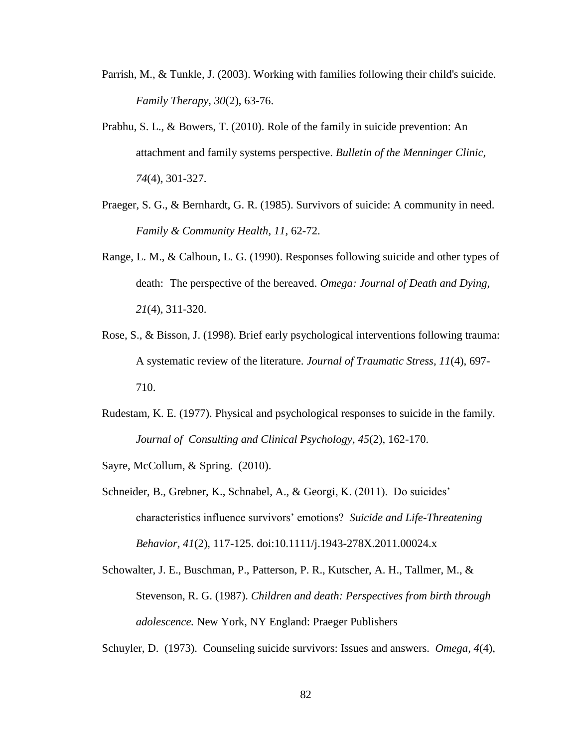- Parrish, M., & Tunkle, J. (2003). Working with families following their child's suicide. *Family Therapy, 30*(2), 63-76.
- Prabhu, S. L., & Bowers, T. (2010). Role of the family in suicide prevention: An attachment and family systems perspective. *Bulletin of the Menninger Clinic, 74*(4), 301-327.
- Praeger, S. G., & Bernhardt, G. R. (1985). Survivors of suicide: A community in need. *Family & Community Health, 11,* 62-72.
- Range, L. M., & Calhoun, L. G. (1990). Responses following suicide and other types of death: The perspective of the bereaved. *Omega: Journal of Death and Dying, 21*(4), 311-320.
- Rose, S., & Bisson, J. (1998). Brief early psychological interventions following trauma: A systematic review of the literature. *Journal of Traumatic Stress, 11*(4), 697- 710.
- Rudestam, K. E. (1977). Physical and psychological responses to suicide in the family. *Journal of Consulting and Clinical Psychology, 45*(2), 162-170.

Sayre, McCollum, & Spring. (2010).

- Schneider, B., Grebner, K., Schnabel, A., & Georgi, K. (2011). Do suicides' characteristics influence survivors' emotions? *Suicide and Life-Threatening Behavior, 41*(2), 117-125. doi:10.1111/j.1943-278X.2011.00024.x
- Schowalter, J. E., Buschman, P., Patterson, P. R., Kutscher, A. H., Tallmer, M., & Stevenson, R. G. (1987). *Children and death: Perspectives from birth through adolescence.* New York, NY England: Praeger Publishers

Schuyler, D. (1973). Counseling suicide survivors: Issues and answers. *Omega, 4*(4),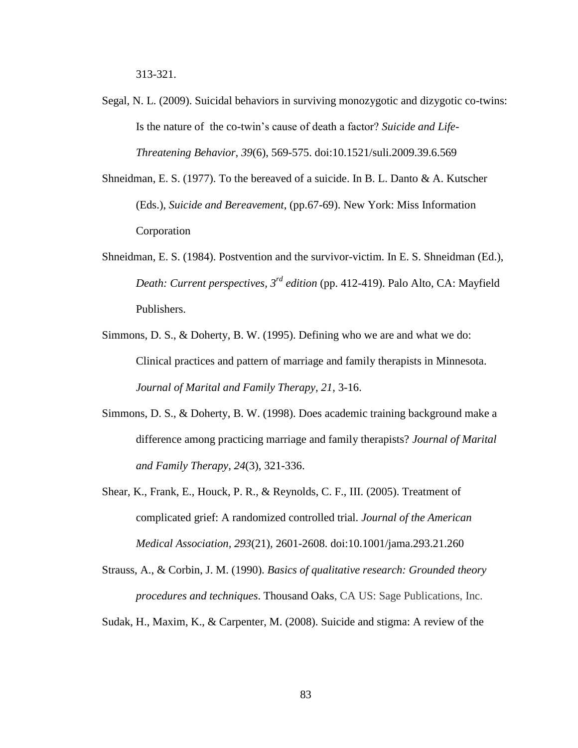- Segal, N. L. (2009). Suicidal behaviors in surviving monozygotic and dizygotic co-twins: Is the nature of the co-twin's cause of death a factor? *Suicide and Life-Threatening Behavior, 39*(6), 569-575. doi:10.1521/suli.2009.39.6.569
- Shneidman, E. S. (1977). To the bereaved of a suicide. In B. L. Danto & A. Kutscher (Eds.), *Suicide and Bereavement*, (pp.67-69). New York: Miss Information Corporation
- Shneidman, E. S. (1984). Postvention and the survivor-victim. In E. S. Shneidman (Ed.), *Death: Current perspectives, 3rd edition* (pp. 412-419). Palo Alto, CA: Mayfield Publishers.
- Simmons, D. S., & Doherty, B. W. (1995). Defining who we are and what we do: Clinical practices and pattern of marriage and family therapists in Minnesota. *Journal of Marital and Family Therapy, 21*, 3-16.
- Simmons, D. S., & Doherty, B. W. (1998). Does academic training background make a difference among practicing marriage and family therapists? *Journal of Marital and Family Therapy, 24*(3), 321-336.
- Shear, K., Frank, E., Houck, P. R., & Reynolds, C. F., III. (2005). Treatment of complicated grief: A randomized controlled trial. *Journal of the American Medical Association, 293*(21)*,* 2601-2608. doi:10.1001/jama.293.21.260
- Strauss, A., & Corbin, J. M. (1990). *Basics of qualitative research: Grounded theory procedures and techniques*. Thousand Oaks, CA US: Sage Publications, Inc.
- Sudak, H., Maxim, K., & Carpenter, M. (2008). Suicide and stigma: A review of the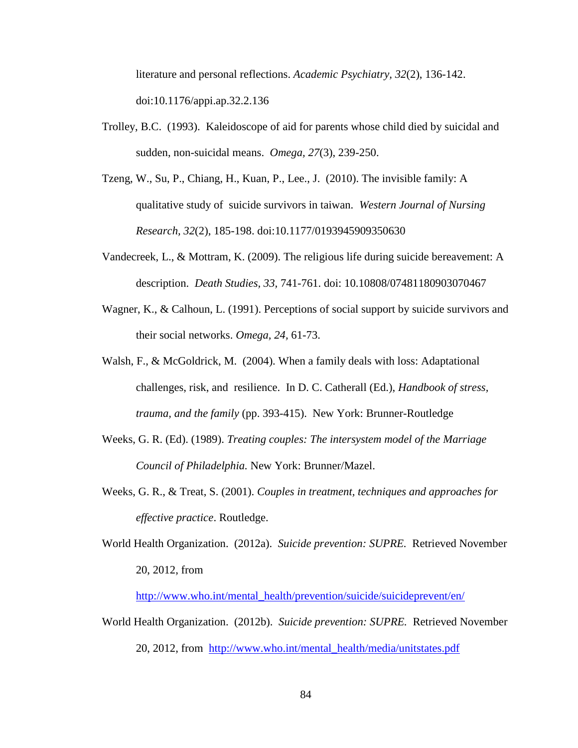literature and personal reflections. *Academic Psychiatry, 32*(2), 136-142. doi:10.1176/appi.ap.32.2.136

- Trolley, B.C. (1993). Kaleidoscope of aid for parents whose child died by suicidal and sudden, non-suicidal means. *Omega, 27*(3), 239-250.
- Tzeng, W., Su, P., Chiang, H., Kuan, P., Lee., J. (2010). The invisible family: A qualitative study of suicide survivors in taiwan. *Western Journal of Nursing Research, 32*(2), 185-198. doi:10.1177/0193945909350630
- Vandecreek, L., & Mottram, K. (2009). The religious life during suicide bereavement: A description. *Death Studies, 33,* 741-761. doi: 10.10808/07481180903070467
- Wagner, K., & Calhoun, L. (1991). Perceptions of social support by suicide survivors and their social networks. *Omega, 24,* 61-73.
- Walsh, F., & McGoldrick, M. (2004). When a family deals with loss: Adaptational challenges, risk, and resilience. In D. C. Catherall (Ed.), *Handbook of stress, trauma, and the family* (pp. 393-415). New York: Brunner-Routledge
- Weeks, G. R. (Ed). (1989). *Treating couples: The intersystem model of the Marriage Council of Philadelphia.* New York: Brunner/Mazel.
- Weeks, G. R., & Treat, S. (2001). *Couples in treatment, techniques and approaches for effective practice*. Routledge.
- World Health Organization. (2012a). *Suicide prevention: SUPRE.* Retrieved November 20, 2012, from

[http://www.who.int/mental\\_health/prevention/suicide/suicideprevent/en/](http://www.who.int/mental_health/prevention/suicide/suicideprevent/en/)

World Health Organization. (2012b). *Suicide prevention: SUPRE.* Retrieved November 20, 2012, from [http://www.who.int/mental\\_health/media/unitstates.pdf](http://www.who.int/mental_health/media/unitstates.pdf)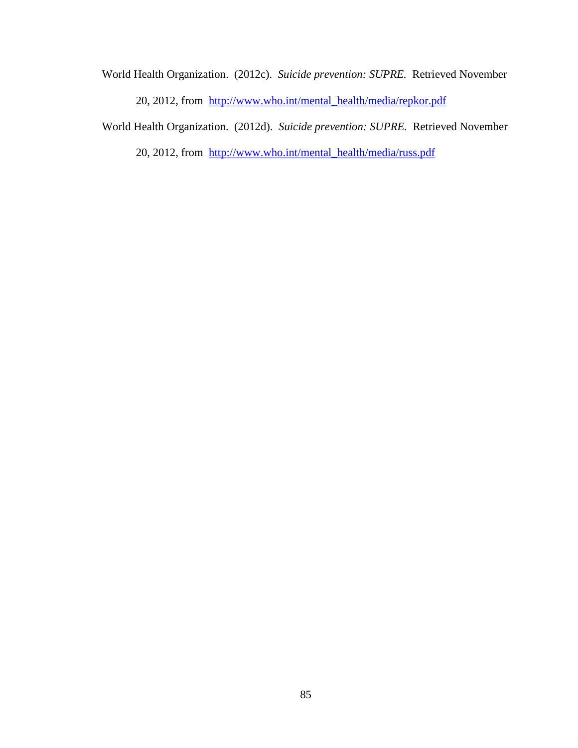World Health Organization. (2012c). *Suicide prevention: SUPRE.* Retrieved November 20, 2012, from [http://www.who.int/mental\\_health/media/repkor.pdf](http://www.who.int/mental_health/media/repkor.pdf)

World Health Organization. (2012d). *Suicide prevention: SUPRE.* Retrieved November

20, 2012, from [http://www.who.int/mental\\_health/media/russ.pdf](http://www.who.int/mental_health/media/russ.pdf)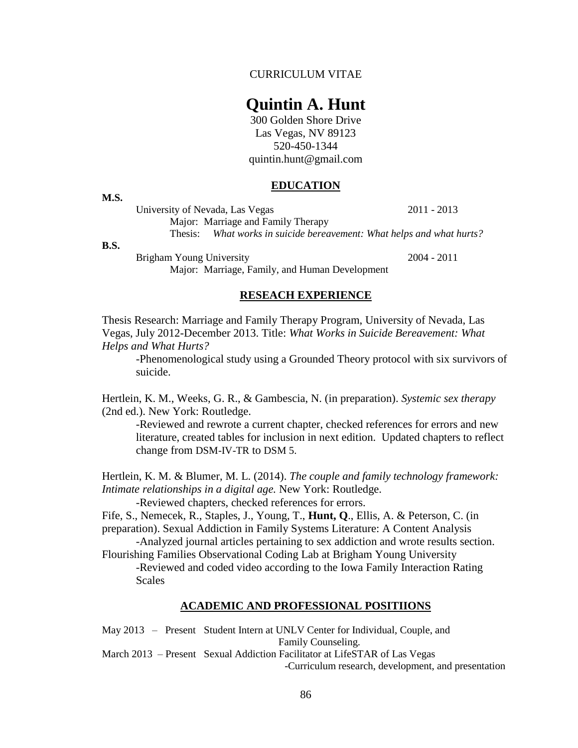#### CURRICULUM VITAE

# **Quintin A. Hunt**

300 Golden Shore Drive Las Vegas, NV 89123 520-450-1344 quintin.hunt@gmail.com

#### **EDUCATION**

**M.S.** 

University of Nevada, Las Vegas 2011 - 2013 Major: Marriage and Family Therapy

Thesis: *What works in suicide bereavement: What helps and what hurts?*

#### **B.S.**

Brigham Young University 2004 - 2011 Major: Marriage, Family, and Human Development

# **RESEACH EXPERIENCE**

Thesis Research: Marriage and Family Therapy Program, University of Nevada, Las Vegas, July 2012-December 2013. Title: *What Works in Suicide Bereavement: What Helps and What Hurts?* 

-Phenomenological study using a Grounded Theory protocol with six survivors of suicide.

Hertlein, K. M., Weeks, G. R., & Gambescia, N. (in preparation). *Systemic sex therapy* (2nd ed.). New York: Routledge.

-Reviewed and rewrote a current chapter, checked references for errors and new literature, created tables for inclusion in next edition. Updated chapters to reflect change from DSM-IV-TR to DSM 5.

Hertlein, K. M. & Blumer, M. L. (2014). *The couple and family technology framework: Intimate relationships in a digital age.* New York: Routledge.

-Reviewed chapters, checked references for errors.

Fife, S., Nemecek, R., Staples, J., Young, T., **Hunt, Q**., Ellis, A. & Peterson, C. (in preparation). Sexual Addiction in Family Systems Literature: A Content Analysis

-Analyzed journal articles pertaining to sex addiction and wrote results section. Flourishing Families Observational Coding Lab at Brigham Young University

-Reviewed and coded video according to the Iowa Family Interaction Rating Scales

#### **ACADEMIC AND PROFESSIONAL POSITIIONS**

May 2013 – Present Student Intern at UNLV Center for Individual, Couple, and Family Counseling. March 2013 – Present Sexual Addiction Facilitator at LifeSTAR of Las Vegas

-Curriculum research, development, and presentation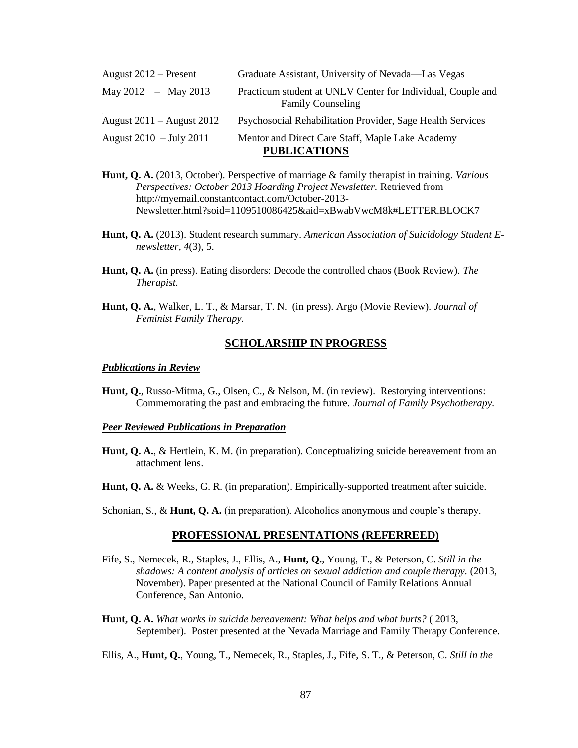| August $2012$ – Present       | Graduate Assistant, University of Nevada—Las Vegas                                      |
|-------------------------------|-----------------------------------------------------------------------------------------|
| May 2012 – May 2013           | Practicum student at UNLV Center for Individual, Couple and<br><b>Family Counseling</b> |
| August $2011 -$ August $2012$ | Psychosocial Rehabilitation Provider, Sage Health Services                              |
| August $2010 - July 2011$     | Mentor and Direct Care Staff, Maple Lake Academy<br><b>PUBLICATIONS</b>                 |

- **Hunt, Q. A.** (2013, October). Perspective of marriage & family therapist in training. *Various Perspectives: October 2013 Hoarding Project Newsletter.* Retrieved from http://myemail.constantcontact.com/October-2013- Newsletter.html?soid=1109510086425&aid=xBwabVwcM8k#LETTER.BLOCK7
- **Hunt, Q. A.** (2013). Student research summary. *American Association of Suicidology Student Enewsletter, 4*(3), 5.
- **Hunt, Q. A.** (in press). Eating disorders: Decode the controlled chaos (Book Review). *The Therapist.*
- **Hunt, Q. A.**, Walker, L. T., & Marsar, T. N. (in press). Argo (Movie Review). *Journal of Feminist Family Therapy.*

#### **SCHOLARSHIP IN PROGRESS**

#### *Publications in Review*

**Hunt, Q.**, Russo-Mitma, G., Olsen, C., & Nelson, M. (in review). Restorying interventions: Commemorating the past and embracing the future. *Journal of Family Psychotherapy.*

#### *Peer Reviewed Publications in Preparation*

- **Hunt, Q. A.**, & Hertlein, K. M. (in preparation). Conceptualizing suicide bereavement from an attachment lens.
- **Hunt, Q. A.** & Weeks, G. R. (in preparation). Empirically-supported treatment after suicide.

Schonian, S., & **Hunt, Q. A.** (in preparation). Alcoholics anonymous and couple's therapy.

#### **PROFESSIONAL PRESENTATIONS (REFERREED)**

- Fife, S., Nemecek, R., Staples, J., Ellis, A., **Hunt, Q.**, Young, T., & Peterson, C. *Still in the shadows: A content analysis of articles on sexual addiction and couple therapy.* (2013, November). Paper presented at the National Council of Family Relations Annual Conference, San Antonio.
- **Hunt, Q. A.** *What works in suicide bereavement: What helps and what hurts?* ( 2013, September). Poster presented at the Nevada Marriage and Family Therapy Conference.
- Ellis, A., **Hunt, Q.**, Young, T., Nemecek, R., Staples, J., Fife, S. T., & Peterson, C. *Still in the*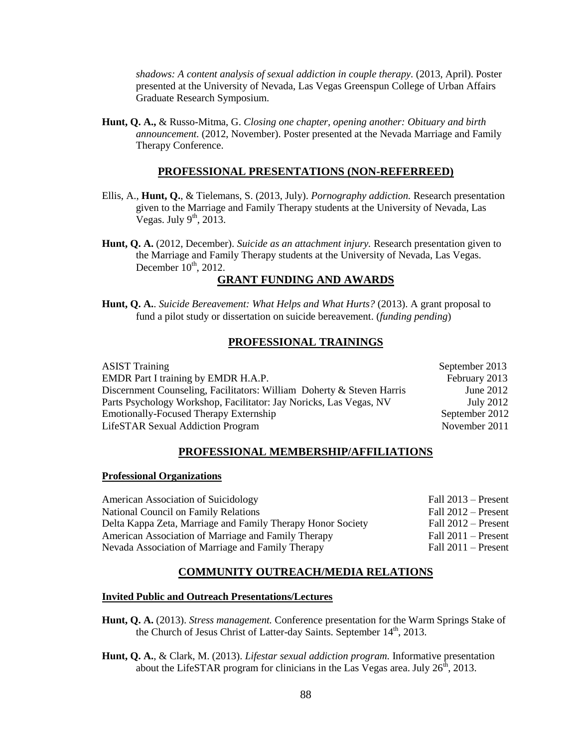*shadows: A content analysis of sexual addiction in couple therapy.* (2013, April). Poster presented at the University of Nevada, Las Vegas Greenspun College of Urban Affairs Graduate Research Symposium.

**Hunt, Q. A.,** & Russo-Mitma, G. *Closing one chapter, opening another: Obituary and birth announcement.* (2012, November). Poster presented at the Nevada Marriage and Family Therapy Conference.

#### **PROFESSIONAL PRESENTATIONS (NON-REFERREED)**

- Ellis, A., **Hunt, Q.**, & Tielemans, S. (2013, July). *Pornography addiction.* Research presentation given to the Marriage and Family Therapy students at the University of Nevada, Las Vegas. July  $9<sup>th</sup>$ , 2013.
- **Hunt, Q. A.** (2012, December). *Suicide as an attachment injury.* Research presentation given to the Marriage and Family Therapy students at the University of Nevada, Las Vegas. December  $10^{th}$ , 2012.

# **GRANT FUNDING AND AWARDS**

**Hunt, Q. A.**. *Suicide Bereavement: What Helps and What Hurts?* (2013). A grant proposal to fund a pilot study or dissertation on suicide bereavement. (*funding pending*)

#### **PROFESSIONAL TRAININGS**

| <b>ASIST Training</b>                                                 | September 2013   |
|-----------------------------------------------------------------------|------------------|
| EMDR Part I training by EMDR H.A.P.                                   | February 2013    |
| Discernment Counseling, Facilitators: William Doherty & Steven Harris | June 2012        |
| Parts Psychology Workshop, Facilitator: Jay Noricks, Las Vegas, NV    | <b>July 2012</b> |
| <b>Emotionally-Focused Therapy Externship</b>                         | September 2012   |
| <b>LifeSTAR Sexual Addiction Program</b>                              | November 2011    |

#### **PROFESSIONAL MEMBERSHIP/AFFILIATIONS**

#### **Professional Organizations**

| American Association of Suicidology                         | Fall $2013$ – Present |
|-------------------------------------------------------------|-----------------------|
| National Council on Family Relations                        | Fall $2012$ – Present |
| Delta Kappa Zeta, Marriage and Family Therapy Honor Society | Fall $2012$ – Present |
| American Association of Marriage and Family Therapy         | Fall $2011 -$ Present |
| Nevada Association of Marriage and Family Therapy           | Fall $2011 -$ Present |

#### **COMMUNITY OUTREACH/MEDIA RELATIONS**

#### **Invited Public and Outreach Presentations/Lectures**

- **Hunt, Q. A.** (2013). *Stress management.* Conference presentation for the Warm Springs Stake of the Church of Jesus Christ of Latter-day Saints. September 14<sup>th</sup>, 2013.
- **Hunt, Q. A.**, & Clark, M. (2013). *Lifestar sexual addiction program.* Informative presentation about the LifeSTAR program for clinicians in the Las Vegas area. July  $26^{\overline{h}}$ , 2013.